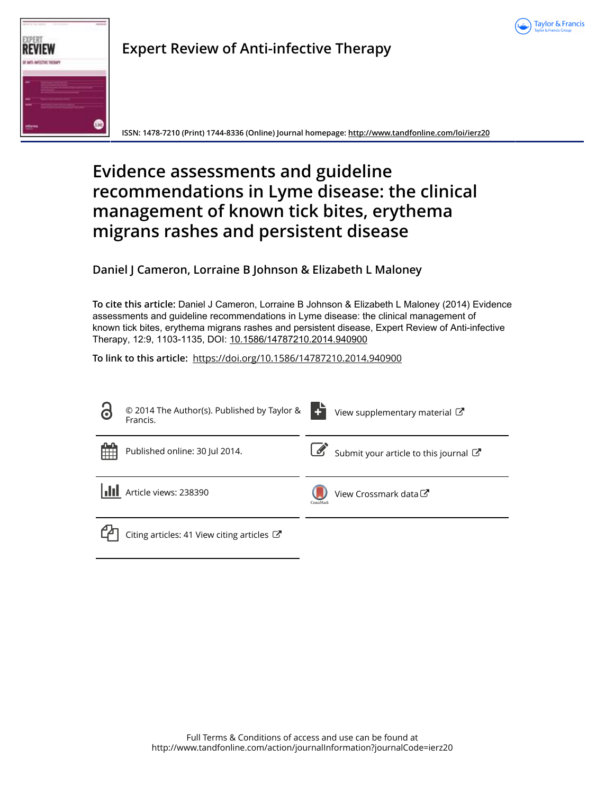



**Expert Review of Anti-infective Therapy**

**ISSN: 1478-7210 (Print) 1744-8336 (Online) Journal homepage:<http://www.tandfonline.com/loi/ierz20>**

## **Evidence assessments and guideline recommendations in Lyme disease: the clinical management of known tick bites, erythema migrans rashes and persistent disease**

**Daniel J Cameron, Lorraine B Johnson & Elizabeth L Maloney**

**To cite this article:** Daniel J Cameron, Lorraine B Johnson & Elizabeth L Maloney (2014) Evidence assessments and guideline recommendations in Lyme disease: the clinical management of known tick bites, erythema migrans rashes and persistent disease, Expert Review of Anti-infective Therapy, 12:9, 1103-1135, DOI: [10.1586/14787210.2014.940900](http://www.tandfonline.com/action/showCitFormats?doi=10.1586/14787210.2014.940900)

**To link to this article:** <https://doi.org/10.1586/14787210.2014.940900>

| 6 | © 2014 The Author(s). Published by Taylor &<br>Francis. |           | View supplementary material C         |
|---|---------------------------------------------------------|-----------|---------------------------------------|
| 鮮 | Published online: 30 Jul 2014.                          |           | Submit your article to this journal C |
|   | Article views: 238390                                   | CrossMark | View Crossmark data <sup>C</sup>      |
|   | Citing articles: 41 View citing articles $\mathbb{Z}$   |           |                                       |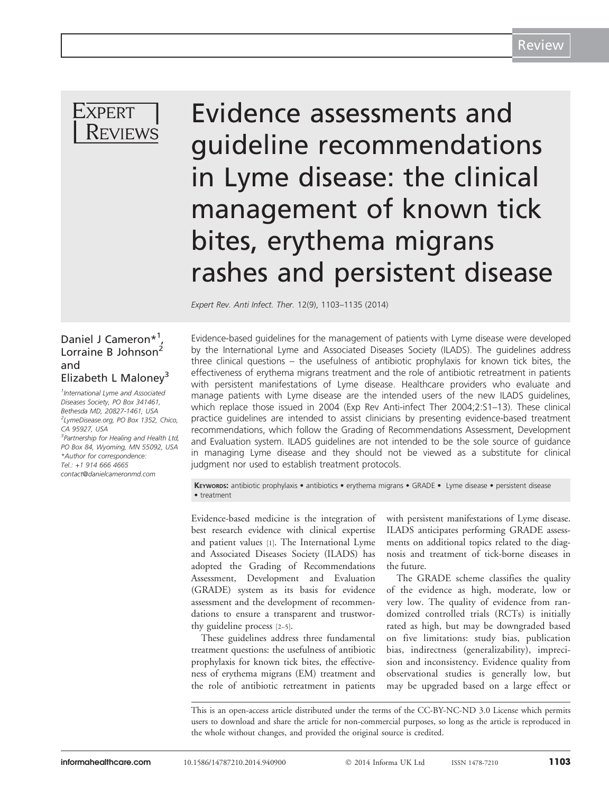

# Evidence assessments and guideline recommendations in Lyme disease: the clinical management of known tick bites, erythema migrans rashes and persistent disease

Expert Rev. Anti Infect. Ther. 12(9), 1103–1135 (2014)

## Daniel J Cameron\*<sup>1</sup>, Lorraine B Johnson<sup>2</sup> and Elizabeth L Malonev $3$

<sup>1</sup> International Lyme and Associated Diseases Society, PO Box 341461, Bethesda MD, 20827-1461, USA <sup>2</sup>LymeDisease.org, PO Box 1352, Chico, CA 95927, USA <sup>3</sup>Partnership for Healing and Health Ltd, PO Box 84, Wyoming, MN 55092, USA \*Author for correspondence:  $Tel: +19146664665$ [contact@danielcameronmd.com](mailto:contact@danielcameronmd.com)

Evidence-based guidelines for the management of patients with Lyme disease were developed by the International Lyme and Associated Diseases Society (ILADS). The guidelines address three clinical questions – the usefulness of antibiotic prophylaxis for known tick bites, the effectiveness of erythema migrans treatment and the role of antibiotic retreatment in patients with persistent manifestations of Lyme disease. Healthcare providers who evaluate and manage patients with Lyme disease are the intended users of the new ILADS guidelines, which replace those issued in 2004 (Exp Rev Anti-infect Ther 2004;2:S1–13). These clinical practice guidelines are intended to assist clinicians by presenting evidence-based treatment recommendations, which follow the Grading of Recommendations Assessment, Development and Evaluation system. ILADS guidelines are not intended to be the sole source of guidance in managing Lyme disease and they should not be viewed as a substitute for clinical judgment nor used to establish treatment protocols.

KEYWORDS: antibiotic prophylaxis • antibiotics • erythema migrans • GRADE • Lyme disease • persistent disease • treatment

Evidence-based medicine is the integration of best research evidence with clinical expertise and patient values [\[1](#page-27-0)]. The International Lyme and Associated Diseases Society (ILADS) has adopted the Grading of Recommendations Assessment, Development and Evaluation (GRADE) system as its basis for evidence assessment and the development of recommendations to ensure a transparent and trustworthy guideline process [\[2](#page-27-0)–[5\]](#page-27-0).

These guidelines address three fundamental treatment questions: the usefulness of antibiotic prophylaxis for known tick bites, the effectiveness of erythema migrans (EM) treatment and the role of antibiotic retreatment in patients

with persistent manifestations of Lyme disease. ILADS anticipates performing GRADE assessments on additional topics related to the diagnosis and treatment of tick-borne diseases in the future.

The GRADE scheme classifies the quality of the evidence as high, moderate, low or very low. The quality of evidence from randomized controlled trials (RCTs) is initially rated as high, but may be downgraded based on five limitations: study bias, publication bias, indirectness (generalizability), imprecision and inconsistency. Evidence quality from observational studies is generally low, but may be upgraded based on a large effect or

This is an open-access article distributed under the terms of the CC-BY-NC-ND 3.0 License which permits users to download and share the article for non-commercial purposes, so long as the article is reproduced in the whole without changes, and provided the original source is credited.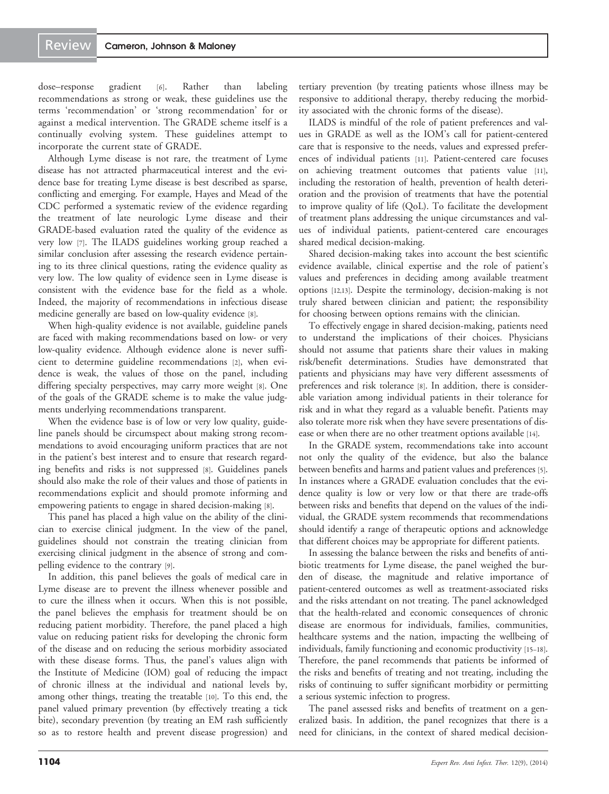dose–response gradient [\[6](#page-27-0)]. Rather than labeling recommendations as strong or weak, these guidelines use the terms 'recommendation' or 'strong recommendation' for or against a medical intervention. The GRADE scheme itself is a continually evolving system. These guidelines attempt to incorporate the current state of GRADE.

Although Lyme disease is not rare, the treatment of Lyme disease has not attracted pharmaceutical interest and the evidence base for treating Lyme disease is best described as sparse, conflicting and emerging. For example, Hayes and Mead of the CDC performed a systematic review of the evidence regarding the treatment of late neurologic Lyme disease and their GRADE-based evaluation rated the quality of the evidence as very low [\[7](#page-27-0)]. The ILADS guidelines working group reached a similar conclusion after assessing the research evidence pertaining to its three clinical questions, rating the evidence quality as very low. The low quality of evidence seen in Lyme disease is consistent with the evidence base for the field as a whole. Indeed, the majority of recommendations in infectious disease medicine generally are based on low-quality evidence [[8\]](#page-27-0).

When high-quality evidence is not available, guideline panels are faced with making recommendations based on low- or very low-quality evidence. Although evidence alone is never sufficient to determine guideline recommendations [[2](#page-27-0)], when evidence is weak, the values of those on the panel, including differing specialty perspectives, may carry more weight [\[8](#page-27-0)]. One of the goals of the GRADE scheme is to make the value judgments underlying recommendations transparent.

When the evidence base is of low or very low quality, guideline panels should be circumspect about making strong recommendations to avoid encouraging uniform practices that are not in the patient's best interest and to ensure that research regarding benefits and risks is not suppressed [\[8\]](#page-27-0). Guidelines panels should also make the role of their values and those of patients in recommendations explicit and should promote informing and empowering patients to engage in shared decision-making [[8](#page-27-0)].

This panel has placed a high value on the ability of the clinician to exercise clinical judgment. In the view of the panel, guidelines should not constrain the treating clinician from exercising clinical judgment in the absence of strong and compelling evidence to the contrary [\[9](#page-27-0)].

In addition, this panel believes the goals of medical care in Lyme disease are to prevent the illness whenever possible and to cure the illness when it occurs. When this is not possible, the panel believes the emphasis for treatment should be on reducing patient morbidity. Therefore, the panel placed a high value on reducing patient risks for developing the chronic form of the disease and on reducing the serious morbidity associated with these disease forms. Thus, the panel's values align with the Institute of Medicine (IOM) goal of reducing the impact of chronic illness at the individual and national levels by, among other things, treating the treatable [\[10\]](#page-27-0). To this end, the panel valued primary prevention (by effectively treating a tick bite), secondary prevention (by treating an EM rash sufficiently so as to restore health and prevent disease progression) and tertiary prevention (by treating patients whose illness may be responsive to additional therapy, thereby reducing the morbidity associated with the chronic forms of the disease).

ILADS is mindful of the role of patient preferences and values in GRADE as well as the IOM's call for patient-centered care that is responsive to the needs, values and expressed preferences of individual patients [[11](#page-27-0)]. Patient-centered care focuses on achieving treatment outcomes that patients value [\[11\]](#page-27-0), including the restoration of health, prevention of health deterioration and the provision of treatments that have the potential to improve quality of life (QoL). To facilitate the development of treatment plans addressing the unique circumstances and values of individual patients, patient-centered care encourages shared medical decision-making.

Shared decision-making takes into account the best scientific evidence available, clinical expertise and the role of patient's values and preferences in deciding among available treatment options [[12](#page-27-0),[13](#page-27-0)]. Despite the terminology, decision-making is not truly shared between clinician and patient; the responsibility for choosing between options remains with the clinician.

To effectively engage in shared decision-making, patients need to understand the implications of their choices. Physicians should not assume that patients share their values in making risk/benefit determinations. Studies have demonstrated that patients and physicians may have very different assessments of preferences and risk tolerance [\[8](#page-27-0)]. In addition, there is considerable variation among individual patients in their tolerance for risk and in what they regard as a valuable benefit. Patients may also tolerate more risk when they have severe presentations of disease or when there are no other treatment options available [\[14\]](#page-27-0).

In the GRADE system, recommendations take into account not only the quality of the evidence, but also the balance between benefits and harms and patient values and preferences [\[5\]](#page-27-0). In instances where a GRADE evaluation concludes that the evidence quality is low or very low or that there are trade-offs between risks and benefits that depend on the values of the individual, the GRADE system recommends that recommendations should identify a range of therapeutic options and acknowledge that different choices may be appropriate for different patients.

In assessing the balance between the risks and benefits of antibiotic treatments for Lyme disease, the panel weighed the burden of disease, the magnitude and relative importance of patient-centered outcomes as well as treatment-associated risks and the risks attendant on not treating. The panel acknowledged that the health-related and economic consequences of chronic disease are enormous for individuals, families, communities, healthcare systems and the nation, impacting the wellbeing of individuals, family functioning and economic productivity [[15](#page-27-0)–[18\]](#page-28-0). Therefore, the panel recommends that patients be informed of the risks and benefits of treating and not treating, including the risks of continuing to suffer significant morbidity or permitting a serious systemic infection to progress.

The panel assessed risks and benefits of treatment on a generalized basis. In addition, the panel recognizes that there is a need for clinicians, in the context of shared medical decision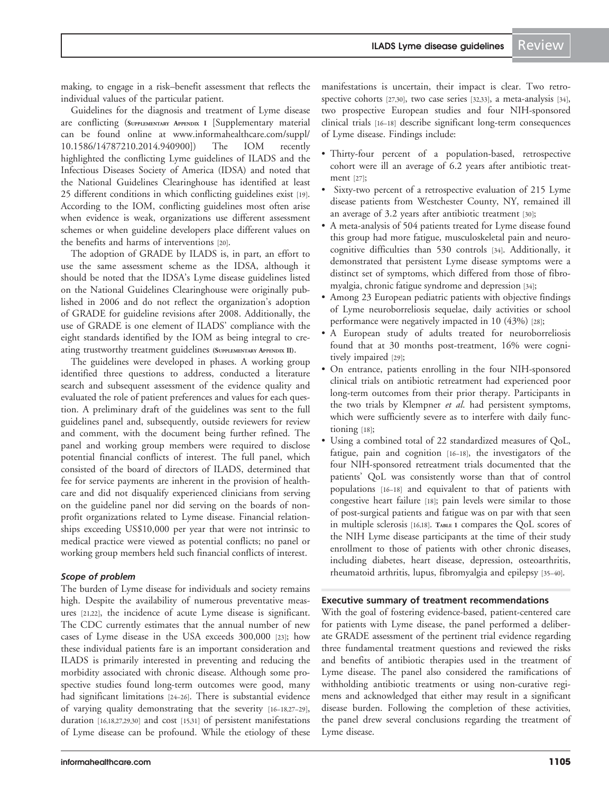making, to engage in a risk–benefit assessment that reflects the individual values of the particular patient.

Guidelines for the diagnosis and treatment of Lyme disease are conflicting ([SUPPLEMENTARY](http://informahealthcare.com/doi/suppl/10.1586/14787210.2014.940900/suppl_file/10.1586/14787210.2014.940900_suppl.doc) APPENDIX <sup>I</sup> [Supplementary material can be found online at [www.informahealthcare.com/suppl/](http://www.informahealthcare.com/suppl/10.1586/14787210.2014.940900) [10.1586/14787210.2014.940900](http://www.informahealthcare.com/suppl/10.1586/14787210.2014.940900)]) The IOM recently highlighted the conflicting Lyme guidelines of ILADS and the Infectious Diseases Society of America (IDSA) and noted that the National Guidelines Clearinghouse has identified at least 25 different conditions in which conflicting guidelines exist [\[19\]](#page-28-0). According to the IOM, conflicting guidelines most often arise when evidence is weak, organizations use different assessment schemes or when guideline developers place different values on the benefits and harms of interventions [[20](#page-28-0)].

The adoption of GRADE by ILADS is, in part, an effort to use the same assessment scheme as the IDSA, although it should be noted that the IDSA's Lyme disease guidelines listed on the National Guidelines Clearinghouse were originally published in 2006 and do not reflect the organization's adoption of GRADE for guideline revisions after 2008. Additionally, the use of GRADE is one element of ILADS' compliance with the eight standards identified by the IOM as being integral to cre-ating trustworthy treatment guidelines [\(SUPPLEMENTARY](http://informahealthcare.com/doi/suppl/10.1586/14787210.2014.940900/suppl_file/10.1586/14787210.2014.940900_suppl.doc) APPENDIX II).

The guidelines were developed in phases. A working group identified three questions to address, conducted a literature search and subsequent assessment of the evidence quality and evaluated the role of patient preferences and values for each question. A preliminary draft of the guidelines was sent to the full guidelines panel and, subsequently, outside reviewers for review and comment, with the document being further refined. The panel and working group members were required to disclose potential financial conflicts of interest. The full panel, which consisted of the board of directors of ILADS, determined that fee for service payments are inherent in the provision of healthcare and did not disqualify experienced clinicians from serving on the guideline panel nor did serving on the boards of nonprofit organizations related to Lyme disease. Financial relationships exceeding US\$10,000 per year that were not intrinsic to medical practice were viewed as potential conflicts; no panel or working group members held such financial conflicts of interest.

## Scope of problem

The burden of Lyme disease for individuals and society remains high. Despite the availability of numerous preventative measures [\[21,22\]](#page-28-0), the incidence of acute Lyme disease is significant. The CDC currently estimates that the annual number of new cases of Lyme disease in the USA exceeds 300,000 [[23](#page-28-0)]; how these individual patients fare is an important consideration and ILADS is primarily interested in preventing and reducing the morbidity associated with chronic disease. Although some prospective studies found long-term outcomes were good, many had significant limitations [\[24](#page-28-0)–[26](#page-28-0)]. There is substantial evidence of varying quality demonstrating that the severity [\[16](#page-27-0)–[18](#page-28-0),[27](#page-28-0)–[29\]](#page-28-0), duration [[16](#page-27-0),[18](#page-28-0),[27](#page-28-0),[29](#page-28-0),[30](#page-28-0)] and cost [\[15](#page-27-0)[,31\]](#page-28-0) of persistent manifestations of Lyme disease can be profound. While the etiology of these

manifestations is uncertain, their impact is clear. Two retrospective cohorts [[27](#page-28-0),[30](#page-28-0)], two case series [\[32,33\]](#page-28-0), a meta-analysis [[34](#page-28-0)], two prospective European studies and four NIH-sponsored clinical trials [\[16](#page-27-0)–[18](#page-28-0)] describe significant long-term consequences of Lyme disease. Findings include:

- Thirty-four percent of a population-based, retrospective cohort were ill an average of 6.2 years after antibiotic treatment [\[27\]](#page-28-0);
- Sixty-two percent of a retrospective evaluation of 215 Lyme disease patients from Westchester County, NY, remained ill an average of 3.2 years after antibiotic treatment [\[30](#page-28-0)];
- A meta-analysis of 504 patients treated for Lyme disease found this group had more fatigue, musculoskeletal pain and neurocognitive difficulties than 530 controls [\[34](#page-28-0)]. Additionally, it demonstrated that persistent Lyme disease symptoms were a distinct set of symptoms, which differed from those of fibromyalgia, chronic fatigue syndrome and depression [\[34\]](#page-28-0);
- Among 23 European pediatric patients with objective findings of Lyme neuroborreliosis sequelae, daily activities or school performance were negatively impacted in 10 (43%) [[28\]](#page-28-0);
- A European study of adults treated for neuroborreliosis found that at 30 months post-treatment, 16% were cognitively impaired [\[29\]](#page-28-0);
- On entrance, patients enrolling in the four NIH-sponsored clinical trials on antibiotic retreatment had experienced poor long-term outcomes from their prior therapy. Participants in the two trials by Klempner et al. had persistent symptoms, which were sufficiently severe as to interfere with daily functioning [[18](#page-28-0)];
- Using a combined total of 22 standardized measures of QoL, fatigue, pain and cognition [[16](#page-27-0)–[18](#page-28-0)], the investigators of the four NIH-sponsored retreatment trials documented that the patients' QoL was consistently worse than that of control populations [\[16](#page-27-0)–[18](#page-28-0)] and equivalent to that of patients with congestive heart failure [\[18](#page-28-0)]; pain levels were similar to those of post-surgical patients and fatigue was on par with that seen in multiple sclerosis [\[16](#page-27-0)[,18\]](#page-28-0). [TABLE](#page-4-0) <sup>1</sup> compares the QoL scores of the NIH Lyme disease participants at the time of their study enrollment to those of patients with other chronic diseases, including diabetes, heart disease, depression, osteoarthritis, rheumatoid arthritis, lupus, fibromyalgia and epilepsy [[35](#page-28-0)–[40\]](#page-28-0).

## Executive summary of treatment recommendations

With the goal of fostering evidence-based, patient-centered care for patients with Lyme disease, the panel performed a deliberate GRADE assessment of the pertinent trial evidence regarding three fundamental treatment questions and reviewed the risks and benefits of antibiotic therapies used in the treatment of Lyme disease. The panel also considered the ramifications of withholding antibiotic treatments or using non-curative regimens and acknowledged that either may result in a significant disease burden. Following the completion of these activities, the panel drew several conclusions regarding the treatment of Lyme disease.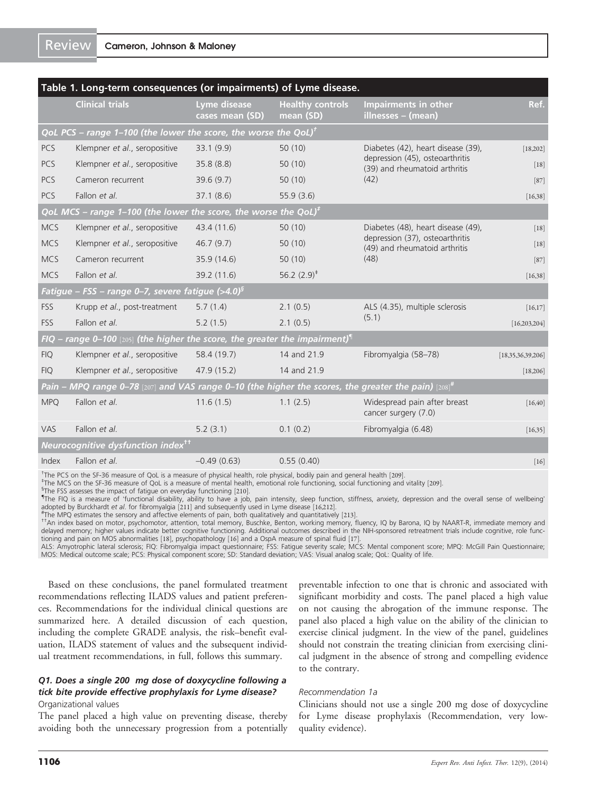<span id="page-4-0"></span>

|            | Table 1. Long-term consequences (or impairments) of Lyme disease.                                   |                                 |                                      |                                                                  |                   |  |  |  |
|------------|-----------------------------------------------------------------------------------------------------|---------------------------------|--------------------------------------|------------------------------------------------------------------|-------------------|--|--|--|
|            | <b>Clinical trials</b>                                                                              | Lyme disease<br>cases mean (SD) | <b>Healthy controls</b><br>mean (SD) | <b>Impairments in other</b><br>illnesses - (mean)                | Ref.              |  |  |  |
|            | QoL PCS – range 1–100 (the lower the score, the worse the QoL) <sup>†</sup>                         |                                 |                                      |                                                                  |                   |  |  |  |
| <b>PCS</b> | Klempner et al., seropositive                                                                       | 33.1(9.9)                       | 50(10)                               | Diabetes (42), heart disease (39),                               | [18,202]          |  |  |  |
| <b>PCS</b> | Klempner et al., seropositive                                                                       | 35.8(8.8)                       | 50(10)                               | depression (45), osteoarthritis<br>(39) and rheumatoid arthritis | $[18]$            |  |  |  |
| <b>PCS</b> | Cameron recurrent                                                                                   | 39.6(9.7)                       | 50(10)                               | (42)                                                             | $[87]$            |  |  |  |
| <b>PCS</b> | Fallon et al.                                                                                       | 37.1(8.6)                       | 55.9(3.6)                            |                                                                  | [16,38]           |  |  |  |
|            | QoL MCS – range 1–100 (the lower the score, the worse the QoL) <sup><math>t</math></sup>            |                                 |                                      |                                                                  |                   |  |  |  |
| <b>MCS</b> | Klempner et al., seropositive                                                                       | 43.4 (11.6)                     | 50(10)                               | Diabetes (48), heart disease (49),                               | $[18]$            |  |  |  |
| <b>MCS</b> | Klempner et al., seropositive                                                                       | 46.7(9.7)                       | 50(10)                               | depression (37), osteoarthritis<br>(49) and rheumatoid arthritis | $[18]$            |  |  |  |
| <b>MCS</b> | Cameron recurrent                                                                                   | 35.9 (14.6)                     | 50(10)                               | (48)                                                             | $[87]$            |  |  |  |
| <b>MCS</b> | Fallon et al.                                                                                       | 39.2 (11.6)                     | 56.2 $(2.9)^{\ddagger}$              |                                                                  | [16,38]           |  |  |  |
|            | Fatigue – FSS – range 0–7, severe fatigue (>4.0) <sup>§</sup>                                       |                                 |                                      |                                                                  |                   |  |  |  |
| <b>FSS</b> | Krupp et al., post-treatment                                                                        | 5.7(1.4)                        | 2.1(0.5)                             | ALS (4.35), multiple sclerosis                                   | [16, 17]          |  |  |  |
| <b>FSS</b> | Fallon et al.                                                                                       | 5.2(1.5)                        | 2.1(0.5)                             | (5.1)                                                            | [16,203,204]      |  |  |  |
|            | FIQ – range 0–100 [205] (the higher the score, the greater the impairment)                          |                                 |                                      |                                                                  |                   |  |  |  |
| <b>FIQ</b> | Klempner et al., seropositive                                                                       | 58.4 (19.7)                     | 14 and 21.9                          | Fibromyalgia (58-78)                                             | [18,35,36,39,206] |  |  |  |
| <b>FIQ</b> | Klempner et al., seropositive                                                                       | 47.9 (15.2)                     | 14 and 21.9                          |                                                                  | [18, 206]         |  |  |  |
|            | Pain – MPQ range 0–78 [207] and VAS range 0–10 (the higher the scores, the greater the pain) [208]# |                                 |                                      |                                                                  |                   |  |  |  |
| <b>MPQ</b> | Fallon et al.                                                                                       | 11.6(1.5)                       | 1.1(2.5)                             | Widespread pain after breast<br>cancer surgery (7.0)             | [16, 40]          |  |  |  |
| <b>VAS</b> | Fallon et al.                                                                                       | 5.2(3.1)                        | 0.1(0.2)                             | Fibromyalgia (6.48)                                              | [16,35]           |  |  |  |
|            | Neurocognitive dysfunction index <sup>11</sup>                                                      |                                 |                                      |                                                                  |                   |  |  |  |
|            |                                                                                                     |                                 |                                      |                                                                  |                   |  |  |  |

 $\mu$  Index Fallon et al.  $-0.49 \ (0.63)$  0.55 (0.40)  $(16)$  $(16)$  $(16)$ 

<sup>†</sup>The PCS on the SF-36 measure of QoL is a measure of physical health, role physical, bodily pain and general health [[209\]](#page-32-0).<br><sup>‡</sup>The MCS on the SF-36 measure of QoL is a measure of mental health, emotional role functioning,

 $^{\ddagger}$ The MCS on the SF-36 measure of QoL is a measure of mental health, emotional role functioning, social functioning and vitality [[209\]](#page-32-0).

The FSS assesses the impact of fatigue on everyday functioning [\[210](#page-33-0)]

{ The FIQ is a measure of 'functional disability, ability to have a job, pain intensity, sleep function, stiffness, anxiety, depression and the overall sense of wellbeing' adopted by Burckhardt et al. for fibromyalgia [\[211](#page-33-0)] and subsequently used in Lyme disease [\[16](#page-27-0)[,212](#page-33-0)].<br>"The MPQ estimates the sensory and affective elements of pain, both qualitatively and quantitatively [213]

"The MPQ estimates the sensory and affective elements of pain, both qualitatively and quantitatively [\[213\]](#page-33-0).<br><sup>††</sup>An index based on motor, psychomotor, attention, total memory, Buschke, Benton, working memory, fluency, IQ by tioning and pain on MOS abnormalities [[18](#page-28-0)], psychopathology [\[16\]](#page-27-0) and a OspA measure of spinal fluid [[17](#page-27-0)].

ALS: Amyotrophic lateral sclerosis; FIQ: Fibromyalgia impact questionnaire; FSS: Fatigue severity scale; MCS: Mental component score; MPQ: McGill Pain Questionnaire; MOS: Medical outcome scale; PCS: Physical component score; SD: Standard deviation; VAS: Visual analog scale; QoL: Quality of life.

Based on these conclusions, the panel formulated treatment recommendations reflecting ILADS values and patient preferences. Recommendations for the individual clinical questions are summarized here. A detailed discussion of each question, including the complete GRADE analysis, the risk–benefit evaluation, ILADS statement of values and the subsequent individual treatment recommendations, in full, follows this summary.

#### Q1. Does a single 200 mg dose of doxycycline following a tick bite provide effective prophylaxis for Lyme disease? Organizational values

The panel placed a high value on preventing disease, thereby avoiding both the unnecessary progression from a potentially preventable infection to one that is chronic and associated with significant morbidity and costs. The panel placed a high value on not causing the abrogation of the immune response. The panel also placed a high value on the ability of the clinician to exercise clinical judgment. In the view of the panel, guidelines should not constrain the treating clinician from exercising clinical judgment in the absence of strong and compelling evidence to the contrary.

#### Recommendation 1a

Clinicians should not use a single 200 mg dose of doxycycline for Lyme disease prophylaxis (Recommendation, very lowquality evidence).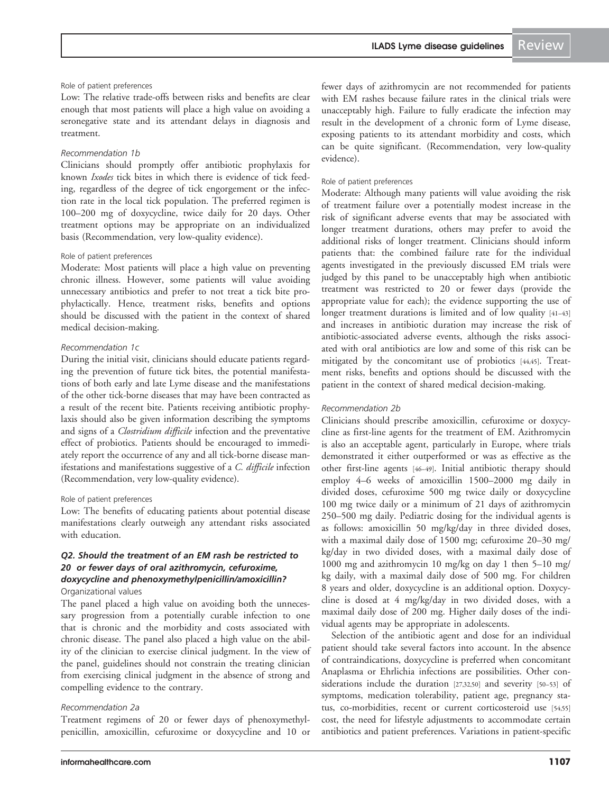## Role of patient preferences

Low: The relative trade-offs between risks and benefits are clear enough that most patients will place a high value on avoiding a seronegative state and its attendant delays in diagnosis and treatment.

## Recommendation 1b

Clinicians should promptly offer antibiotic prophylaxis for known Ixodes tick bites in which there is evidence of tick feeding, regardless of the degree of tick engorgement or the infection rate in the local tick population. The preferred regimen is 100–200 mg of doxycycline, twice daily for 20 days. Other treatment options may be appropriate on an individualized basis (Recommendation, very low-quality evidence).

## Role of patient preferences

Moderate: Most patients will place a high value on preventing chronic illness. However, some patients will value avoiding unnecessary antibiotics and prefer to not treat a tick bite prophylactically. Hence, treatment risks, benefits and options should be discussed with the patient in the context of shared medical decision-making.

## Recommendation 1c

During the initial visit, clinicians should educate patients regarding the prevention of future tick bites, the potential manifestations of both early and late Lyme disease and the manifestations of the other tick-borne diseases that may have been contracted as a result of the recent bite. Patients receiving antibiotic prophylaxis should also be given information describing the symptoms and signs of a *Clostridium difficile* infection and the preventative effect of probiotics. Patients should be encouraged to immediately report the occurrence of any and all tick-borne disease manifestations and manifestations suggestive of a C. difficile infection (Recommendation, very low-quality evidence).

## Role of patient preferences

Low: The benefits of educating patients about potential disease manifestations clearly outweigh any attendant risks associated with education.

## Q2. Should the treatment of an EM rash be restricted to 20 or fewer days of oral azithromycin, cefuroxime, doxycycline and phenoxymethylpenicillin/amoxicillin?

## Organizational values

The panel placed a high value on avoiding both the unnecessary progression from a potentially curable infection to one that is chronic and the morbidity and costs associated with chronic disease. The panel also placed a high value on the ability of the clinician to exercise clinical judgment. In the view of the panel, guidelines should not constrain the treating clinician from exercising clinical judgment in the absence of strong and compelling evidence to the contrary.

## Recommendation 2a

Treatment regimens of 20 or fewer days of phenoxymethylpenicillin, amoxicillin, cefuroxime or doxycycline and 10 or

fewer days of azithromycin are not recommended for patients with EM rashes because failure rates in the clinical trials were unacceptably high. Failure to fully eradicate the infection may result in the development of a chronic form of Lyme disease, exposing patients to its attendant morbidity and costs, which can be quite significant. (Recommendation, very low-quality evidence).

## Role of patient preferences

Moderate: Although many patients will value avoiding the risk of treatment failure over a potentially modest increase in the risk of significant adverse events that may be associated with longer treatment durations, others may prefer to avoid the additional risks of longer treatment. Clinicians should inform patients that: the combined failure rate for the individual agents investigated in the previously discussed EM trials were judged by this panel to be unacceptably high when antibiotic treatment was restricted to 20 or fewer days (provide the appropriate value for each); the evidence supporting the use of longer treatment durations is limited and of low quality [[41](#page-28-0)–[43\]](#page-28-0) and increases in antibiotic duration may increase the risk of antibiotic-associated adverse events, although the risks associated with oral antibiotics are low and some of this risk can be mitigated by the concomitant use of probiotics [[44,45\]](#page-28-0). Treatment risks, benefits and options should be discussed with the patient in the context of shared medical decision-making.

#### Recommendation 2b

Clinicians should prescribe amoxicillin, cefuroxime or doxycycline as first-line agents for the treatment of EM. Azithromycin is also an acceptable agent, particularly in Europe, where trials demonstrated it either outperformed or was as effective as the other first-line agents [\[46](#page-28-0)–[49](#page-28-0)]. Initial antibiotic therapy should employ 4–6 weeks of amoxicillin 1500–2000 mg daily in divided doses, cefuroxime 500 mg twice daily or doxycycline 100 mg twice daily or a minimum of 21 days of azithromycin 250–500 mg daily. Pediatric dosing for the individual agents is as follows: amoxicillin 50 mg/kg/day in three divided doses, with a maximal daily dose of 1500 mg; cefuroxime 20–30 mg/ kg/day in two divided doses, with a maximal daily dose of 1000 mg and azithromycin 10 mg/kg on day 1 then 5–10 mg/ kg daily, with a maximal daily dose of 500 mg. For children 8 years and older, doxycycline is an additional option. Doxycycline is dosed at 4 mg/kg/day in two divided doses, with a maximal daily dose of 200 mg. Higher daily doses of the individual agents may be appropriate in adolescents.

Selection of the antibiotic agent and dose for an individual patient should take several factors into account. In the absence of contraindications, doxycycline is preferred when concomitant Anaplasma or Ehrlichia infections are possibilities. Other considerations include the duration [\[27,32,50\]](#page-28-0) and severity [[50](#page-28-0)–[53](#page-28-0)] of symptoms, medication tolerability, patient age, pregnancy status, co-morbidities, recent or current corticosteroid use [\[54](#page-28-0)[,55\]](#page-29-0) cost, the need for lifestyle adjustments to accommodate certain antibiotics and patient preferences. Variations in patient-specific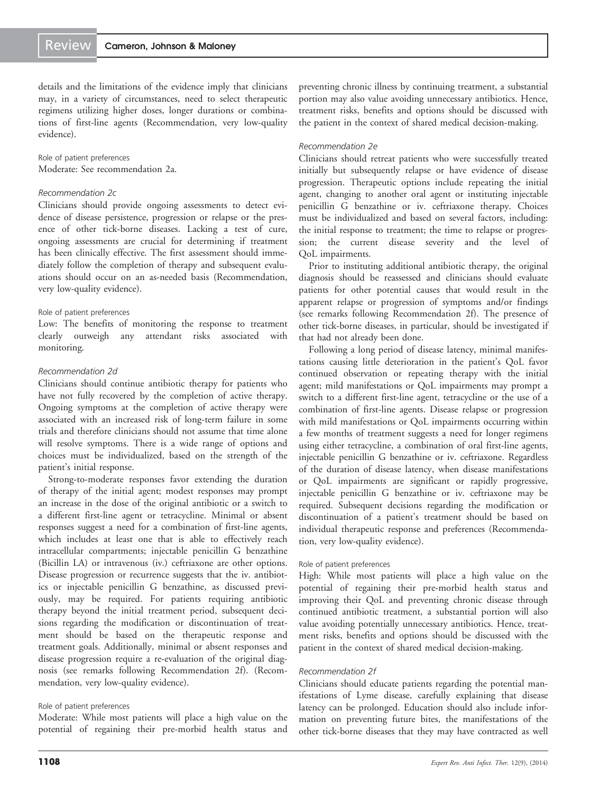details and the limitations of the evidence imply that clinicians may, in a variety of circumstances, need to select therapeutic regimens utilizing higher doses, longer durations or combinations of first-line agents (Recommendation, very low-quality evidence).

Role of patient preferences Moderate: See recommendation 2a.

#### Recommendation 2c

Clinicians should provide ongoing assessments to detect evidence of disease persistence, progression or relapse or the presence of other tick-borne diseases. Lacking a test of cure, ongoing assessments are crucial for determining if treatment has been clinically effective. The first assessment should immediately follow the completion of therapy and subsequent evaluations should occur on an as-needed basis (Recommendation, very low-quality evidence).

#### Role of patient preferences

Low: The benefits of monitoring the response to treatment clearly outweigh any attendant risks associated with monitoring.

#### Recommendation 2d

Clinicians should continue antibiotic therapy for patients who have not fully recovered by the completion of active therapy. Ongoing symptoms at the completion of active therapy were associated with an increased risk of long-term failure in some trials and therefore clinicians should not assume that time alone will resolve symptoms. There is a wide range of options and choices must be individualized, based on the strength of the patient's initial response.

Strong-to-moderate responses favor extending the duration of therapy of the initial agent; modest responses may prompt an increase in the dose of the original antibiotic or a switch to a different first-line agent or tetracycline. Minimal or absent responses suggest a need for a combination of first-line agents, which includes at least one that is able to effectively reach intracellular compartments; injectable penicillin G benzathine (Bicillin LA) or intravenous (iv.) ceftriaxone are other options. Disease progression or recurrence suggests that the iv. antibiotics or injectable penicillin G benzathine, as discussed previously, may be required. For patients requiring antibiotic therapy beyond the initial treatment period, subsequent decisions regarding the modification or discontinuation of treatment should be based on the therapeutic response and treatment goals. Additionally, minimal or absent responses and disease progression require a re-evaluation of the original diagnosis (see remarks following Recommendation 2f). (Recommendation, very low-quality evidence).

#### Role of patient preferences

Moderate: While most patients will place a high value on the potential of regaining their pre-morbid health status and preventing chronic illness by continuing treatment, a substantial portion may also value avoiding unnecessary antibiotics. Hence, treatment risks, benefits and options should be discussed with the patient in the context of shared medical decision-making.

#### Recommendation 2e

Clinicians should retreat patients who were successfully treated initially but subsequently relapse or have evidence of disease progression. Therapeutic options include repeating the initial agent, changing to another oral agent or instituting injectable penicillin G benzathine or iv. ceftriaxone therapy. Choices must be individualized and based on several factors, including: the initial response to treatment; the time to relapse or progression; the current disease severity and the level of QoL impairments.

Prior to instituting additional antibiotic therapy, the original diagnosis should be reassessed and clinicians should evaluate patients for other potential causes that would result in the apparent relapse or progression of symptoms and/or findings (see remarks following Recommendation 2f). The presence of other tick-borne diseases, in particular, should be investigated if that had not already been done.

Following a long period of disease latency, minimal manifestations causing little deterioration in the patient's QoL favor continued observation or repeating therapy with the initial agent; mild manifestations or QoL impairments may prompt a switch to a different first-line agent, tetracycline or the use of a combination of first-line agents. Disease relapse or progression with mild manifestations or QoL impairments occurring within a few months of treatment suggests a need for longer regimens using either tetracycline, a combination of oral first-line agents, injectable penicillin G benzathine or iv. ceftriaxone. Regardless of the duration of disease latency, when disease manifestations or QoL impairments are significant or rapidly progressive, injectable penicillin G benzathine or iv. ceftriaxone may be required. Subsequent decisions regarding the modification or discontinuation of a patient's treatment should be based on individual therapeutic response and preferences (Recommendation, very low-quality evidence).

#### Role of patient preferences

High: While most patients will place a high value on the potential of regaining their pre-morbid health status and improving their QoL and preventing chronic disease through continued antibiotic treatment, a substantial portion will also value avoiding potentially unnecessary antibiotics. Hence, treatment risks, benefits and options should be discussed with the patient in the context of shared medical decision-making.

#### Recommendation 2f

Clinicians should educate patients regarding the potential manifestations of Lyme disease, carefully explaining that disease latency can be prolonged. Education should also include information on preventing future bites, the manifestations of the other tick-borne diseases that they may have contracted as well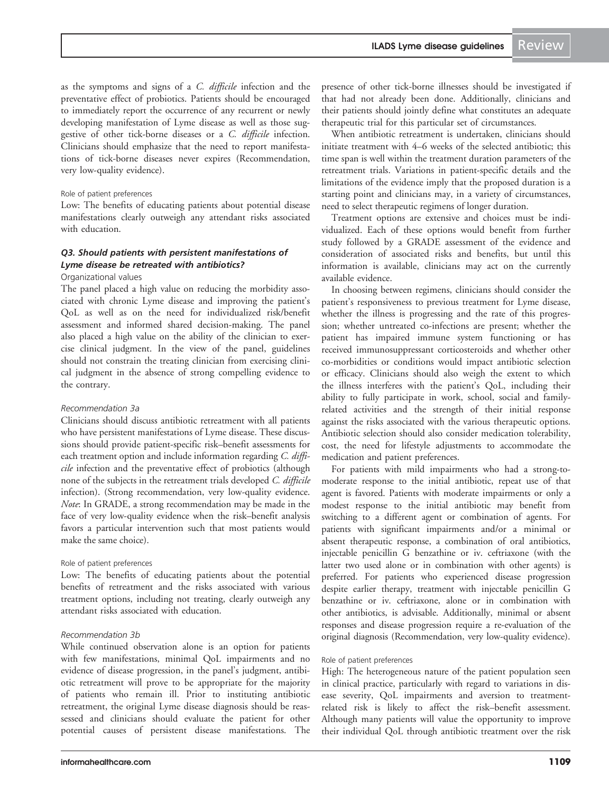as the symptoms and signs of a C. difficile infection and the preventative effect of probiotics. Patients should be encouraged to immediately report the occurrence of any recurrent or newly developing manifestation of Lyme disease as well as those suggestive of other tick-borne diseases or a C. difficile infection. Clinicians should emphasize that the need to report manifestations of tick-borne diseases never expires (Recommendation, very low-quality evidence).

#### Role of patient preferences

Low: The benefits of educating patients about potential disease manifestations clearly outweigh any attendant risks associated with education.

#### Q3. Should patients with persistent manifestations of Lyme disease be retreated with antibiotics?

Organizational values

The panel placed a high value on reducing the morbidity associated with chronic Lyme disease and improving the patient's QoL as well as on the need for individualized risk/benefit assessment and informed shared decision-making. The panel also placed a high value on the ability of the clinician to exercise clinical judgment. In the view of the panel, guidelines should not constrain the treating clinician from exercising clinical judgment in the absence of strong compelling evidence to the contrary.

#### Recommendation 3a

Clinicians should discuss antibiotic retreatment with all patients who have persistent manifestations of Lyme disease. These discussions should provide patient-specific risk–benefit assessments for each treatment option and include information regarding C. difficile infection and the preventative effect of probiotics (although none of the subjects in the retreatment trials developed C. difficile infection). (Strong recommendation, very low-quality evidence. Note: In GRADE, a strong recommendation may be made in the face of very low-quality evidence when the risk–benefit analysis favors a particular intervention such that most patients would make the same choice).

#### Role of patient preferences

Low: The benefits of educating patients about the potential benefits of retreatment and the risks associated with various treatment options, including not treating, clearly outweigh any attendant risks associated with education.

#### Recommendation 3b

While continued observation alone is an option for patients with few manifestations, minimal QoL impairments and no evidence of disease progression, in the panel's judgment, antibiotic retreatment will prove to be appropriate for the majority of patients who remain ill. Prior to instituting antibiotic retreatment, the original Lyme disease diagnosis should be reassessed and clinicians should evaluate the patient for other potential causes of persistent disease manifestations. The

presence of other tick-borne illnesses should be investigated if that had not already been done. Additionally, clinicians and their patients should jointly define what constitutes an adequate therapeutic trial for this particular set of circumstances.

When antibiotic retreatment is undertaken, clinicians should initiate treatment with 4–6 weeks of the selected antibiotic; this time span is well within the treatment duration parameters of the retreatment trials. Variations in patient-specific details and the limitations of the evidence imply that the proposed duration is a starting point and clinicians may, in a variety of circumstances, need to select therapeutic regimens of longer duration.

Treatment options are extensive and choices must be individualized. Each of these options would benefit from further study followed by a GRADE assessment of the evidence and consideration of associated risks and benefits, but until this information is available, clinicians may act on the currently available evidence.

In choosing between regimens, clinicians should consider the patient's responsiveness to previous treatment for Lyme disease, whether the illness is progressing and the rate of this progression; whether untreated co-infections are present; whether the patient has impaired immune system functioning or has received immunosuppressant corticosteroids and whether other co-morbidities or conditions would impact antibiotic selection or efficacy. Clinicians should also weigh the extent to which the illness interferes with the patient's QoL, including their ability to fully participate in work, school, social and familyrelated activities and the strength of their initial response against the risks associated with the various therapeutic options. Antibiotic selection should also consider medication tolerability, cost, the need for lifestyle adjustments to accommodate the medication and patient preferences.

For patients with mild impairments who had a strong-tomoderate response to the initial antibiotic, repeat use of that agent is favored. Patients with moderate impairments or only a modest response to the initial antibiotic may benefit from switching to a different agent or combination of agents. For patients with significant impairments and/or a minimal or absent therapeutic response, a combination of oral antibiotics, injectable penicillin G benzathine or iv. ceftriaxone (with the latter two used alone or in combination with other agents) is preferred. For patients who experienced disease progression despite earlier therapy, treatment with injectable penicillin G benzathine or iv. ceftriaxone, alone or in combination with other antibiotics, is advisable. Additionally, minimal or absent responses and disease progression require a re-evaluation of the original diagnosis (Recommendation, very low-quality evidence).

#### Role of patient preferences

High: The heterogeneous nature of the patient population seen in clinical practice, particularly with regard to variations in disease severity, QoL impairments and aversion to treatmentrelated risk is likely to affect the risk–benefit assessment. Although many patients will value the opportunity to improve their individual QoL through antibiotic treatment over the risk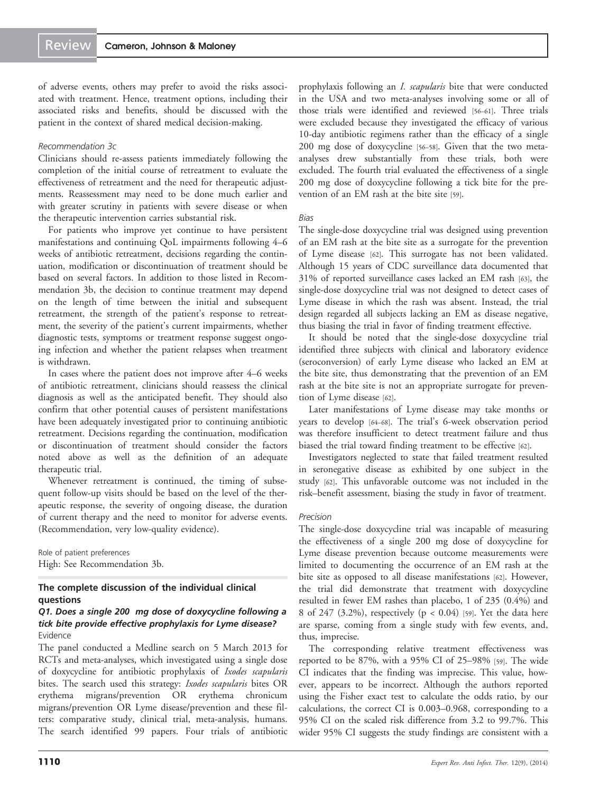of adverse events, others may prefer to avoid the risks associated with treatment. Hence, treatment options, including their associated risks and benefits, should be discussed with the patient in the context of shared medical decision-making.

#### Recommendation 3c

Clinicians should re-assess patients immediately following the completion of the initial course of retreatment to evaluate the effectiveness of retreatment and the need for therapeutic adjustments. Reassessment may need to be done much earlier and with greater scrutiny in patients with severe disease or when the therapeutic intervention carries substantial risk.

For patients who improve yet continue to have persistent manifestations and continuing QoL impairments following 4–6 weeks of antibiotic retreatment, decisions regarding the continuation, modification or discontinuation of treatment should be based on several factors. In addition to those listed in Recommendation 3b, the decision to continue treatment may depend on the length of time between the initial and subsequent retreatment, the strength of the patient's response to retreatment, the severity of the patient's current impairments, whether diagnostic tests, symptoms or treatment response suggest ongoing infection and whether the patient relapses when treatment is withdrawn.

In cases where the patient does not improve after 4–6 weeks of antibiotic retreatment, clinicians should reassess the clinical diagnosis as well as the anticipated benefit. They should also confirm that other potential causes of persistent manifestations have been adequately investigated prior to continuing antibiotic retreatment. Decisions regarding the continuation, modification or discontinuation of treatment should consider the factors noted above as well as the definition of an adequate therapeutic trial.

Whenever retreatment is continued, the timing of subsequent follow-up visits should be based on the level of the therapeutic response, the severity of ongoing disease, the duration of current therapy and the need to monitor for adverse events. (Recommendation, very low-quality evidence).

Role of patient preferences High: See Recommendation 3b.

#### The complete discussion of the individual clinical questions

#### Q1. Does a single 200 mg dose of doxycycline following a tick bite provide effective prophylaxis for Lyme disease? Evidence

The panel conducted a Medline search on 5 March 2013 for RCTs and meta-analyses, which investigated using a single dose of doxycycline for antibiotic prophylaxis of Ixodes scapularis bites. The search used this strategy: Ixodes scapularis bites OR erythema migrans/prevention OR erythema chronicum migrans/prevention OR Lyme disease/prevention and these filters: comparative study, clinical trial, meta-analysis, humans. The search identified 99 papers. Four trials of antibiotic

prophylaxis following an I. scapularis bite that were conducted in the USA and two meta-analyses involving some or all of those trials were identified and reviewed [[56](#page-29-0)–[61\]](#page-29-0). Three trials were excluded because they investigated the efficacy of various 10-day antibiotic regimens rather than the efficacy of a single 200 mg dose of doxycycline [\[56](#page-29-0)–[58](#page-29-0)]. Given that the two metaanalyses drew substantially from these trials, both were excluded. The fourth trial evaluated the effectiveness of a single 200 mg dose of doxycycline following a tick bite for the prevention of an EM rash at the bite site [\[59\]](#page-29-0).

#### Bias

The single-dose doxycycline trial was designed using prevention of an EM rash at the bite site as a surrogate for the prevention of Lyme disease [[62](#page-29-0)]. This surrogate has not been validated. Although 15 years of CDC surveillance data documented that 31% of reported surveillance cases lacked an EM rash [\[63\]](#page-29-0), the single-dose doxycycline trial was not designed to detect cases of Lyme disease in which the rash was absent. Instead, the trial design regarded all subjects lacking an EM as disease negative, thus biasing the trial in favor of finding treatment effective.

It should be noted that the single-dose doxycycline trial identified three subjects with clinical and laboratory evidence (seroconversion) of early Lyme disease who lacked an EM at the bite site, thus demonstrating that the prevention of an EM rash at the bite site is not an appropriate surrogate for prevention of Lyme disease [\[62\]](#page-29-0).

Later manifestations of Lyme disease may take months or years to develop [\[64](#page-29-0)–[68](#page-29-0)]. The trial's 6-week observation period was therefore insufficient to detect treatment failure and thus biased the trial toward finding treatment to be effective [\[62\]](#page-29-0).

Investigators neglected to state that failed treatment resulted in seronegative disease as exhibited by one subject in the study [\[62](#page-29-0)]. This unfavorable outcome was not included in the risk–benefit assessment, biasing the study in favor of treatment.

#### Precision

The single-dose doxycycline trial was incapable of measuring the effectiveness of a single 200 mg dose of doxycycline for Lyme disease prevention because outcome measurements were limited to documenting the occurrence of an EM rash at the bite site as opposed to all disease manifestations [\[62\]](#page-29-0). However, the trial did demonstrate that treatment with doxycycline resulted in fewer EM rashes than placebo, 1 of 235 (0.4%) and 8 of 247 (3.2%), respectively (p < 0.04) [[59](#page-29-0)]. Yet the data here are sparse, coming from a single study with few events, and, thus, imprecise.

The corresponding relative treatment effectiveness was reported to be 87%, with a 95% CI of 25–98% [[59](#page-29-0)]. The wide CI indicates that the finding was imprecise. This value, however, appears to be incorrect. Although the authors reported using the Fisher exact test to calculate the odds ratio, by our calculations, the correct CI is 0.003–0.968, corresponding to a 95% CI on the scaled risk difference from 3.2 to 99.7%. This wider 95% CI suggests the study findings are consistent with a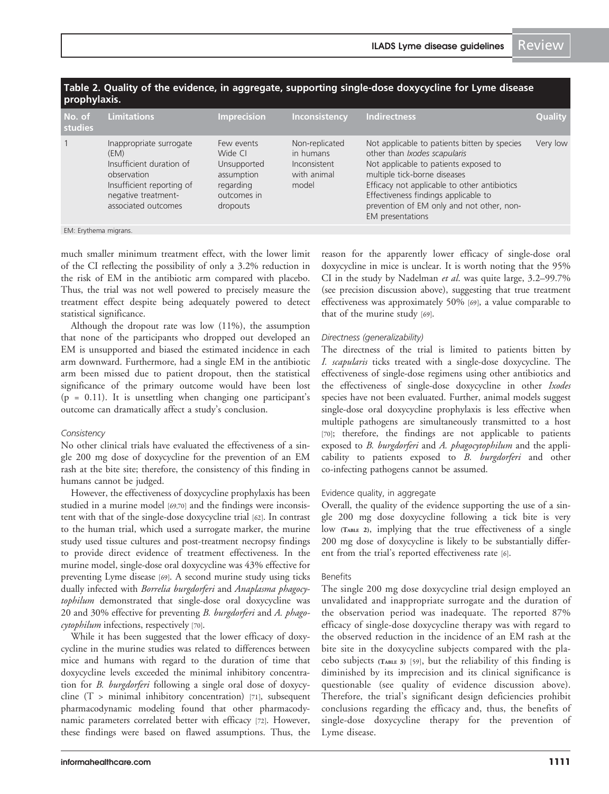| u | u | u |  |  |
|---|---|---|--|--|

| <b>Proprividars.</b> |                                                                                                                                                       |                                                                                            |                                                                     |                                                                                                                                                                                                                                                                                                                |          |
|----------------------|-------------------------------------------------------------------------------------------------------------------------------------------------------|--------------------------------------------------------------------------------------------|---------------------------------------------------------------------|----------------------------------------------------------------------------------------------------------------------------------------------------------------------------------------------------------------------------------------------------------------------------------------------------------------|----------|
| No. of<br>studies    | <b>Limitations</b>                                                                                                                                    | Imprecision                                                                                | Inconsistency                                                       | <b>Indirectness</b>                                                                                                                                                                                                                                                                                            | Quality  |
|                      | Inappropriate surrogate<br>(EM)<br>Insufficient duration of<br>observation<br>Insufficient reporting of<br>negative treatment-<br>associated outcomes | Few events<br>Wide CL<br>Unsupported<br>assumption<br>regarding<br>outcomes in<br>dropouts | Non-replicated<br>in humans<br>Inconsistent<br>with animal<br>model | Not applicable to patients bitten by species<br>other than Ixodes scapularis<br>Not applicable to patients exposed to<br>multiple tick-borne diseases<br>Efficacy not applicable to other antibiotics<br>Effectiveness findings applicable to<br>prevention of EM only and not other, non-<br>EM presentations | Very low |

## Table 2. Quality of the evidence, in aggregate, supporting single-dose doxycycline for Lyme disease prophylaxis.

EM: Erythema migrans.

much smaller minimum treatment effect, with the lower limit of the CI reflecting the possibility of only a 3.2% reduction in the risk of EM in the antibiotic arm compared with placebo. Thus, the trial was not well powered to precisely measure the treatment effect despite being adequately powered to detect statistical significance.

Although the dropout rate was low (11%), the assumption that none of the participants who dropped out developed an EM is unsupported and biased the estimated incidence in each arm downward. Furthermore, had a single EM in the antibiotic arm been missed due to patient dropout, then the statistical significance of the primary outcome would have been lost  $(p = 0.11)$ . It is unsettling when changing one participant's outcome can dramatically affect a study's conclusion.

#### **Consistency**

No other clinical trials have evaluated the effectiveness of a single 200 mg dose of doxycycline for the prevention of an EM rash at the bite site; therefore, the consistency of this finding in humans cannot be judged.

However, the effectiveness of doxycycline prophylaxis has been studied in a murine model [[69](#page-29-0),[70](#page-29-0)] and the findings were inconsistent with that of the single-dose doxycycline trial [[62](#page-29-0)]. In contrast to the human trial, which used a surrogate marker, the murine study used tissue cultures and post-treatment necropsy findings to provide direct evidence of treatment effectiveness. In the murine model, single-dose oral doxycycline was 43% effective for preventing Lyme disease [\[69\]](#page-29-0). A second murine study using ticks dually infected with Borrelia burgdorferi and Anaplasma phagocytophilum demonstrated that single-dose oral doxycycline was 20 and 30% effective for preventing B. burgdorferi and A. phago-cytophilum infections, respectively [[70\]](#page-29-0).

While it has been suggested that the lower efficacy of doxycycline in the murine studies was related to differences between mice and humans with regard to the duration of time that doxycycline levels exceeded the minimal inhibitory concentration for B. burgdorferi following a single oral dose of doxycycline  $(T > minimal inhibitory concentration)$  [[71](#page-29-0)], subsequent pharmacodynamic modeling found that other pharmacodynamic parameters correlated better with efficacy [[72](#page-29-0)]. However, these findings were based on flawed assumptions. Thus, the

reason for the apparently lower efficacy of single-dose oral doxycycline in mice is unclear. It is worth noting that the 95% CI in the study by Nadelman et al. was quite large, 3.2–99.7% (see precision discussion above), suggesting that true treatment effectiveness was approximately 50% [\[69](#page-29-0)], a value comparable to that of the murine study [[69](#page-29-0)].

#### Directness (generalizability)

The directness of the trial is limited to patients bitten by I. scapularis ticks treated with a single-dose doxycycline. The effectiveness of single-dose regimens using other antibiotics and the effectiveness of single-dose doxycycline in other Ixodes species have not been evaluated. Further, animal models suggest single-dose oral doxycycline prophylaxis is less effective when multiple pathogens are simultaneously transmitted to a host [\[70\]](#page-29-0); therefore, the findings are not applicable to patients exposed to B. burgdorferi and A. phagocytophilum and the applicability to patients exposed to B. burgdorferi and other co-infecting pathogens cannot be assumed.

#### Evidence quality, in aggregate

Overall, the quality of the evidence supporting the use of a single 200 mg dose doxycycline following a tick bite is very low (TABLE 2), implying that the true effectiveness of a single 200 mg dose of doxycycline is likely to be substantially different from the trial's reported effectiveness rate [[6](#page-27-0)].

#### Benefits

The single 200 mg dose doxycycline trial design employed an unvalidated and inappropriate surrogate and the duration of the observation period was inadequate. The reported 87% efficacy of single-dose doxycycline therapy was with regard to the observed reduction in the incidence of an EM rash at the bite site in the doxycycline subjects compared with the placebo subjects [\(TABLE](#page-10-0) 3) [[59\]](#page-29-0), but the reliability of this finding is diminished by its imprecision and its clinical significance is questionable (see quality of evidence discussion above). Therefore, the trial's significant design deficiencies prohibit conclusions regarding the efficacy and, thus, the benefits of single-dose doxycycline therapy for the prevention of Lyme disease.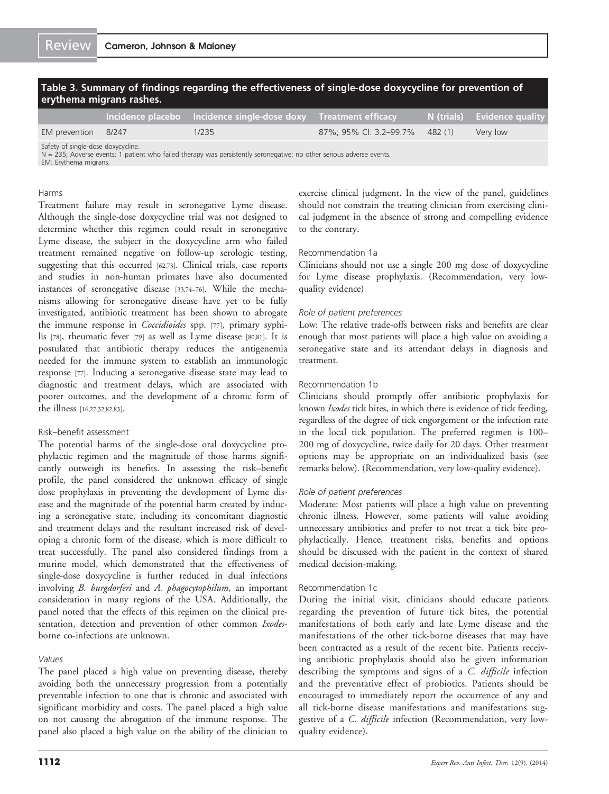<span id="page-10-0"></span>

| Table 3. Summary of findings regarding the effectiveness of single-dose doxycycline for prevention of<br>erythema migrans rashes.                                                       |                   |                                               |                        |            |                         |  |  |  |
|-----------------------------------------------------------------------------------------------------------------------------------------------------------------------------------------|-------------------|-----------------------------------------------|------------------------|------------|-------------------------|--|--|--|
|                                                                                                                                                                                         | Incidence placebo | Incidence single-dose doxy Treatment efficacy |                        | N (trials) | <b>Evidence quality</b> |  |  |  |
| EM prevention                                                                                                                                                                           | 8/247             | 1/235                                         | 87%; 95% CI: 3.2-99.7% | 482(1)     | Very low                |  |  |  |
| Safety of single-dose doxycycline.<br>$N = 235$ ; Adverse events: 1 patient who failed therapy was persistently seronegative; no other serious adverse events.<br>EM: Erythema migrans. |                   |                                               |                        |            |                         |  |  |  |

#### Harms

Treatment failure may result in seronegative Lyme disease. Although the single-dose doxycycline trial was not designed to determine whether this regimen could result in seronegative Lyme disease, the subject in the doxycycline arm who failed treatment remained negative on follow-up serologic testing, suggesting that this occurred [[62](#page-29-0),[73](#page-29-0)]. Clinical trials, case reports and studies in non-human primates have also documented instances of seronegative disease [\[33](#page-28-0)[,74](#page-29-0)–[76](#page-29-0)]. While the mechanisms allowing for seronegative disease have yet to be fully investigated, antibiotic treatment has been shown to abrogate the immune response in *Coccidioides* spp. [\[77](#page-29-0)], primary syphilis [[78](#page-29-0)], rheumatic fever [\[79](#page-29-0)] as well as Lyme disease [\[80,81\]](#page-29-0). It is postulated that antibiotic therapy reduces the antigenemia needed for the immune system to establish an immunologic response [\[77\]](#page-29-0). Inducing a seronegative disease state may lead to diagnostic and treatment delays, which are associated with poorer outcomes, and the development of a chronic form of the illness [[16,](#page-27-0)[27](#page-28-0),[32](#page-28-0),[82](#page-29-0),[83](#page-29-0)].

#### Risk–benefit assessment

The potential harms of the single-dose oral doxycycline prophylactic regimen and the magnitude of those harms significantly outweigh its benefits. In assessing the risk–benefit profile, the panel considered the unknown efficacy of single dose prophylaxis in preventing the development of Lyme disease and the magnitude of the potential harm created by inducing a seronegative state, including its concomitant diagnostic and treatment delays and the resultant increased risk of developing a chronic form of the disease, which is more difficult to treat successfully. The panel also considered findings from a murine model, which demonstrated that the effectiveness of single-dose doxycycline is further reduced in dual infections involving B. burgdorferi and A. phagocytophilum, an important consideration in many regions of the USA. Additionally, the panel noted that the effects of this regimen on the clinical presentation, detection and prevention of other common Ixodesborne co-infections are unknown.

#### Values

The panel placed a high value on preventing disease, thereby avoiding both the unnecessary progression from a potentially preventable infection to one that is chronic and associated with significant morbidity and costs. The panel placed a high value on not causing the abrogation of the immune response. The panel also placed a high value on the ability of the clinician to exercise clinical judgment. In the view of the panel, guidelines should not constrain the treating clinician from exercising clinical judgment in the absence of strong and compelling evidence to the contrary.

#### Recommendation 1a

Clinicians should not use a single 200 mg dose of doxycycline for Lyme disease prophylaxis. (Recommendation, very lowquality evidence)

#### Role of patient preferences

Low: The relative trade-offs between risks and benefits are clear enough that most patients will place a high value on avoiding a seronegative state and its attendant delays in diagnosis and treatment.

#### Recommendation 1b

Clinicians should promptly offer antibiotic prophylaxis for known Ixodes tick bites, in which there is evidence of tick feeding, regardless of the degree of tick engorgement or the infection rate in the local tick population. The preferred regimen is 100– 200 mg of doxycycline, twice daily for 20 days. Other treatment options may be appropriate on an individualized basis (see remarks below). (Recommendation, very low-quality evidence).

#### Role of patient preferences

Moderate: Most patients will place a high value on preventing chronic illness. However, some patients will value avoiding unnecessary antibiotics and prefer to not treat a tick bite prophylactically. Hence, treatment risks, benefits and options should be discussed with the patient in the context of shared medical decision-making.

#### Recommendation 1c

During the initial visit, clinicians should educate patients regarding the prevention of future tick bites, the potential manifestations of both early and late Lyme disease and the manifestations of the other tick-borne diseases that may have been contracted as a result of the recent bite. Patients receiving antibiotic prophylaxis should also be given information describing the symptoms and signs of a C. difficile infection and the preventative effect of probiotics. Patients should be encouraged to immediately report the occurrence of any and all tick-borne disease manifestations and manifestations suggestive of a C. difficile infection (Recommendation, very lowquality evidence).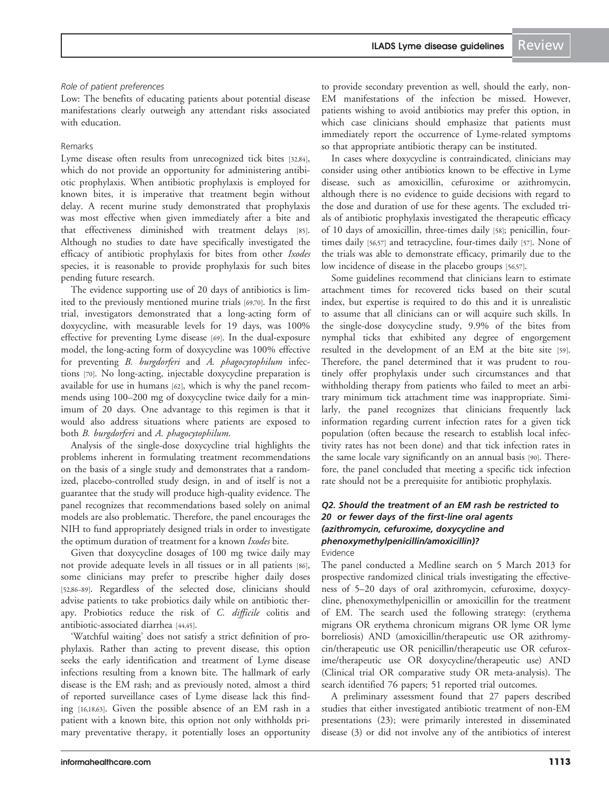## Role of patient preferences

Low: The benefits of educating patients about potential disease manifestations clearly outweigh any attendant risks associated with education.

## Remarks

Lyme disease often results from unrecognized tick bites [\[32,](#page-28-0)[84\]](#page-29-0), which do not provide an opportunity for administering antibiotic prophylaxis. When antibiotic prophylaxis is employed for known bites, it is imperative that treatment begin without delay. A recent murine study demonstrated that prophylaxis was most effective when given immediately after a bite and that effectiveness diminished with treatment delays [\[85\]](#page-29-0). Although no studies to date have specifically investigated the efficacy of antibiotic prophylaxis for bites from other Ixodes species, it is reasonable to provide prophylaxis for such bites pending future research.

The evidence supporting use of 20 days of antibiotics is limited to the previously mentioned murine trials [\[69,70\]](#page-29-0). In the first trial, investigators demonstrated that a long-acting form of doxycycline, with measurable levels for 19 days, was 100% effective for preventing Lyme disease [\[69](#page-29-0)]. In the dual-exposure model, the long-acting form of doxycycline was 100% effective for preventing B. burgdorferi and A. phagocytophilum infections [\[70\]](#page-29-0). No long-acting, injectable doxycycline preparation is available for use in humans [\[62\]](#page-29-0), which is why the panel recommends using 100–200 mg of doxycycline twice daily for a minimum of 20 days. One advantage to this regimen is that it would also address situations where patients are exposed to both B. burgdorferi and A. phagocytophilum.

Analysis of the single-dose doxycycline trial highlights the problems inherent in formulating treatment recommendations on the basis of a single study and demonstrates that a randomized, placebo-controlled study design, in and of itself is not a guarantee that the study will produce high-quality evidence. The panel recognizes that recommendations based solely on animal models are also problematic. Therefore, the panel encourages the NIH to fund appropriately designed trials in order to investigate the optimum duration of treatment for a known Ixodes bite.

Given that doxycycline dosages of 100 mg twice daily may not provide adequate levels in all tissues or in all patients [\[86\]](#page-29-0), some clinicians may prefer to prescribe higher daily doses [\[52](#page-28-0)[,86](#page-29-0)–[89](#page-29-0)]. Regardless of the selected dose, clinicians should advise patients to take probiotics daily while on antibiotic therapy. Probiotics reduce the risk of C. difficile colitis and antibiotic-associated diarrhea [\[44,45\]](#page-28-0).

'Watchful waiting' does not satisfy a strict definition of prophylaxis. Rather than acting to prevent disease, this option seeks the early identification and treatment of Lyme disease infections resulting from a known bite. The hallmark of early disease is the EM rash; and as previously noted, almost a third of reported surveillance cases of Lyme disease lack this finding [\[16](#page-27-0)[,18](#page-28-0)[,63\]](#page-29-0). Given the possible absence of an EM rash in a patient with a known bite, this option not only withholds primary preventative therapy, it potentially loses an opportunity

to provide secondary prevention as well, should the early, non-EM manifestations of the infection be missed. However, patients wishing to avoid antibiotics may prefer this option, in which case clinicians should emphasize that patients must immediately report the occurrence of Lyme-related symptoms so that appropriate antibiotic therapy can be instituted.

In cases where doxycycline is contraindicated, clinicians may consider using other antibiotics known to be effective in Lyme disease, such as amoxicillin, cefuroxime or azithromycin, although there is no evidence to guide decisions with regard to the dose and duration of use for these agents. The excluded trials of antibiotic prophylaxis investigated the therapeutic efficacy of 10 days of amoxicillin, three-times daily [[58](#page-29-0)]; penicillin, fourtimes daily [[56](#page-29-0),[57](#page-29-0)] and tetracycline, four-times daily [[57](#page-29-0)]. None of the trials was able to demonstrate efficacy, primarily due to the low incidence of disease in the placebo groups [\[56,57\]](#page-29-0).

Some guidelines recommend that clinicians learn to estimate attachment times for recovered ticks based on their scutal index, but expertise is required to do this and it is unrealistic to assume that all clinicians can or will acquire such skills. In the single-dose doxycycline study, 9.9% of the bites from nymphal ticks that exhibited any degree of engorgement resulted in the development of an EM at the bite site [[59](#page-29-0)]. Therefore, the panel determined that it was prudent to routinely offer prophylaxis under such circumstances and that withholding therapy from patients who failed to meet an arbitrary minimum tick attachment time was inappropriate. Similarly, the panel recognizes that clinicians frequently lack information regarding current infection rates for a given tick population (often because the research to establish local infectivity rates has not been done) and that tick infection rates in the same locale vary significantly on an annual basis [[90](#page-29-0)]. Therefore, the panel concluded that meeting a specific tick infection rate should not be a prerequisite for antibiotic prophylaxis.

## Q2. Should the treatment of an EM rash be restricted to 20 or fewer days of the first-line oral agents (azithromycin, cefuroxime, doxycycline and phenoxymethylpenicillin/amoxicillin)?

## Evidence

The panel conducted a Medline search on 5 March 2013 for prospective randomized clinical trials investigating the effectiveness of 5–20 days of oral azithromycin, cefuroxime, doxycycline, phenoxymethylpenicillin or amoxicillin for the treatment of EM. The search used the following strategy: (erythema migrans OR erythema chronicum migrans OR lyme OR lyme borreliosis) AND (amoxicillin/therapeutic use OR azithromycin/therapeutic use OR penicillin/therapeutic use OR cefuroxime/therapeutic use OR doxycycline/therapeutic use) AND (Clinical trial OR comparative study OR meta-analysis). The search identified 76 papers; 51 reported trial outcomes.

A preliminary assessment found that 27 papers described studies that either investigated antibiotic treatment of non-EM presentations (23); were primarily interested in disseminated disease (3) or did not involve any of the antibiotics of interest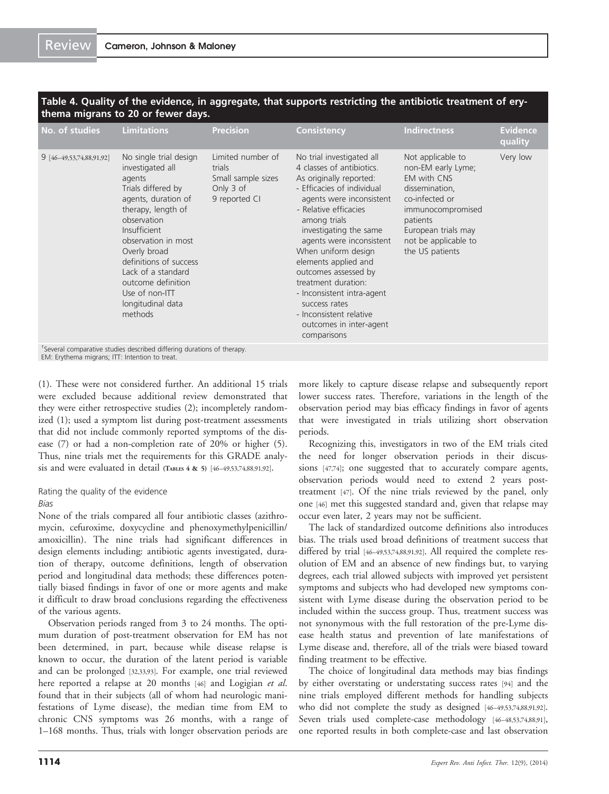|                          | dienia migrans to zo or rewer days.                                                                                                                                                                                                                                                                                   |                                                                                 |                                                                                                                                                                                                                                                                                                                                                                                                                                                              |                                                                                                                                                                                               |                            |  |  |  |  |
|--------------------------|-----------------------------------------------------------------------------------------------------------------------------------------------------------------------------------------------------------------------------------------------------------------------------------------------------------------------|---------------------------------------------------------------------------------|--------------------------------------------------------------------------------------------------------------------------------------------------------------------------------------------------------------------------------------------------------------------------------------------------------------------------------------------------------------------------------------------------------------------------------------------------------------|-----------------------------------------------------------------------------------------------------------------------------------------------------------------------------------------------|----------------------------|--|--|--|--|
| No. of studies           | <b>Limitations</b>                                                                                                                                                                                                                                                                                                    | <b>Precision</b>                                                                | Consistency                                                                                                                                                                                                                                                                                                                                                                                                                                                  | <b>Indirectness</b>                                                                                                                                                                           | <b>Evidence</b><br>quality |  |  |  |  |
| 9 [46-49,53,74,88,91,92] | No single trial design<br>investigated all<br>agents<br>Trials differed by<br>agents, duration of<br>therapy, length of<br>observation<br>Insufficient<br>observation in most<br>Overly broad<br>definitions of success<br>Lack of a standard<br>outcome definition<br>Use of non-ITT<br>longitudinal data<br>methods | Limited number of<br>trials<br>Small sample sizes<br>Only 3 of<br>9 reported CI | No trial investigated all<br>4 classes of antibiotics.<br>As originally reported:<br>- Efficacies of individual<br>agents were inconsistent<br>- Relative efficacies<br>among trials<br>investigating the same<br>agents were inconsistent<br>When uniform design<br>elements applied and<br>outcomes assessed by<br>treatment duration:<br>- Inconsistent intra-agent<br>success rates<br>- Inconsistent relative<br>outcomes in inter-agent<br>comparisons | Not applicable to<br>non-EM early Lyme;<br>EM with CNS<br>dissemination,<br>co-infected or<br>immunocompromised<br>patients<br>European trials may<br>not be applicable to<br>the US patients | Very low                   |  |  |  |  |
|                          | <sup>+</sup> Several comparative studies described differing durations of therapy.                                                                                                                                                                                                                                    |                                                                                 |                                                                                                                                                                                                                                                                                                                                                                                                                                                              |                                                                                                                                                                                               |                            |  |  |  |  |

#### Table 4. Quality of the evidence, in aggregate, that supports restricting the antibiotic treatment of ery $min<sub>1</sub>$  migrans to 20 or fewer day

EM: Erythema migrans; ITT: Intention to treat.

(1). These were not considered further. An additional 15 trials were excluded because additional review demonstrated that they were either retrospective studies (2); incompletely randomized (1); used a symptom list during post-treatment assessments that did not include commonly reported symptoms of the disease (7) or had a non-completion rate of 20% or higher (5). Thus, nine trials met the requirements for this GRADE analy-sis and were evaluated in detail (TABLES 4 & [5\)](#page-13-0) [[46](#page-28-0)-[49,53,](#page-28-0)[74,88](#page-29-0),[91](#page-29-0),[92](#page-29-0)].

## Rating the quality of the evidence

#### Bias

None of the trials compared all four antibiotic classes (azithromycin, cefuroxime, doxycycline and phenoxymethylpenicillin/ amoxicillin). The nine trials had significant differences in design elements including: antibiotic agents investigated, duration of therapy, outcome definitions, length of observation period and longitudinal data methods; these differences potentially biased findings in favor of one or more agents and make it difficult to draw broad conclusions regarding the effectiveness of the various agents.

Observation periods ranged from 3 to 24 months. The optimum duration of post-treatment observation for EM has not been determined, in part, because while disease relapse is known to occur, the duration of the latent period is variable and can be prolonged [\[32,33](#page-28-0)[,93\]](#page-29-0). For example, one trial reviewed here reported a relapse at 20 months [\[46\]](#page-28-0) and Logigian et al. found that in their subjects (all of whom had neurologic manifestations of Lyme disease), the median time from EM to chronic CNS symptoms was 26 months, with a range of 1–168 months. Thus, trials with longer observation periods are

more likely to capture disease relapse and subsequently report lower success rates. Therefore, variations in the length of the observation period may bias efficacy findings in favor of agents that were investigated in trials utilizing short observation periods.

Recognizing this, investigators in two of the EM trials cited the need for longer observation periods in their discussions [\[47](#page-28-0)[,74\]](#page-29-0); one suggested that to accurately compare agents, observation periods would need to extend 2 years posttreatment [\[47\]](#page-28-0). Of the nine trials reviewed by the panel, only one [[46](#page-28-0)] met this suggested standard and, given that relapse may occur even later, 2 years may not be sufficient.

The lack of standardized outcome definitions also introduces bias. The trials used broad definitions of treatment success that differed by trial [\[46](#page-28-0)–[49,53](#page-28-0)[,74,88,91,92\]](#page-29-0). All required the complete resolution of EM and an absence of new findings but, to varying degrees, each trial allowed subjects with improved yet persistent symptoms and subjects who had developed new symptoms consistent with Lyme disease during the observation period to be included within the success group. Thus, treatment success was not synonymous with the full restoration of the pre-Lyme disease health status and prevention of late manifestations of Lyme disease and, therefore, all of the trials were biased toward finding treatment to be effective.

The choice of longitudinal data methods may bias findings by either overstating or understating success rates [[94](#page-30-0)] and the nine trials employed different methods for handling subjects who did not complete the study as designed [\[46](#page-28-0)–[49,53](#page-28-0)[,74,88,91,92\]](#page-29-0). Seven trials used complete-case methodology [\[46](#page-28-0)–[48,53](#page-28-0)[,74,88,91\]](#page-29-0), one reported results in both complete-case and last observation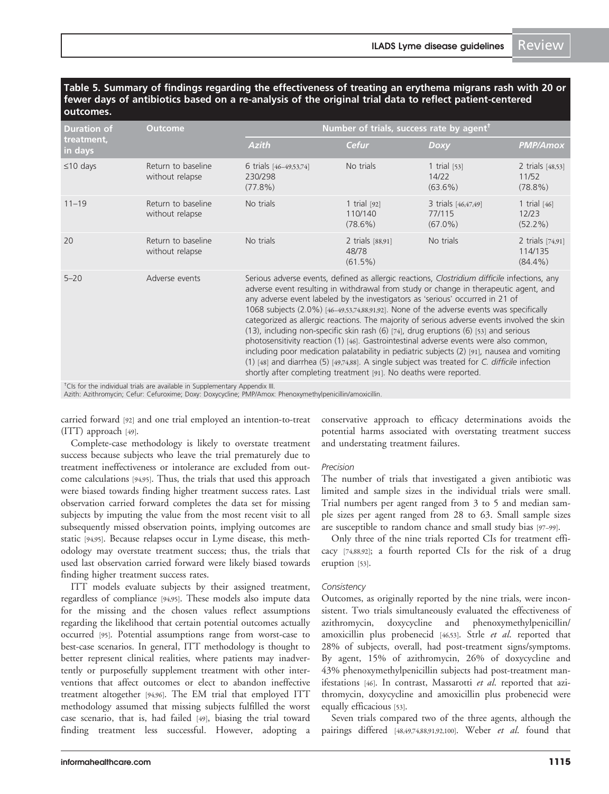#### <span id="page-13-0"></span>Table 5. Summary of findings regarding the effectiveness of treating an erythema migrans rash with 20 or fewer days of antibiotics based on a re-analysis of the original trial data to reflect patient-centered outcomes.

| <b>Duration of</b>    | <b>Outcome</b>                        | Number of trials, success rate by agent <sup>†</sup>                                                                                                                                                                                                                                                                                                                                                                                                                                                                                                                                                                                                                                                                                                                                                                                                                                                                                |                                         |                                             |                                           |  |  |
|-----------------------|---------------------------------------|-------------------------------------------------------------------------------------------------------------------------------------------------------------------------------------------------------------------------------------------------------------------------------------------------------------------------------------------------------------------------------------------------------------------------------------------------------------------------------------------------------------------------------------------------------------------------------------------------------------------------------------------------------------------------------------------------------------------------------------------------------------------------------------------------------------------------------------------------------------------------------------------------------------------------------------|-----------------------------------------|---------------------------------------------|-------------------------------------------|--|--|
| treatment,<br>in days |                                       | <b>Azith</b>                                                                                                                                                                                                                                                                                                                                                                                                                                                                                                                                                                                                                                                                                                                                                                                                                                                                                                                        | Cefur                                   | Doxy                                        | <b>PMP/Amox</b>                           |  |  |
| $\leq$ 10 days        | Return to baseline<br>without relapse | 6 trials [46-49,53,74]<br>230/298<br>(77.8%)                                                                                                                                                                                                                                                                                                                                                                                                                                                                                                                                                                                                                                                                                                                                                                                                                                                                                        | No trials                               | 1 trial $[53]$<br>14/22<br>$(63.6\%)$       | 2 trials [48,53]<br>11/52<br>$(78.8\%)$   |  |  |
| $11 - 19$             | Return to baseline<br>without relapse | No trials                                                                                                                                                                                                                                                                                                                                                                                                                                                                                                                                                                                                                                                                                                                                                                                                                                                                                                                           | 1 trial $[92]$<br>110/140<br>$(78.6\%)$ | 3 trials [46,47,49]<br>77/115<br>$(67.0\%)$ | 1 trial $[46]$<br>12/23<br>$(52.2\%)$     |  |  |
| 20                    | Return to baseline<br>without relapse | No trials                                                                                                                                                                                                                                                                                                                                                                                                                                                                                                                                                                                                                                                                                                                                                                                                                                                                                                                           | 2 trials [88,91]<br>48/78<br>$(61.5\%)$ | No trials                                   | 2 trials [74,91]<br>114/135<br>$(84.4\%)$ |  |  |
| $5 - 20$              | Adverse events                        | Serious adverse events, defined as allergic reactions, Clostridium difficile infections, any<br>adverse event resulting in withdrawal from study or change in therapeutic agent, and<br>any adverse event labeled by the investigators as 'serious' occurred in 21 of<br>1068 subjects (2.0%) [46-49,53,74,88,91,92]. None of the adverse events was specifically<br>categorized as allergic reactions. The majority of serious adverse events involved the skin<br>$(13)$ , including non-specific skin rash $(6)$ $[74]$ , drug eruptions $(6)$ $[53]$ and serious<br>photosensitivity reaction (1) [46]. Gastrointestinal adverse events were also common,<br>including poor medication palatability in pediatric subjects (2) [91], nausea and vomiting<br>$(1)$ [48] and diarrhea (5) [49,74,88]. A single subject was treated for C. difficile infection<br>shortly after completing treatment [91]. No deaths were reported. |                                         |                                             |                                           |  |  |

† CIs for the individual trials are available in Supplementary Appendix III. Azith: Azithromycin; Cefur: Cefuroxime; Doxy: Doxycycline; PMP/Amox: Phenoxymethylpenicillin/amoxicillin.

carried forward [[92](#page-29-0)] and one trial employed an intention-to-treat (ITT) approach [[49](#page-28-0)].

Complete-case methodology is likely to overstate treatment success because subjects who leave the trial prematurely due to treatment ineffectiveness or intolerance are excluded from outcome calculations [[94](#page-30-0),[95](#page-30-0)]. Thus, the trials that used this approach were biased towards finding higher treatment success rates. Last observation carried forward completes the data set for missing subjects by imputing the value from the most recent visit to all subsequently missed observation points, implying outcomes are static [[94](#page-30-0),[95](#page-30-0)]. Because relapses occur in Lyme disease, this methodology may overstate treatment success; thus, the trials that used last observation carried forward were likely biased towards finding higher treatment success rates.

ITT models evaluate subjects by their assigned treatment, regardless of compliance [\[94,95\]](#page-30-0). These models also impute data for the missing and the chosen values reflect assumptions regarding the likelihood that certain potential outcomes actually occurred [\[95](#page-30-0)]. Potential assumptions range from worst-case to best-case scenarios. In general, ITT methodology is thought to better represent clinical realities, where patients may inadvertently or purposefully supplement treatment with other interventions that affect outcomes or elect to abandon ineffective treatment altogether [[94](#page-30-0),[96](#page-30-0)]. The EM trial that employed ITT methodology assumed that missing subjects fulfilled the worst case scenario, that is, had failed [[49](#page-28-0)], biasing the trial toward finding treatment less successful. However, adopting a conservative approach to efficacy determinations avoids the potential harms associated with overstating treatment success and understating treatment failures.

#### Precision

The number of trials that investigated a given antibiotic was limited and sample sizes in the individual trials were small. Trial numbers per agent ranged from 3 to 5 and median sample sizes per agent ranged from 28 to 63. Small sample sizes are susceptible to random chance and small study bias [\[97](#page-30-0)–[99](#page-30-0)].

Only three of the nine trials reported CIs for treatment efficacy [[74,88](#page-29-0),[92](#page-29-0)]; a fourth reported CIs for the risk of a drug eruption [\[53\]](#page-28-0).

#### **Consistency**

Outcomes, as originally reported by the nine trials, were inconsistent. Two trials simultaneously evaluated the effectiveness of azithromycin, doxycycline and phenoxymethylpenicillin/ amoxicillin plus probenecid [\[46,53\]](#page-28-0). Strle et al. reported that 28% of subjects, overall, had post-treatment signs/symptoms. By agent, 15% of azithromycin, 26% of doxycycline and 43% phenoxymethylpenicillin subjects had post-treatment man-ifestations [[46](#page-28-0)]. In contrast, Massarotti et al. reported that azithromycin, doxycycline and amoxicillin plus probenecid were equally efficacious [\[53](#page-28-0)].

Seven trials compared two of the three agents, although the pairings differed [[48](#page-28-0),[49](#page-28-0),[74](#page-29-0),[88](#page-29-0),[91](#page-29-0),[92](#page-29-0)[,100](#page-30-0)]. Weber et al. found that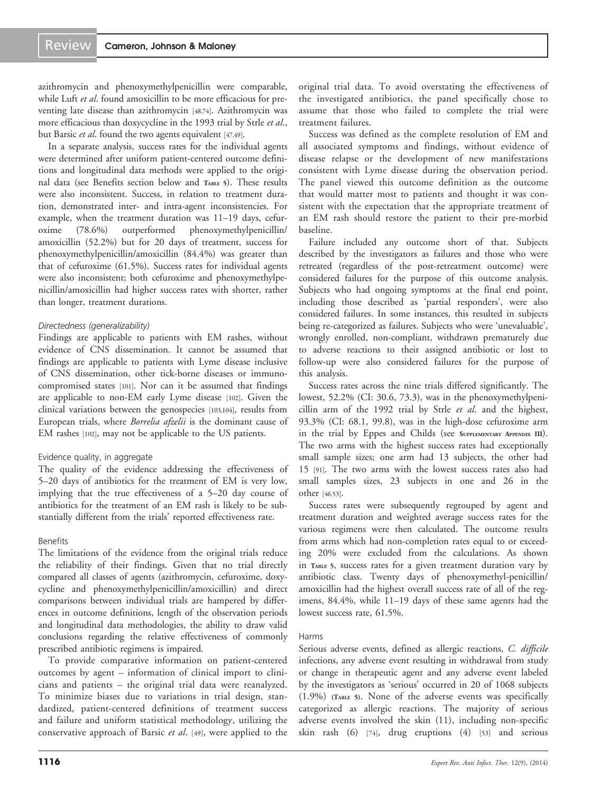azithromycin and phenoxymethylpenicillin were comparable, while Luft et al. found amoxicillin to be more efficacious for preventing late disease than azithromycin [[48](#page-28-0),[74](#page-29-0)]. Azithromycin was more efficacious than doxycycline in the 1993 trial by Strle et al., but Barsic et al. found the two agents equivalent [\[47,49\]](#page-28-0).

In a separate analysis, success rates for the individual agents were determined after uniform patient-centered outcome definitions and longitudinal data methods were applied to the origi-nal data (see Benefits section below and [TABLE](#page-13-0) 5). These results were also inconsistent. Success, in relation to treatment duration, demonstrated inter- and intra-agent inconsistencies. For example, when the treatment duration was 11–19 days, cefuroxime (78.6%) outperformed phenoxymethylpenicillin/ amoxicillin (52.2%) but for 20 days of treatment, success for phenoxymethylpenicillin/amoxicillin (84.4%) was greater than that of cefuroxime (61.5%). Success rates for individual agents were also inconsistent; both cefuroxime and phenoxymethylpenicillin/amoxicillin had higher success rates with shorter, rather than longer, treatment durations.

#### Directedness (generalizability)

Findings are applicable to patients with EM rashes, without evidence of CNS dissemination. It cannot be assumed that findings are applicable to patients with Lyme disease inclusive of CNS dissemination, other tick-borne diseases or immunocompromised states [[101](#page-30-0)]. Nor can it be assumed that findings are applicable to non-EM early Lyme disease [[102\]](#page-30-0). Given the clinical variations between the genospecies [\[103,104](#page-30-0)], results from European trials, where Borrelia afzelii is the dominant cause of EM rashes [[102\]](#page-30-0), may not be applicable to the US patients.

#### Evidence quality, in aggregate

The quality of the evidence addressing the effectiveness of 5–20 days of antibiotics for the treatment of EM is very low, implying that the true effectiveness of a 5–20 day course of antibiotics for the treatment of an EM rash is likely to be substantially different from the trials' reported effectiveness rate.

#### Benefits

The limitations of the evidence from the original trials reduce the reliability of their findings. Given that no trial directly compared all classes of agents (azithromycin, cefuroxime, doxycycline and phenoxymethylpenicillin/amoxicillin) and direct comparisons between individual trials are hampered by differences in outcome definitions, length of the observation periods and longitudinal data methodologies, the ability to draw valid conclusions regarding the relative effectiveness of commonly prescribed antibiotic regimens is impaired.

To provide comparative information on patient-centered outcomes by agent – information of clinical import to clinicians and patients – the original trial data were reanalyzed. To minimize biases due to variations in trial design, standardized, patient-centered definitions of treatment success and failure and uniform statistical methodology, utilizing the conservative approach of Barsic et al. [[49\]](#page-28-0), were applied to the original trial data. To avoid overstating the effectiveness of the investigated antibiotics, the panel specifically chose to assume that those who failed to complete the trial were treatment failures.

Success was defined as the complete resolution of EM and all associated symptoms and findings, without evidence of disease relapse or the development of new manifestations consistent with Lyme disease during the observation period. The panel viewed this outcome definition as the outcome that would matter most to patients and thought it was consistent with the expectation that the appropriate treatment of an EM rash should restore the patient to their pre-morbid baseline.

Failure included any outcome short of that. Subjects described by the investigators as failures and those who were retreated (regardless of the post-retreatment outcome) were considered failures for the purpose of this outcome analysis. Subjects who had ongoing symptoms at the final end point, including those described as 'partial responders', were also considered failures. In some instances, this resulted in subjects being re-categorized as failures. Subjects who were 'unevaluable', wrongly enrolled, non-compliant, withdrawn prematurely due to adverse reactions to their assigned antibiotic or lost to follow-up were also considered failures for the purpose of this analysis.

Success rates across the nine trials differed significantly. The lowest, 52.2% (CI: 30.6, 73.3), was in the phenoxymethylpenicillin arm of the 1992 trial by Strle et al. and the highest, 93.3% (CI: 68.1, 99.8), was in the high-dose cefuroxime arm in the trial by Eppes and Childs (see [SUPPLEMENTARY](http://informahealthcare.com/doi/suppl/10.1586/14787210.2014.940900/suppl_file/10.1586/14787210.2014.940900_suppl.doc) APPENDIX III). The two arms with the highest success rates had exceptionally small sample sizes; one arm had 13 subjects, the other had 15 [\[91\]](#page-29-0). The two arms with the lowest success rates also had small samples sizes, 23 subjects in one and 26 in the other [[46](#page-28-0),[53](#page-28-0)].

Success rates were subsequently regrouped by agent and treatment duration and weighted average success rates for the various regimens were then calculated. The outcome results from arms which had non-completion rates equal to or exceeding 20% were excluded from the calculations. As shown in [TABLE](#page-13-0) <sup>5</sup>, success rates for a given treatment duration vary by antibiotic class. Twenty days of phenoxymethyl-penicillin/ amoxicillin had the highest overall success rate of all of the regimens, 84.4%, while 11–19 days of these same agents had the lowest success rate, 61.5%.

#### Harms

Serious adverse events, defined as allergic reactions, C. difficile infections, any adverse event resulting in withdrawal from study or change in therapeutic agent and any adverse event labeled by the investigators as 'serious' occurred in 20 of 1068 subjects (1.9%) [\(TABLE](#page-13-0) 5). None of the adverse events was specifically categorized as allergic reactions. The majority of serious adverse events involved the skin (11), including non-specific skin rash (6) [\[74\]](#page-29-0), drug eruptions (4) [\[53\]](#page-28-0) and serious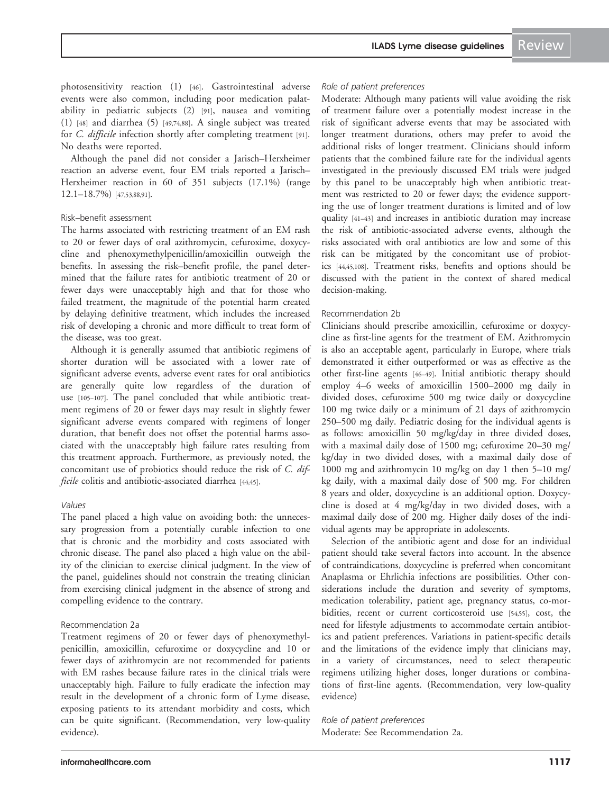photosensitivity reaction (1) [\[46](#page-28-0)]. Gastrointestinal adverse events were also common, including poor medication palatability in pediatric subjects (2) [[91\]](#page-29-0), nausea and vomiting (1) [\[48\]](#page-28-0) and diarrhea (5) [\[49](#page-28-0)[,74](#page-29-0),[88](#page-29-0)]. A single subject was treated for C. difficile infection shortly after completing treatment [[91\]](#page-29-0). No deaths were reported.

Although the panel did not consider a Jarisch–Herxheimer reaction an adverse event, four EM trials reported a Jarisch– Herxheimer reaction in 60 of 351 subjects (17.1%) (range 12.1–18.7%) [[47](#page-28-0),[53](#page-28-0)[,88,91](#page-29-0)].

## Risk–benefit assessment

The harms associated with restricting treatment of an EM rash to 20 or fewer days of oral azithromycin, cefuroxime, doxycycline and phenoxymethylpenicillin/amoxicillin outweigh the benefits. In assessing the risk–benefit profile, the panel determined that the failure rates for antibiotic treatment of 20 or fewer days were unacceptably high and that for those who failed treatment, the magnitude of the potential harm created by delaying definitive treatment, which includes the increased risk of developing a chronic and more difficult to treat form of the disease, was too great.

Although it is generally assumed that antibiotic regimens of shorter duration will be associated with a lower rate of significant adverse events, adverse event rates for oral antibiotics are generally quite low regardless of the duration of use [\[105](#page-30-0)–[107\]](#page-30-0). The panel concluded that while antibiotic treatment regimens of 20 or fewer days may result in slightly fewer significant adverse events compared with regimens of longer duration, that benefit does not offset the potential harms associated with the unacceptably high failure rates resulting from this treatment approach. Furthermore, as previously noted, the concomitant use of probiotics should reduce the risk of C. dif-ficile colitis and antibiotic-associated diarrhea [[44](#page-28-0),[45](#page-28-0)].

## Values

The panel placed a high value on avoiding both: the unnecessary progression from a potentially curable infection to one that is chronic and the morbidity and costs associated with chronic disease. The panel also placed a high value on the ability of the clinician to exercise clinical judgment. In the view of the panel, guidelines should not constrain the treating clinician from exercising clinical judgment in the absence of strong and compelling evidence to the contrary.

## Recommendation 2a

Treatment regimens of 20 or fewer days of phenoxymethylpenicillin, amoxicillin, cefuroxime or doxycycline and 10 or fewer days of azithromycin are not recommended for patients with EM rashes because failure rates in the clinical trials were unacceptably high. Failure to fully eradicate the infection may result in the development of a chronic form of Lyme disease, exposing patients to its attendant morbidity and costs, which can be quite significant. (Recommendation, very low-quality evidence).

#### Role of patient preferences

Moderate: Although many patients will value avoiding the risk of treatment failure over a potentially modest increase in the risk of significant adverse events that may be associated with longer treatment durations, others may prefer to avoid the additional risks of longer treatment. Clinicians should inform patients that the combined failure rate for the individual agents investigated in the previously discussed EM trials were judged by this panel to be unacceptably high when antibiotic treatment was restricted to 20 or fewer days; the evidence supporting the use of longer treatment durations is limited and of low quality [\[41](#page-28-0)–[43](#page-28-0)] and increases in antibiotic duration may increase the risk of antibiotic-associated adverse events, although the risks associated with oral antibiotics are low and some of this risk can be mitigated by the concomitant use of probiotics [[44](#page-28-0),[45](#page-28-0),[108](#page-30-0)]. Treatment risks, benefits and options should be discussed with the patient in the context of shared medical decision-making.

#### Recommendation 2b

Clinicians should prescribe amoxicillin, cefuroxime or doxycycline as first-line agents for the treatment of EM. Azithromycin is also an acceptable agent, particularly in Europe, where trials demonstrated it either outperformed or was as effective as the other first-line agents [\[46](#page-28-0)–[49](#page-28-0)]. Initial antibiotic therapy should employ 4–6 weeks of amoxicillin 1500–2000 mg daily in divided doses, cefuroxime 500 mg twice daily or doxycycline 100 mg twice daily or a minimum of 21 days of azithromycin 250–500 mg daily. Pediatric dosing for the individual agents is as follows: amoxicillin 50 mg/kg/day in three divided doses, with a maximal daily dose of 1500 mg; cefuroxime 20–30 mg/ kg/day in two divided doses, with a maximal daily dose of 1000 mg and azithromycin 10 mg/kg on day 1 then 5–10 mg/ kg daily, with a maximal daily dose of 500 mg. For children 8 years and older, doxycycline is an additional option. Doxycycline is dosed at 4 mg/kg/day in two divided doses, with a maximal daily dose of 200 mg. Higher daily doses of the individual agents may be appropriate in adolescents.

Selection of the antibiotic agent and dose for an individual patient should take several factors into account. In the absence of contraindications, doxycycline is preferred when concomitant Anaplasma or Ehrlichia infections are possibilities. Other considerations include the duration and severity of symptoms, medication tolerability, patient age, pregnancy status, co-morbidities, recent or current corticosteroid use [\[54](#page-28-0)[,55\]](#page-29-0), cost, the need for lifestyle adjustments to accommodate certain antibiotics and patient preferences. Variations in patient-specific details and the limitations of the evidence imply that clinicians may, in a variety of circumstances, need to select therapeutic regimens utilizing higher doses, longer durations or combinations of first-line agents. (Recommendation, very low-quality evidence)

## Role of patient preferences

Moderate: See Recommendation 2a.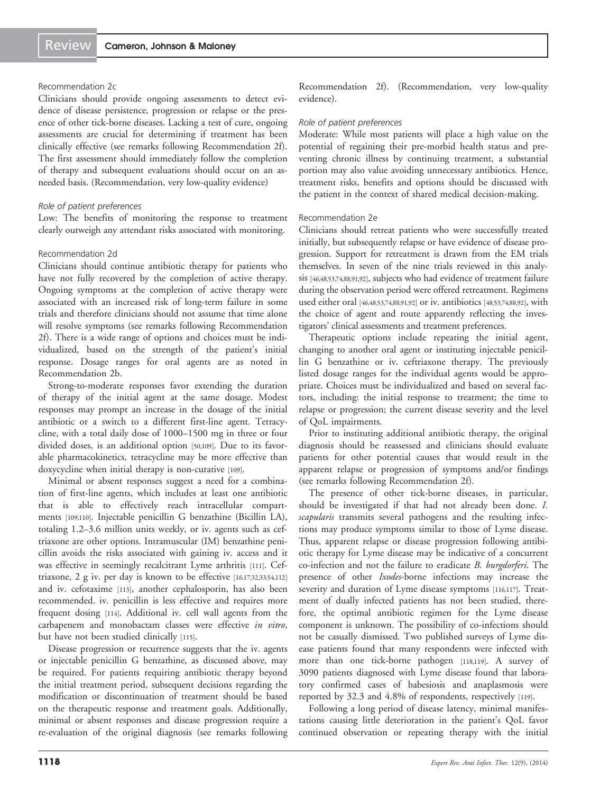#### Recommendation 2c

Clinicians should provide ongoing assessments to detect evidence of disease persistence, progression or relapse or the presence of other tick-borne diseases. Lacking a test of cure, ongoing assessments are crucial for determining if treatment has been clinically effective (see remarks following Recommendation 2f). The first assessment should immediately follow the completion of therapy and subsequent evaluations should occur on an asneeded basis. (Recommendation, very low-quality evidence)

#### Role of patient preferences

Low: The benefits of monitoring the response to treatment clearly outweigh any attendant risks associated with monitoring.

#### Recommendation 2d

Clinicians should continue antibiotic therapy for patients who have not fully recovered by the completion of active therapy. Ongoing symptoms at the completion of active therapy were associated with an increased risk of long-term failure in some trials and therefore clinicians should not assume that time alone will resolve symptoms (see remarks following Recommendation 2f). There is a wide range of options and choices must be individualized, based on the strength of the patient's initial response. Dosage ranges for oral agents are as noted in Recommendation 2b.

Strong-to-moderate responses favor extending the duration of therapy of the initial agent at the same dosage. Modest responses may prompt an increase in the dosage of the initial antibiotic or a switch to a different first-line agent. Tetracycline, with a total daily dose of 1000–1500 mg in three or four divided doses, is an additional option [[50](#page-28-0),[109\]](#page-30-0). Due to its favorable pharmacokinetics, tetracycline may be more effective than doxycycline when initial therapy is non-curative [\[109](#page-30-0)].

Minimal or absent responses suggest a need for a combination of first-line agents, which includes at least one antibiotic that is able to effectively reach intracellular compartments [[109,110\]](#page-30-0). Injectable penicillin G benzathine (Bicillin LA), totaling 1.2–3.6 million units weekly, or iv. agents such as ceftriaxone are other options. Intramuscular (IM) benzathine penicillin avoids the risks associated with gaining iv. access and it was effective in seemingly recalcitrant Lyme arthritis [\[111](#page-30-0)]. Ceftriaxone, 2 g iv. per day is known to be effective [[16](#page-27-0),[17](#page-27-0),[32](#page-28-0),[33](#page-28-0),[54](#page-28-0)[,112](#page-30-0)] and iv. cefotaxime [\[113](#page-30-0)], another cephalosporin, has also been recommended. iv. penicillin is less effective and requires more frequent dosing [\[114](#page-30-0)]. Additional iv. cell wall agents from the carbapenem and monobactam classes were effective in vitro, but have not been studied clinically [[115\]](#page-30-0).

Disease progression or recurrence suggests that the iv. agents or injectable penicillin G benzathine, as discussed above, may be required. For patients requiring antibiotic therapy beyond the initial treatment period, subsequent decisions regarding the modification or discontinuation of treatment should be based on the therapeutic response and treatment goals. Additionally, minimal or absent responses and disease progression require a re-evaluation of the original diagnosis (see remarks following

Recommendation 2f). (Recommendation, very low-quality evidence).

#### Role of patient preferences

Moderate: While most patients will place a high value on the potential of regaining their pre-morbid health status and preventing chronic illness by continuing treatment, a substantial portion may also value avoiding unnecessary antibiotics. Hence, treatment risks, benefits and options should be discussed with the patient in the context of shared medical decision-making.

#### Recommendation 2e

Clinicians should retreat patients who were successfully treated initially, but subsequently relapse or have evidence of disease progression. Support for retreatment is drawn from the EM trials themselves. In seven of the nine trials reviewed in this analysis [[46,48,53](#page-28-0)[,74,88](#page-29-0),[91](#page-29-0),[92](#page-29-0)], subjects who had evidence of treatment failure during the observation period were offered retreatment. Regimens used either oral [[46](#page-28-0),[48](#page-28-0),[53](#page-28-0)[,74,88,91,92](#page-29-0)] or iv. antibiotics [\[48,53,](#page-28-0)[74,88](#page-29-0),[92](#page-29-0)], with the choice of agent and route apparently reflecting the investigators' clinical assessments and treatment preferences.

Therapeutic options include repeating the initial agent, changing to another oral agent or instituting injectable penicillin G benzathine or iv. ceftriaxone therapy. The previously listed dosage ranges for the individual agents would be appropriate. Choices must be individualized and based on several factors, including: the initial response to treatment; the time to relapse or progression; the current disease severity and the level of QoL impairments.

Prior to instituting additional antibiotic therapy, the original diagnosis should be reassessed and clinicians should evaluate patients for other potential causes that would result in the apparent relapse or progression of symptoms and/or findings (see remarks following Recommendation 2f).

The presence of other tick-borne diseases, in particular, should be investigated if that had not already been done. I. scapularis transmits several pathogens and the resulting infections may produce symptoms similar to those of Lyme disease. Thus, apparent relapse or disease progression following antibiotic therapy for Lyme disease may be indicative of a concurrent co-infection and not the failure to eradicate B. burgdorferi. The presence of other Ixodes-borne infections may increase the severity and duration of Lyme disease symptoms [\[116](#page-30-0),[117](#page-30-0)]. Treatment of dually infected patients has not been studied, therefore, the optimal antibiotic regimen for the Lyme disease component is unknown. The possibility of co-infections should not be casually dismissed. Two published surveys of Lyme disease patients found that many respondents were infected with more than one tick-borne pathogen [\[118,119](#page-30-0)]. A survey of 3090 patients diagnosed with Lyme disease found that laboratory confirmed cases of babesiosis and anaplasmosis were reported by 32.3 and 4.8% of respondents, respectively [[119\]](#page-30-0).

Following a long period of disease latency, minimal manifestations causing little deterioration in the patient's QoL favor continued observation or repeating therapy with the initial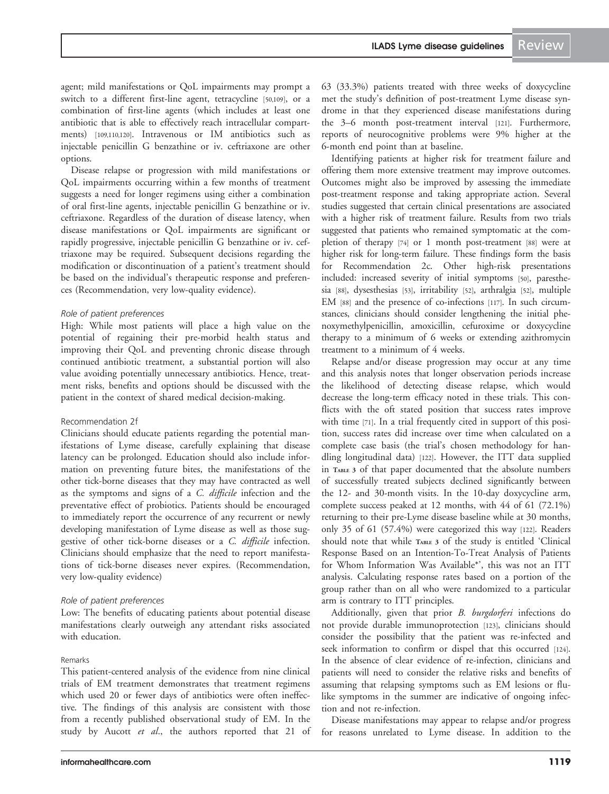agent; mild manifestations or QoL impairments may prompt a switch to a different first-line agent, tetracycline [\[50](#page-28-0)[,109](#page-30-0)], or a combination of first-line agents (which includes at least one antibiotic that is able to effectively reach intracellular compartments) [\[109,110](#page-30-0),[120\]](#page-30-0). Intravenous or IM antibiotics such as injectable penicillin G benzathine or iv. ceftriaxone are other options.

Disease relapse or progression with mild manifestations or QoL impairments occurring within a few months of treatment suggests a need for longer regimens using either a combination of oral first-line agents, injectable penicillin G benzathine or iv. ceftriaxone. Regardless of the duration of disease latency, when disease manifestations or QoL impairments are significant or rapidly progressive, injectable penicillin G benzathine or iv. ceftriaxone may be required. Subsequent decisions regarding the modification or discontinuation of a patient's treatment should be based on the individual's therapeutic response and preferences (Recommendation, very low-quality evidence).

#### Role of patient preferences

High: While most patients will place a high value on the potential of regaining their pre-morbid health status and improving their QoL and preventing chronic disease through continued antibiotic treatment, a substantial portion will also value avoiding potentially unnecessary antibiotics. Hence, treatment risks, benefits and options should be discussed with the patient in the context of shared medical decision-making.

#### Recommendation 2f

Clinicians should educate patients regarding the potential manifestations of Lyme disease, carefully explaining that disease latency can be prolonged. Education should also include information on preventing future bites, the manifestations of the other tick-borne diseases that they may have contracted as well as the symptoms and signs of a C. difficile infection and the preventative effect of probiotics. Patients should be encouraged to immediately report the occurrence of any recurrent or newly developing manifestation of Lyme disease as well as those suggestive of other tick-borne diseases or a C. difficile infection. Clinicians should emphasize that the need to report manifestations of tick-borne diseases never expires. (Recommendation, very low-quality evidence)

#### Role of patient preferences

Low: The benefits of educating patients about potential disease manifestations clearly outweigh any attendant risks associated with education.

#### Remarks

This patient-centered analysis of the evidence from nine clinical trials of EM treatment demonstrates that treatment regimens which used 20 or fewer days of antibiotics were often ineffective. The findings of this analysis are consistent with those from a recently published observational study of EM. In the study by Aucott et al., the authors reported that 21 of 63 (33.3%) patients treated with three weeks of doxycycline met the study's definition of post-treatment Lyme disease syndrome in that they experienced disease manifestations during the 3–6 month post-treatment interval [\[121\]](#page-30-0). Furthermore, reports of neurocognitive problems were 9% higher at the 6-month end point than at baseline.

Identifying patients at higher risk for treatment failure and offering them more extensive treatment may improve outcomes. Outcomes might also be improved by assessing the immediate post-treatment response and taking appropriate action. Several studies suggested that certain clinical presentations are associated with a higher risk of treatment failure. Results from two trials suggested that patients who remained symptomatic at the completion of therapy [\[74\]](#page-29-0) or 1 month post-treatment [[88](#page-29-0)] were at higher risk for long-term failure. These findings form the basis for Recommendation 2c. Other high-risk presentations included: increased severity of initial symptoms [[50](#page-28-0)], paresthesia [\[88\]](#page-29-0), dysesthesias [[53](#page-28-0)], irritability [\[52\]](#page-28-0), arthralgia [\[52\]](#page-28-0), multiple EM [[88](#page-29-0)] and the presence of co-infections [\[117](#page-30-0)]. In such circumstances, clinicians should consider lengthening the initial phenoxymethylpenicillin, amoxicillin, cefuroxime or doxycycline therapy to a minimum of 6 weeks or extending azithromycin treatment to a minimum of 4 weeks.

Relapse and/or disease progression may occur at any time and this analysis notes that longer observation periods increase the likelihood of detecting disease relapse, which would decrease the long-term efficacy noted in these trials. This conflicts with the oft stated position that success rates improve with time [[71\]](#page-29-0). In a trial frequently cited in support of this position, success rates did increase over time when calculated on a complete case basis (the trial's chosen methodology for handling longitudinal data) [\[122\]](#page-30-0). However, the ITT data supplied in [TABLE](#page-10-0) <sup>3</sup> of that paper documented that the absolute numbers of successfully treated subjects declined significantly between the 12- and 30-month visits. In the 10-day doxycycline arm, complete success peaked at 12 months, with 44 of 61 (72.1%) returning to their pre-Lyme disease baseline while at 30 months, only 35 of 61 (57.4%) were categorized this way [\[122](#page-30-0)]. Readers should note that while [TABLE](#page-10-0) 3 of the study is entitled 'Clinical Response Based on an Intention-To-Treat Analysis of Patients for Whom Information Was Available\*', this was not an ITT analysis. Calculating response rates based on a portion of the group rather than on all who were randomized to a particular arm is contrary to ITT principles.

Additionally, given that prior B. burgdorferi infections do not provide durable immunoprotection [\[123](#page-30-0)], clinicians should consider the possibility that the patient was re-infected and seek information to confirm or dispel that this occurred [\[124](#page-30-0)]. In the absence of clear evidence of re-infection, clinicians and patients will need to consider the relative risks and benefits of assuming that relapsing symptoms such as EM lesions or flulike symptoms in the summer are indicative of ongoing infection and not re-infection.

Disease manifestations may appear to relapse and/or progress for reasons unrelated to Lyme disease. In addition to the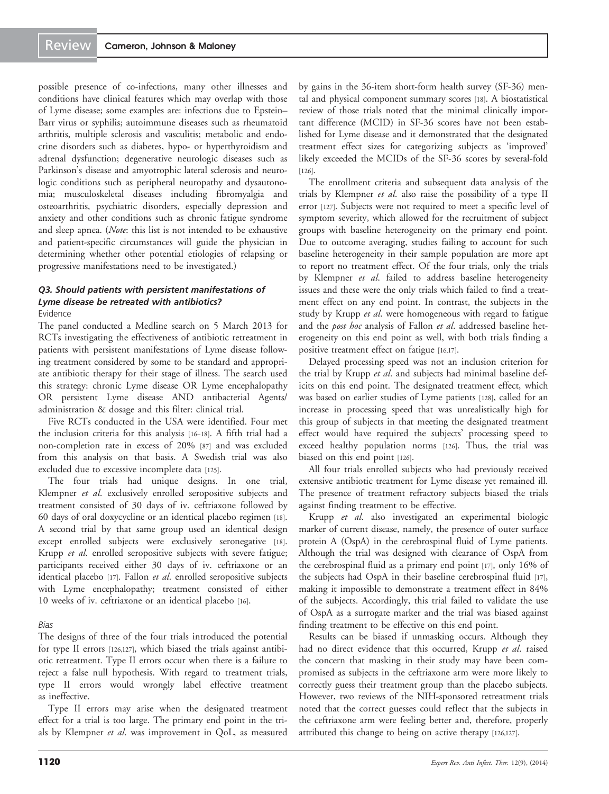possible presence of co-infections, many other illnesses and conditions have clinical features which may overlap with those of Lyme disease; some examples are: infections due to Epstein– Barr virus or syphilis; autoimmune diseases such as rheumatoid arthritis, multiple sclerosis and vasculitis; metabolic and endocrine disorders such as diabetes, hypo- or hyperthyroidism and adrenal dysfunction; degenerative neurologic diseases such as Parkinson's disease and amyotrophic lateral sclerosis and neurologic conditions such as peripheral neuropathy and dysautonomia; musculoskeletal diseases including fibromyalgia and osteoarthritis, psychiatric disorders, especially depression and anxiety and other conditions such as chronic fatigue syndrome and sleep apnea. (Note: this list is not intended to be exhaustive and patient-specific circumstances will guide the physician in determining whether other potential etiologies of relapsing or progressive manifestations need to be investigated.)

## Q3. Should patients with persistent manifestations of Lyme disease be retreated with antibiotics?

Evidence

The panel conducted a Medline search on 5 March 2013 for RCTs investigating the effectiveness of antibiotic retreatment in patients with persistent manifestations of Lyme disease following treatment considered by some to be standard and appropriate antibiotic therapy for their stage of illness. The search used this strategy: chronic Lyme disease OR Lyme encephalopathy OR persistent Lyme disease AND antibacterial Agents/ administration & dosage and this filter: clinical trial.

Five RCTs conducted in the USA were identified. Four met the inclusion criteria for this analysis [[16](#page-27-0)–[18\]](#page-28-0). A fifth trial had a non-completion rate in excess of 20% [\[87](#page-29-0)] and was excluded from this analysis on that basis. A Swedish trial was also excluded due to excessive incomplete data [\[125](#page-30-0)].

The four trials had unique designs. In one trial, Klempner et al. exclusively enrolled seropositive subjects and treatment consisted of 30 days of iv. ceftriaxone followed by 60 days of oral doxycycline or an identical placebo regimen [\[18](#page-28-0)]. A second trial by that same group used an identical design except enrolled subjects were exclusively seronegative [\[18](#page-28-0)]. Krupp et al. enrolled seropositive subjects with severe fatigue; participants received either 30 days of iv. ceftriaxone or an identical placebo [[17](#page-27-0)]. Fallon et al. enrolled seropositive subjects with Lyme encephalopathy; treatment consisted of either 10 weeks of iv. ceftriaxone or an identical placebo [[16](#page-27-0)].

#### Bias

The designs of three of the four trials introduced the potential for type II errors [[126,127](#page-30-0)], which biased the trials against antibiotic retreatment. Type II errors occur when there is a failure to reject a false null hypothesis. With regard to treatment trials, type II errors would wrongly label effective treatment as ineffective.

Type II errors may arise when the designated treatment effect for a trial is too large. The primary end point in the trials by Klempner et al. was improvement in QoL, as measured by gains in the 36-item short-form health survey (SF-36) mental and physical component summary scores [\[18\]](#page-28-0). A biostatistical review of those trials noted that the minimal clinically important difference (MCID) in SF-36 scores have not been established for Lyme disease and it demonstrated that the designated treatment effect sizes for categorizing subjects as 'improved' likely exceeded the MCIDs of the SF-36 scores by several-fold [\[126](#page-30-0)].

The enrollment criteria and subsequent data analysis of the trials by Klempner et al. also raise the possibility of a type II error [\[127](#page-30-0)]. Subjects were not required to meet a specific level of symptom severity, which allowed for the recruitment of subject groups with baseline heterogeneity on the primary end point. Due to outcome averaging, studies failing to account for such baseline heterogeneity in their sample population are more apt to report no treatment effect. Of the four trials, only the trials by Klempner et al. failed to address baseline heterogeneity issues and these were the only trials which failed to find a treatment effect on any end point. In contrast, the subjects in the study by Krupp et al. were homogeneous with regard to fatigue and the *post hoc* analysis of Fallon et al. addressed baseline heterogeneity on this end point as well, with both trials finding a positive treatment effect on fatigue [\[16,17\]](#page-27-0).

Delayed processing speed was not an inclusion criterion for the trial by Krupp et al. and subjects had minimal baseline deficits on this end point. The designated treatment effect, which was based on earlier studies of Lyme patients [[128\]](#page-30-0), called for an increase in processing speed that was unrealistically high for this group of subjects in that meeting the designated treatment effect would have required the subjects' processing speed to exceed healthy population norms [\[126](#page-30-0)]. Thus, the trial was biased on this end point [[126\]](#page-30-0).

All four trials enrolled subjects who had previously received extensive antibiotic treatment for Lyme disease yet remained ill. The presence of treatment refractory subjects biased the trials against finding treatment to be effective.

Krupp et al. also investigated an experimental biologic marker of current disease, namely, the presence of outer surface protein A (OspA) in the cerebrospinal fluid of Lyme patients. Although the trial was designed with clearance of OspA from the cerebrospinal fluid as a primary end point [\[17](#page-27-0)], only 16% of the subjects had OspA in their baseline cerebrospinal fluid [\[17\]](#page-27-0), making it impossible to demonstrate a treatment effect in 84% of the subjects. Accordingly, this trial failed to validate the use of OspA as a surrogate marker and the trial was biased against finding treatment to be effective on this end point.

Results can be biased if unmasking occurs. Although they had no direct evidence that this occurred, Krupp et al. raised the concern that masking in their study may have been compromised as subjects in the ceftriaxone arm were more likely to correctly guess their treatment group than the placebo subjects. However, two reviews of the NIH-sponsored retreatment trials noted that the correct guesses could reflect that the subjects in the ceftriaxone arm were feeling better and, therefore, properly attributed this change to being on active therapy [[126](#page-30-0),[127\]](#page-30-0).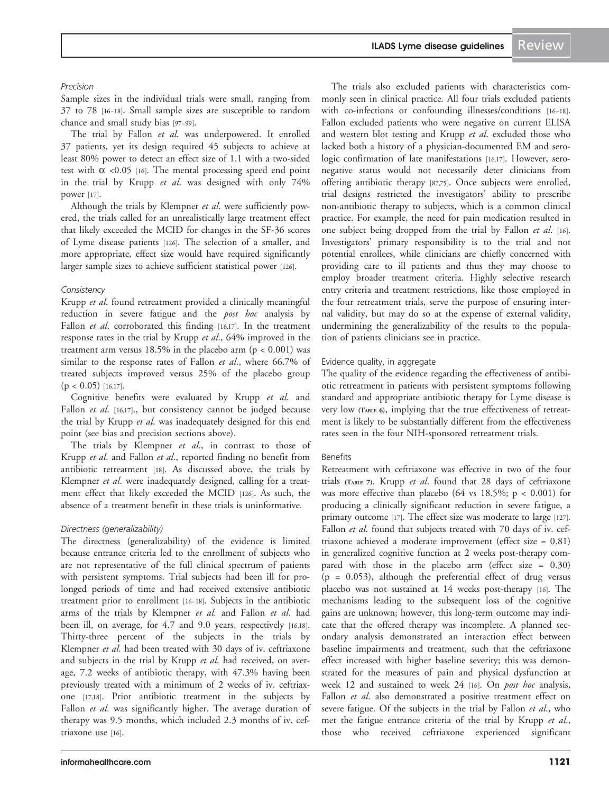#### [informahealthcare.com](http://informahealthcare.com) 1121

#### Precision

Sample sizes in the individual trials were small, ranging from 37 to 78 [[16](#page-27-0)–[18\]](#page-28-0). Small sample sizes are susceptible to random chance and small study bias [\[97](#page-30-0)–[99](#page-30-0)].

The trial by Fallon et al. was underpowered. It enrolled 37 patients, yet its design required 45 subjects to achieve at least 80% power to detect an effect size of 1.1 with a two-sided test with  $\alpha$  <0.05 [[16\]](#page-27-0). The mental processing speed end point in the trial by Krupp et al. was designed with only 74% power [\[17\]](#page-27-0).

Although the trials by Klempner et al. were sufficiently powered, the trials called for an unrealistically large treatment effect that likely exceeded the MCID for changes in the SF-36 scores of Lyme disease patients [[126](#page-30-0)]. The selection of a smaller, and more appropriate, effect size would have required significantly larger sample sizes to achieve sufficient statistical power [[126](#page-30-0)].

#### **Consistency**

Krupp et al. found retreatment provided a clinically meaningful reduction in severe fatigue and the *post hoc* analysis by Fallon et al. corroborated this finding [\[16,17\]](#page-27-0). In the treatment response rates in the trial by Krupp et al., 64% improved in the treatment arm versus  $18.5\%$  in the placebo arm ( $p < 0.001$ ) was similar to the response rates of Fallon et al., where 66.7% of treated subjects improved versus 25% of the placebo group  $(p < 0.05)$  [[16,17](#page-27-0)].

Cognitive benefits were evaluated by Krupp et al. and Fallon et al. [\[16,17\]](#page-27-0)., but consistency cannot be judged because the trial by Krupp et al. was inadequately designed for this end point (see bias and precision sections above).

The trials by Klempner et al., in contrast to those of Krupp et al. and Fallon et al., reported finding no benefit from antibiotic retreatment [[18](#page-28-0)]. As discussed above, the trials by Klempner *et al.* were inadequately designed, calling for a treatment effect that likely exceeded the MCID [[126\]](#page-30-0). As such, the absence of a treatment benefit in these trials is uninformative.

#### Directness (generalizability)

The directness (generalizability) of the evidence is limited because entrance criteria led to the enrollment of subjects who are not representative of the full clinical spectrum of patients with persistent symptoms. Trial subjects had been ill for prolonged periods of time and had received extensive antibiotic treatment prior to enrollment [\[16](#page-27-0)–[18](#page-28-0)]. Subjects in the antibiotic arms of the trials by Klempner et al. and Fallon et al. had been ill, on average, for 4.7 and 9.0 years, respectively [\[16,](#page-27-0)[18\]](#page-28-0). Thirty-three percent of the subjects in the trials by Klempner et al. had been treated with 30 days of iv. ceftriaxone and subjects in the trial by Krupp et al. had received, on average, 7.2 weeks of antibiotic therapy, with 47.3% having been previously treated with a minimum of 2 weeks of iv. ceftriaxone [[17,](#page-27-0)[18](#page-28-0)]. Prior antibiotic treatment in the subjects by Fallon et al. was significantly higher. The average duration of therapy was 9.5 months, which included 2.3 months of iv. ceftriaxone use [[16](#page-27-0)].

The trials also excluded patients with characteristics commonly seen in clinical practice. All four trials excluded patients with co-infections or confounding illnesses/conditions [\[16](#page-27-0)–[18](#page-28-0)]. Fallon excluded patients who were negative on current ELISA and western blot testing and Krupp et al. excluded those who lacked both a history of a physician-documented EM and serologic confirmation of late manifestations [\[16,17](#page-27-0)]. However, seronegative status would not necessarily deter clinicians from offering antibiotic therapy [\[87,75](#page-29-0)]. Once subjects were enrolled, trial designs restricted the investigators' ability to prescribe non-antibiotic therapy to subjects, which is a common clinical practice. For example, the need for pain medication resulted in one subject being dropped from the trial by Fallon et al. [[16](#page-27-0)]. Investigators' primary responsibility is to the trial and not potential enrollees, while clinicians are chiefly concerned with providing care to ill patients and thus they may choose to employ broader treatment criteria. Highly selective research entry criteria and treatment restrictions, like those employed in the four retreatment trials, serve the purpose of ensuring internal validity, but may do so at the expense of external validity, undermining the generalizability of the results to the population of patients clinicians see in practice.

#### Evidence quality, in aggregate

The quality of the evidence regarding the effectiveness of antibiotic retreatment in patients with persistent symptoms following standard and appropriate antibiotic therapy for Lyme disease is very low [\(TABLE](#page-20-0) 6), implying that the true effectiveness of retreatment is likely to be substantially different from the effectiveness rates seen in the four NIH-sponsored retreatment trials.

#### Benefits

Retreatment with ceftriaxone was effective in two of the four trials [\(TABLE](#page-21-0) 7). Krupp et al. found that 28 days of ceftriaxone was more effective than placebo (64 vs  $18.5\%$ ; p < 0.001) for producing a clinically significant reduction in severe fatigue, a primary outcome [[17](#page-27-0)]. The effect size was moderate to large [\[127](#page-30-0)]. Fallon et al. found that subjects treated with 70 days of iv. ceftriaxone achieved a moderate improvement (effect size = 0.81) in generalized cognitive function at 2 weeks post-therapy compared with those in the placebo arm (effect size = 0.30) (p = 0.053), although the preferential effect of drug versus placebo was not sustained at 14 weeks post-therapy [[16](#page-27-0)]. The mechanisms leading to the subsequent loss of the cognitive gains are unknown; however, this long-term outcome may indicate that the offered therapy was incomplete. A planned secondary analysis demonstrated an interaction effect between baseline impairments and treatment, such that the ceftriaxone effect increased with higher baseline severity; this was demonstrated for the measures of pain and physical dysfunction at week 12 and sustained to week 24 [\[16\]](#page-27-0). On post hoc analysis, Fallon et al. also demonstrated a positive treatment effect on severe fatigue. Of the subjects in the trial by Fallon et al., who met the fatigue entrance criteria of the trial by Krupp et al., those who received ceftriaxone experienced significant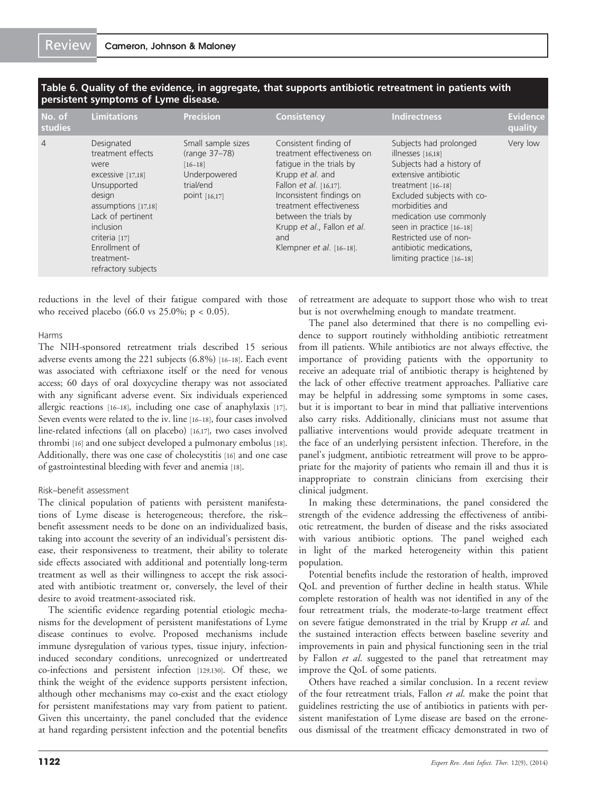| No. of<br>studies | <b>Limitations</b>                                                                                                                                                                                                           | <b>Precision</b>                                                                                 | <b>Consistency</b>                                                                                                                                                                                                                                                                        | <b>Indirectness</b>                                                                                                                                                                                                                                                                                                     | <b>Evidence</b><br>quality |
|-------------------|------------------------------------------------------------------------------------------------------------------------------------------------------------------------------------------------------------------------------|--------------------------------------------------------------------------------------------------|-------------------------------------------------------------------------------------------------------------------------------------------------------------------------------------------------------------------------------------------------------------------------------------------|-------------------------------------------------------------------------------------------------------------------------------------------------------------------------------------------------------------------------------------------------------------------------------------------------------------------------|----------------------------|
| $\overline{4}$    | Designated<br>treatment effects<br>were<br>excessive [17,18]<br>Unsupported<br>design<br>assumptions [17,18]<br>Lack of pertinent<br><i>inclusion</i><br>criteria [17]<br>Enrollment of<br>treatment-<br>refractory subjects | Small sample sizes<br>(range 37-78)<br>$[16 - 18]$<br>Underpowered<br>trial/end<br>point [16,17] | Consistent finding of<br>treatment effectiveness on<br>fatique in the trials by<br>Krupp et al. and<br>Fallon <i>et al.</i> [16,17].<br>Inconsistent findings on<br>treatment effectiveness<br>between the trials by<br>Krupp et al., Fallon et al.<br>and<br>Klempner et al. $[16-18]$ . | Subjects had prolonged<br>illnesses $[16,18]$<br>Subjects had a history of<br>extensive antibiotic<br>treatment $[16-18]$<br>Excluded subjects with co-<br>morbidities and<br>medication use commonly<br>seen in practice $[16-18]$<br>Restricted use of non-<br>antibiotic medications,<br>limiting practice $[16-18]$ | Very low                   |

#### <span id="page-20-0"></span>Table 6. Quality of the evidence, in aggregate, that supports antibiotic retreatment in patients with persistent symptoms of Lyme disease.

reductions in the level of their fatigue compared with those who received placebo (66.0 vs  $25.0\%$ ; p < 0.05).

#### Harms

The NIH-sponsored retreatment trials described 15 serious adverse events among the 221 subjects (6.8%) [\[16](#page-27-0)–[18](#page-28-0)]. Each event was associated with ceftriaxone itself or the need for venous access; 60 days of oral doxycycline therapy was not associated with any significant adverse event. Six individuals experienced allergic reactions [[16](#page-27-0)–[18\]](#page-28-0), including one case of anaphylaxis [\[17](#page-27-0)]. Seven events were related to the iv. line [\[16](#page-27-0)–[18\]](#page-28-0), four cases involved line-related infections (all on placebo) [[16](#page-27-0),[17](#page-27-0)], two cases involved thrombi [\[16](#page-27-0)] and one subject developed a pulmonary embolus [\[18](#page-28-0)]. Additionally, there was one case of cholecystitis [[16](#page-27-0)] and one case of gastrointestinal bleeding with fever and anemia [\[18\]](#page-28-0).

#### Risk–benefit assessment

The clinical population of patients with persistent manifestations of Lyme disease is heterogeneous; therefore, the risk– benefit assessment needs to be done on an individualized basis, taking into account the severity of an individual's persistent disease, their responsiveness to treatment, their ability to tolerate side effects associated with additional and potentially long-term treatment as well as their willingness to accept the risk associated with antibiotic treatment or, conversely, the level of their desire to avoid treatment-associated risk.

The scientific evidence regarding potential etiologic mechanisms for the development of persistent manifestations of Lyme disease continues to evolve. Proposed mechanisms include immune dysregulation of various types, tissue injury, infectioninduced secondary conditions, unrecognized or undertreated co-infections and persistent infection [[129,130\]](#page-30-0). Of these, we think the weight of the evidence supports persistent infection, although other mechanisms may co-exist and the exact etiology for persistent manifestations may vary from patient to patient. Given this uncertainty, the panel concluded that the evidence at hand regarding persistent infection and the potential benefits of retreatment are adequate to support those who wish to treat but is not overwhelming enough to mandate treatment.

The panel also determined that there is no compelling evidence to support routinely withholding antibiotic retreatment from ill patients. While antibiotics are not always effective, the importance of providing patients with the opportunity to receive an adequate trial of antibiotic therapy is heightened by the lack of other effective treatment approaches. Palliative care may be helpful in addressing some symptoms in some cases, but it is important to bear in mind that palliative interventions also carry risks. Additionally, clinicians must not assume that palliative interventions would provide adequate treatment in the face of an underlying persistent infection. Therefore, in the panel's judgment, antibiotic retreatment will prove to be appropriate for the majority of patients who remain ill and thus it is inappropriate to constrain clinicians from exercising their clinical judgment.

In making these determinations, the panel considered the strength of the evidence addressing the effectiveness of antibiotic retreatment, the burden of disease and the risks associated with various antibiotic options. The panel weighed each in light of the marked heterogeneity within this patient population.

Potential benefits include the restoration of health, improved QoL and prevention of further decline in health status. While complete restoration of health was not identified in any of the four retreatment trials, the moderate-to-large treatment effect on severe fatigue demonstrated in the trial by Krupp et al. and the sustained interaction effects between baseline severity and improvements in pain and physical functioning seen in the trial by Fallon et al. suggested to the panel that retreatment may improve the QoL of some patients.

Others have reached a similar conclusion. In a recent review of the four retreatment trials, Fallon et al. make the point that guidelines restricting the use of antibiotics in patients with persistent manifestation of Lyme disease are based on the erroneous dismissal of the treatment efficacy demonstrated in two of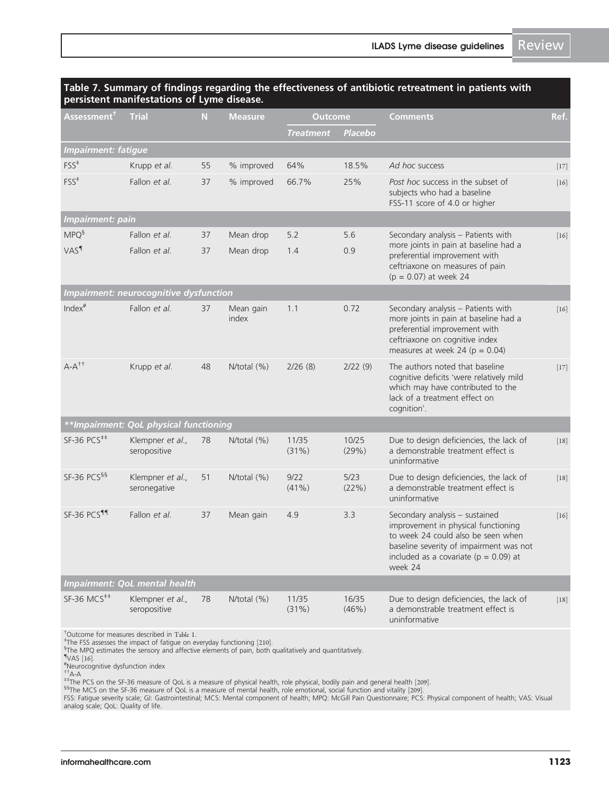| <b>ILADS Lyme disease guidelines</b> |
|--------------------------------------|
|                                      |
|                                      |

<span id="page-21-0"></span>Table 7. Summary of findings regarding the effectiveness of antibiotic retreatment in patients with

| Assessment <sup>T</sup>                              | <b>Trial</b>                                             | N. | <b>Measure</b>     | <b>Outcome</b>   |                | <b>Comments</b>                                                                                                                                                                                                | Ref.   |
|------------------------------------------------------|----------------------------------------------------------|----|--------------------|------------------|----------------|----------------------------------------------------------------------------------------------------------------------------------------------------------------------------------------------------------------|--------|
|                                                      |                                                          |    |                    | <b>Treatment</b> | <b>Placebo</b> |                                                                                                                                                                                                                |        |
| <b>Impairment: fatigue</b>                           |                                                          |    |                    |                  |                |                                                                                                                                                                                                                |        |
| $FSS^+$                                              | Krupp et al.                                             | 55 | % improved         | 64%              | 18.5%          | Ad hoc success                                                                                                                                                                                                 | $[17]$ |
| $FSS^*$                                              | Fallon et al.                                            | 37 | % improved         | 66.7%            | 25%            | Post hoc success in the subset of<br>subjects who had a baseline<br>FSS-11 score of 4.0 or higher                                                                                                              | $[16]$ |
| Impairment: pain                                     |                                                          |    |                    |                  |                |                                                                                                                                                                                                                |        |
| $MPQ^{\S}$                                           | Fallon et al.                                            | 37 | Mean drop          | 5.2              | 5.6            | Secondary analysis - Patients with                                                                                                                                                                             | $[16]$ |
| VAS <sup>¶</sup>                                     | Fallon et al.                                            | 37 | Mean drop          | 1.4              | 0.9            | more joints in pain at baseline had a<br>preferential improvement with<br>ceftriaxone on measures of pain<br>$(p = 0.07)$ at week 24                                                                           |        |
|                                                      | Impairment: neurocognitive dysfunction                   |    |                    |                  |                |                                                                                                                                                                                                                |        |
| $Index$ <sup>#</sup>                                 | Fallon et al.                                            | 37 | Mean gain<br>index | 1.1              | 0.72           | Secondary analysis - Patients with<br>more joints in pain at baseline had a<br>preferential improvement with<br>ceftriaxone on cognitive index<br>measures at week 24 ( $p = 0.04$ )                           | $[16]$ |
| $A - A^{++}$                                         | Krupp et al.                                             | 48 | N/total (%)        | 2/26(8)          | 2/22(9)        | The authors noted that baseline<br>cognitive deficits 'were relatively mild<br>which may have contributed to the<br>lack of a treatment effect on<br>cognition'.                                               | $[17]$ |
|                                                      | **Impairment: QoL physical functioning                   |    |                    |                  |                |                                                                                                                                                                                                                |        |
| SF-36 PCS <sup>##</sup>                              | Klempner et al.,<br>seropositive                         | 78 | N/total (%)        | 11/35<br>(31%)   | 10/25<br>(29%) | Due to design deficiencies, the lack of<br>a demonstrable treatment effect is<br>uninformative                                                                                                                 | $[18]$ |
| SF-36 PCS <sup>§§</sup>                              | Klempner et al.,<br>seronegative                         | 51 | N/total (%)        | 9/22<br>$(41\%)$ | 5/23<br>(22%)  | Due to design deficiencies, the lack of<br>a demonstrable treatment effect is<br>uninformative                                                                                                                 | $[18]$ |
| SF-36 PCS <sup>11</sup>                              | Fallon et al.                                            | 37 | Mean gain          | 4.9              | 3.3            | Secondary analysis - sustained<br>improvement in physical functioning<br>to week 24 could also be seen when<br>baseline severity of impairment was not<br>included as a covariate ( $p = 0.09$ ) at<br>week 24 | $[16]$ |
|                                                      | <b>Impairment: QoL mental health</b>                     |    |                    |                  |                |                                                                                                                                                                                                                |        |
| SF-36 MCS <sup>##</sup><br>$\uparrow$ Outcome for me | Klempner et al.,<br>seropositive<br>c doccribod in Table | 78 | N/total (%)        | 11/35<br>(31%)   | 16/35<br>(46%) | Due to design deficiencies, the lack of<br>a demonstrable treatment effect is<br>uninformative                                                                                                                 | $[18]$ |

TOutcome for measures described in Table 1.<br><sup>#</sup>The FSS assesses the impact of fatigue on everyday functioning [210].<br><sup>§The MPO estimates the concor and affective elements of pain, both</sup>

<sup>9</sup>The MPQ estimates the sensory and affective elements of pain, both qualitatively and quantitatively.<br>\*VAS [16].<br>\*Neurocognitive dysfunction index

Neurocognitive dysfunction index

The PCS on the SF-36 measure of QoL is a measure of physical health, role physical, bodily pain and general health [209].<br>
<sup>##</sup>The PCS on the SF-36 measure of QoL is a measure of mental health, role emotional, social funct FSS: Fatigue severity scale; GI: Gastrointestinal; MCS: Mental component of health; MPQ: McGill Pain Questionnaire; PCS: Physical component of health; VAS: Visual analog scale; QoL: Quality of life.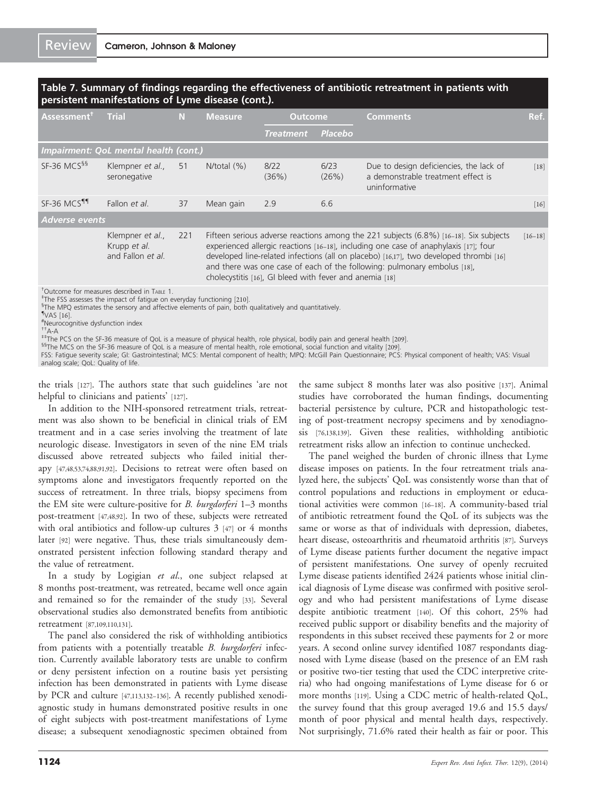#### Table 7. Summary of findings regarding the effectiveness of antibiotic retreatment in patients with persistent manifestations of Lyme disease (cont.).

| Assessment <sup>1</sup> | <b>Trial</b>                                            | N.  | <b>Measure</b>                                                                                                                                                                                                                                                                                                                                                                                                    | <b>Outcome</b>   |               |                                                                                                |        | Comments | Ref. |
|-------------------------|---------------------------------------------------------|-----|-------------------------------------------------------------------------------------------------------------------------------------------------------------------------------------------------------------------------------------------------------------------------------------------------------------------------------------------------------------------------------------------------------------------|------------------|---------------|------------------------------------------------------------------------------------------------|--------|----------|------|
|                         |                                                         |     |                                                                                                                                                                                                                                                                                                                                                                                                                   | <b>Treatment</b> | Placebo       |                                                                                                |        |          |      |
|                         | Impairment: QoL mental health (cont.)                   |     |                                                                                                                                                                                                                                                                                                                                                                                                                   |                  |               |                                                                                                |        |          |      |
| SF-36 MCS <sup>§§</sup> | Klempner et al.,<br>seronegative                        | 51  | N/total (%)                                                                                                                                                                                                                                                                                                                                                                                                       | 8/22<br>(36%)    | 6/23<br>(26%) | Due to design deficiencies, the lack of<br>a demonstrable treatment effect is<br>uninformative | $[18]$ |          |      |
| SF-36 MCS <sup>99</sup> | Fallon et al.                                           | 37  | Mean gain                                                                                                                                                                                                                                                                                                                                                                                                         | 2.9              | 6.6           |                                                                                                | $[16]$ |          |      |
| <b>Adverse events</b>   |                                                         |     |                                                                                                                                                                                                                                                                                                                                                                                                                   |                  |               |                                                                                                |        |          |      |
|                         | Klempner et al.,<br>Krupp et al.<br>and Fallon et al.   | 221 | Fifteen serious adverse reactions among the 221 subjects $(6.8\%)$ [16-18]. Six subjects<br>experienced allergic reactions [16-18], including one case of anaphylaxis [17]; four<br>developed line-related infections (all on placebo) [16,17], two developed thrombi [16]<br>and there was one case of each of the following: pulmonary embolus [18].<br>cholecystitis [16]. GI bleed with fever and anemia [18] |                  |               |                                                                                                |        |          |      |
|                         | <sup>†</sup> Outcome for measures described in TABLE 1. |     |                                                                                                                                                                                                                                                                                                                                                                                                                   |                  |               |                                                                                                |        |          |      |

Outcome for measures described in [TABLE](#page-4-0) 1. ‡ The FSS assesses the impact of fatigue on everyday functioning [\[210](#page-33-0)]. §

 $5$ The MPQ estimates the sensory and affective elements of pain, both qualitatively and quantitatively.

{ VAS [\[16\]](#page-27-0). #  $*$ Neurocognitive dysfunction index<br>  $*<sup>†</sup>A-A$ 

<sup>#+</sup>The PCS on the SF-36 measure of QoL is a measure of physical health, role physical, bodily pain and general health [[209\]](#page-32-0).<br><sup>§§</sup>The MCS on the SF-36 measure of QoL is a measure of mental health, role emotional, social fu

FSS: Fatigue severity scale; GI: Gastrointestinal; MCS: Mental component of health; MPQ: McGill Pain Questionnaire; PCS: Physical component of health; VAS: Visual analog scale; QoL: Quality of life.

the trials [[127\]](#page-30-0). The authors state that such guidelines 'are not helpful to clinicians and patients' [\[127](#page-30-0)].

In addition to the NIH-sponsored retreatment trials, retreatment was also shown to be beneficial in clinical trials of EM treatment and in a case series involving the treatment of late neurologic disease. Investigators in seven of the nine EM trials discussed above retreated subjects who failed initial therapy [[47](#page-28-0),[48,53](#page-28-0)[,74,88,91,92\]](#page-29-0). Decisions to retreat were often based on symptoms alone and investigators frequently reported on the success of retreatment. In three trials, biopsy specimens from the EM site were culture-positive for B. burgdorferi 1–3 months post-treatment [[47](#page-28-0),[48](#page-28-0),[92](#page-29-0)]. In two of these, subjects were retreated with oral antibiotics and follow-up cultures  $3 \frac{47}{7}$  or  $4$  months later [\[92](#page-29-0)] were negative. Thus, these trials simultaneously demonstrated persistent infection following standard therapy and the value of retreatment.

In a study by Logigian et al., one subject relapsed at 8 months post-treatment, was retreated, became well once again and remained so for the remainder of the study [[33](#page-28-0)]. Several observational studies also demonstrated benefits from antibiotic retreatment [\[87,](#page-29-0)[109,110,131](#page-30-0)].

The panel also considered the risk of withholding antibiotics from patients with a potentially treatable *B. burgdorferi* infection. Currently available laboratory tests are unable to confirm or deny persistent infection on a routine basis yet persisting infection has been demonstrated in patients with Lyme disease by PCR and culture [[47](#page-28-0),[113,132](#page-30-0)–[136](#page-31-0)]. A recently published xenodiagnostic study in humans demonstrated positive results in one of eight subjects with post-treatment manifestations of Lyme disease; a subsequent xenodiagnostic specimen obtained from the same subject 8 months later was also positive [[137\]](#page-31-0). Animal studies have corroborated the human findings, documenting bacterial persistence by culture, PCR and histopathologic testing of post-treatment necropsy specimens and by xenodiagnosis [\[76](#page-29-0)[,138,139](#page-31-0)]. Given these realities, withholding antibiotic retreatment risks allow an infection to continue unchecked.

The panel weighed the burden of chronic illness that Lyme disease imposes on patients. In the four retreatment trials analyzed here, the subjects' QoL was consistently worse than that of control populations and reductions in employment or educational activities were common [\[16](#page-27-0)–[18](#page-28-0)]. A community-based trial of antibiotic retreatment found the QoL of its subjects was the same or worse as that of individuals with depression, diabetes, heart disease, osteoarthritis and rheumatoid arthritis [\[87\]](#page-29-0). Surveys of Lyme disease patients further document the negative impact of persistent manifestations. One survey of openly recruited Lyme disease patients identified 2424 patients whose initial clinical diagnosis of Lyme disease was confirmed with positive serology and who had persistent manifestations of Lyme disease despite antibiotic treatment [\[140](#page-31-0)]. Of this cohort, 25% had received public support or disability benefits and the majority of respondents in this subset received these payments for 2 or more years. A second online survey identified 1087 respondants diagnosed with Lyme disease (based on the presence of an EM rash or positive two-tier testing that used the CDC interpretive criteria) who had ongoing manifestations of Lyme disease for 6 or more months [\[119\]](#page-30-0). Using a CDC metric of health-related QoL, the survey found that this group averaged 19.6 and 15.5 days/ month of poor physical and mental health days, respectively. Not surprisingly, 71.6% rated their health as fair or poor. This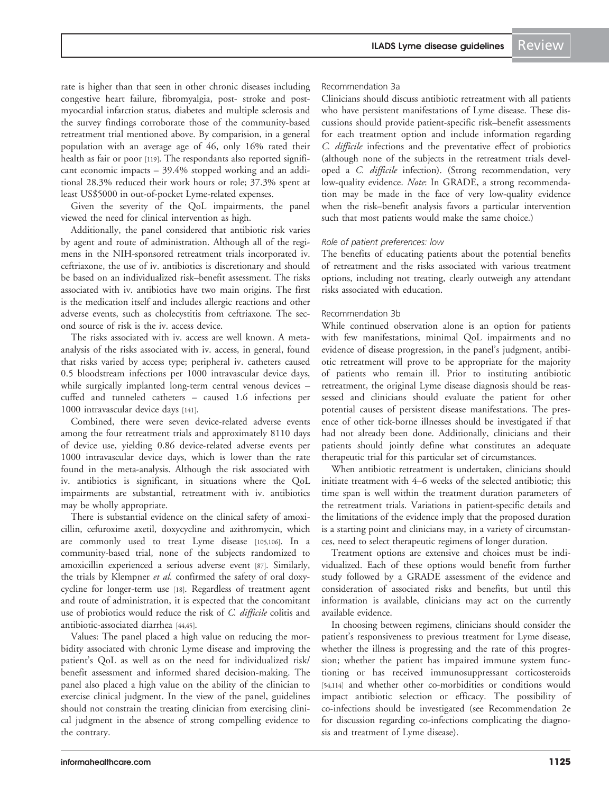rate is higher than that seen in other chronic diseases including congestive heart failure, fibromyalgia, post- stroke and postmyocardial infarction status, diabetes and multiple sclerosis and the survey findings corroborate those of the community-based retreatment trial mentioned above. By comparision, in a general population with an average age of 46, only 16% rated their health as fair or poor [\[119](#page-30-0)]. The respondants also reported significant economic impacts – 39.4% stopped working and an additional 28.3% reduced their work hours or role; 37.3% spent at least US\$5000 in out-of-pocket Lyme-related expenses.

Given the severity of the QoL impairments, the panel viewed the need for clinical intervention as high.

Additionally, the panel considered that antibiotic risk varies by agent and route of administration. Although all of the regimens in the NIH-sponsored retreatment trials incorporated iv. ceftriaxone, the use of iv. antibiotics is discretionary and should be based on an individualized risk–benefit assessment. The risks associated with iv. antibiotics have two main origins. The first is the medication itself and includes allergic reactions and other adverse events, such as cholecystitis from ceftriaxone. The second source of risk is the iv. access device.

The risks associated with iv. access are well known. A metaanalysis of the risks associated with iv. access, in general, found that risks varied by access type; peripheral iv. catheters caused 0.5 bloodstream infections per 1000 intravascular device days, while surgically implanted long-term central venous devices – cuffed and tunneled catheters – caused 1.6 infections per 1000 intravascular device days [\[141](#page-31-0)].

Combined, there were seven device-related adverse events among the four retreatment trials and approximately 8110 days of device use, yielding 0.86 device-related adverse events per 1000 intravascular device days, which is lower than the rate found in the meta-analysis. Although the risk associated with iv. antibiotics is significant, in situations where the QoL impairments are substantial, retreatment with iv. antibiotics may be wholly appropriate.

There is substantial evidence on the clinical safety of amoxicillin, cefuroxime axetil, doxycycline and azithromycin, which are commonly used to treat Lyme disease [\[105,106](#page-30-0)]. In a community-based trial, none of the subjects randomized to amoxicillin experienced a serious adverse event [\[87](#page-29-0)]. Similarly, the trials by Klempner et al. confirmed the safety of oral doxycycline for longer-term use [[18](#page-28-0)]. Regardless of treatment agent and route of administration, it is expected that the concomitant use of probiotics would reduce the risk of C. difficile colitis and antibiotic-associated diarrhea [\[44,45\]](#page-28-0).

Values: The panel placed a high value on reducing the morbidity associated with chronic Lyme disease and improving the patient's QoL as well as on the need for individualized risk/ benefit assessment and informed shared decision-making. The panel also placed a high value on the ability of the clinician to exercise clinical judgment. In the view of the panel, guidelines should not constrain the treating clinician from exercising clinical judgment in the absence of strong compelling evidence to the contrary.

Recommendation 3a

Clinicians should discuss antibiotic retreatment with all patients who have persistent manifestations of Lyme disease. These discussions should provide patient-specific risk–benefit assessments for each treatment option and include information regarding C. difficile infections and the preventative effect of probiotics (although none of the subjects in the retreatment trials developed a C. difficile infection). (Strong recommendation, very low-quality evidence. Note: In GRADE, a strong recommendation may be made in the face of very low-quality evidence when the risk–benefit analysis favors a particular intervention such that most patients would make the same choice.)

#### Role of patient preferences: low

The benefits of educating patients about the potential benefits of retreatment and the risks associated with various treatment options, including not treating, clearly outweigh any attendant risks associated with education.

#### Recommendation 3b

While continued observation alone is an option for patients with few manifestations, minimal QoL impairments and no evidence of disease progression, in the panel's judgment, antibiotic retreatment will prove to be appropriate for the majority of patients who remain ill. Prior to instituting antibiotic retreatment, the original Lyme disease diagnosis should be reassessed and clinicians should evaluate the patient for other potential causes of persistent disease manifestations. The presence of other tick-borne illnesses should be investigated if that had not already been done. Additionally, clinicians and their patients should jointly define what constitutes an adequate therapeutic trial for this particular set of circumstances.

When antibiotic retreatment is undertaken, clinicians should initiate treatment with 4–6 weeks of the selected antibiotic; this time span is well within the treatment duration parameters of the retreatment trials. Variations in patient-specific details and the limitations of the evidence imply that the proposed duration is a starting point and clinicians may, in a variety of circumstances, need to select therapeutic regimens of longer duration.

Treatment options are extensive and choices must be individualized. Each of these options would benefit from further study followed by a GRADE assessment of the evidence and consideration of associated risks and benefits, but until this information is available, clinicians may act on the currently available evidence.

In choosing between regimens, clinicians should consider the patient's responsiveness to previous treatment for Lyme disease, whether the illness is progressing and the rate of this progression; whether the patient has impaired immune system functioning or has received immunosuppressant corticosteroids [\[54,](#page-28-0)[114\]](#page-30-0) and whether other co-morbidities or conditions would impact antibiotic selection or efficacy. The possibility of co-infections should be investigated (see Recommendation 2e for discussion regarding co-infections complicating the diagnosis and treatment of Lyme disease).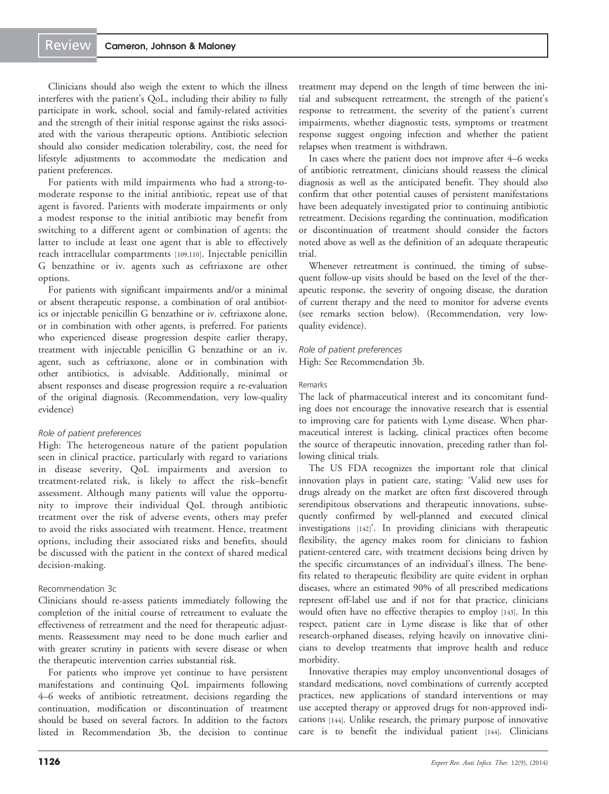Clinicians should also weigh the extent to which the illness interferes with the patient's QoL, including their ability to fully participate in work, school, social and family-related activities and the strength of their initial response against the risks associated with the various therapeutic options. Antibiotic selection should also consider medication tolerability, cost, the need for lifestyle adjustments to accommodate the medication and patient preferences.

For patients with mild impairments who had a strong-tomoderate response to the initial antibiotic, repeat use of that agent is favored. Patients with moderate impairments or only a modest response to the initial antibiotic may benefit from switching to a different agent or combination of agents; the latter to include at least one agent that is able to effectively reach intracellular compartments [\[109,110](#page-30-0)]. Injectable penicillin G benzathine or iv. agents such as ceftriaxone are other options.

For patients with significant impairments and/or a minimal or absent therapeutic response, a combination of oral antibiotics or injectable penicillin G benzathine or iv. ceftriaxone alone, or in combination with other agents, is preferred. For patients who experienced disease progression despite earlier therapy, treatment with injectable penicillin G benzathine or an iv. agent, such as ceftriaxone, alone or in combination with other antibiotics, is advisable. Additionally, minimal or absent responses and disease progression require a re-evaluation of the original diagnosis. (Recommendation, very low-quality evidence)

#### Role of patient preferences

High: The heterogeneous nature of the patient population seen in clinical practice, particularly with regard to variations in disease severity, QoL impairments and aversion to treatment-related risk, is likely to affect the risk–benefit assessment. Although many patients will value the opportunity to improve their individual QoL through antibiotic treatment over the risk of adverse events, others may prefer to avoid the risks associated with treatment. Hence, treatment options, including their associated risks and benefits, should be discussed with the patient in the context of shared medical decision-making.

#### Recommendation 3c

Clinicians should re-assess patients immediately following the completion of the initial course of retreatment to evaluate the effectiveness of retreatment and the need for therapeutic adjustments. Reassessment may need to be done much earlier and with greater scrutiny in patients with severe disease or when the therapeutic intervention carries substantial risk.

For patients who improve yet continue to have persistent manifestations and continuing QoL impairments following 4–6 weeks of antibiotic retreatment, decisions regarding the continuation, modification or discontinuation of treatment should be based on several factors. In addition to the factors listed in Recommendation 3b, the decision to continue

treatment may depend on the length of time between the initial and subsequent retreatment, the strength of the patient's response to retreatment, the severity of the patient's current impairments, whether diagnostic tests, symptoms or treatment response suggest ongoing infection and whether the patient relapses when treatment is withdrawn.

In cases where the patient does not improve after 4–6 weeks of antibiotic retreatment, clinicians should reassess the clinical diagnosis as well as the anticipated benefit. They should also confirm that other potential causes of persistent manifestations have been adequately investigated prior to continuing antibiotic retreatment. Decisions regarding the continuation, modification or discontinuation of treatment should consider the factors noted above as well as the definition of an adequate therapeutic trial.

Whenever retreatment is continued, the timing of subsequent follow-up visits should be based on the level of the therapeutic response, the severity of ongoing disease, the duration of current therapy and the need to monitor for adverse events (see remarks section below). (Recommendation, very lowquality evidence).

Role of patient preferences High: See Recommendation 3b.

#### Remarks

The lack of pharmaceutical interest and its concomitant funding does not encourage the innovative research that is essential to improving care for patients with Lyme disease. When pharmaceutical interest is lacking, clinical practices often become the source of therapeutic innovation, preceding rather than following clinical trials.

The US FDA recognizes the important role that clinical innovation plays in patient care, stating: 'Valid new uses for drugs already on the market are often first discovered through serendipitous observations and therapeutic innovations, subsequently confirmed by well-planned and executed clinical investigations [\[142](#page-31-0)]'. In providing clinicians with therapeutic flexibility, the agency makes room for clinicians to fashion patient-centered care, with treatment decisions being driven by the specific circumstances of an individual's illness. The benefits related to therapeutic flexibility are quite evident in orphan diseases, where an estimated 90% of all prescribed medications represent off-label use and if not for that practice, clinicians would often have no effective therapies to employ [[143\]](#page-31-0). In this respect, patient care in Lyme disease is like that of other research-orphaned diseases, relying heavily on innovative clinicians to develop treatments that improve health and reduce morbidity.

Innovative therapies may employ unconventional dosages of standard medications, novel combinations of currently accepted practices, new applications of standard interventions or may use accepted therapy or approved drugs for non-approved indications [\[144](#page-31-0)]. Unlike research, the primary purpose of innovative care is to benefit the individual patient [[144\]](#page-31-0). Clinicians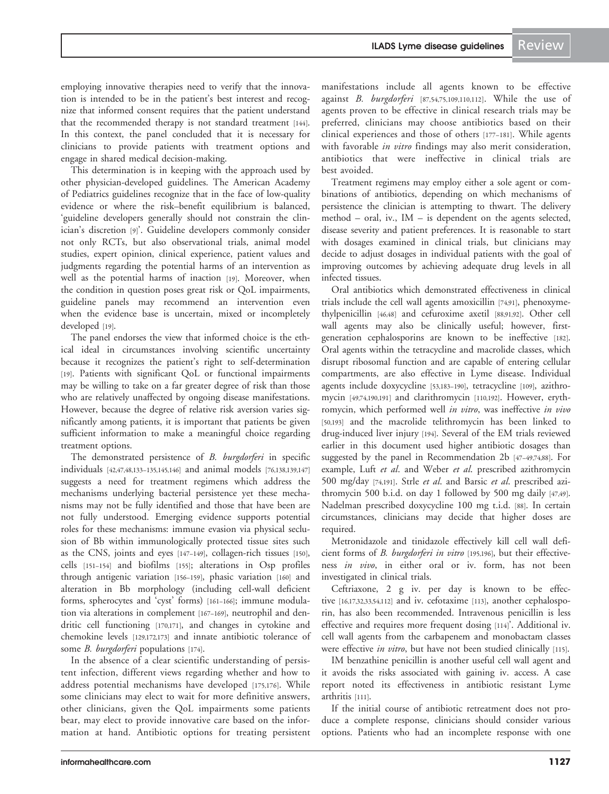employing innovative therapies need to verify that the innovation is intended to be in the patient's best interest and recognize that informed consent requires that the patient understand that the recommended therapy is not standard treatment [[144\]](#page-31-0). In this context, the panel concluded that it is necessary for clinicians to provide patients with treatment options and engage in shared medical decision-making.

This determination is in keeping with the approach used by other physician-developed guidelines. The American Academy of Pediatrics guidelines recognize that in the face of low-quality evidence or where the risk–benefit equilibrium is balanced, 'guideline developers generally should not constrain the clinician's discretion [[9\]](#page-27-0)'. Guideline developers commonly consider not only RCTs, but also observational trials, animal model studies, expert opinion, clinical experience, patient values and judgments regarding the potential harms of an intervention as well as the potential harms of inaction [[19](#page-28-0)]. Moreover, when the condition in question poses great risk or QoL impairments, guideline panels may recommend an intervention even when the evidence base is uncertain, mixed or incompletely developed [[19](#page-28-0)].

The panel endorses the view that informed choice is the ethical ideal in circumstances involving scientific uncertainty because it recognizes the patient's right to self-determination [\[19\]](#page-28-0). Patients with significant QoL or functional impairments may be willing to take on a far greater degree of risk than those who are relatively unaffected by ongoing disease manifestations. However, because the degree of relative risk aversion varies significantly among patients, it is important that patients be given sufficient information to make a meaningful choice regarding treatment options.

The demonstrated persistence of B. burgdorferi in specific individuals [\[42,47,48,](#page-28-0)[133](#page-31-0)–[135](#page-31-0),[145,146\]](#page-31-0) and animal models [[76](#page-29-0),[138,139,147](#page-31-0)] suggests a need for treatment regimens which address the mechanisms underlying bacterial persistence yet these mechanisms may not be fully identified and those that have been are not fully understood. Emerging evidence supports potential roles for these mechanisms: immune evasion via physical seclusion of Bb within immunologically protected tissue sites such as the CNS, joints and eyes [[147](#page-31-0)–[149](#page-31-0)], collagen-rich tissues [[150\]](#page-31-0), cells [[151](#page-31-0)–[154](#page-31-0)] and biofilms [[155](#page-31-0)]; alterations in Osp profiles through antigenic variation [[156](#page-31-0)–[159](#page-31-0)], phasic variation [\[160\]](#page-31-0) and alteration in Bb morphology (including cell-wall deficient forms, spherocytes and 'cyst' forms) [\[161](#page-31-0)–[166\]](#page-31-0); immune modulation via alterations in complement [[167](#page-31-0)–[169](#page-31-0)], neutrophil and dendritic cell functioning [[170](#page-31-0)[,171](#page-32-0)], and changes in cytokine and chemokine levels [[129,](#page-30-0)[172,173](#page-32-0)] and innate antibiotic tolerance of some *B. burgdorferi* populations [[174](#page-32-0)].

In the absence of a clear scientific understanding of persistent infection, different views regarding whether and how to address potential mechanisms have developed [[175](#page-32-0),[176\]](#page-32-0). While some clinicians may elect to wait for more definitive answers, other clinicians, given the QoL impairments some patients bear, may elect to provide innovative care based on the information at hand. Antibiotic options for treating persistent

manifestations include all agents known to be effective against B. burgdorferi [[87,](#page-29-0)[54](#page-28-0),[75,](#page-29-0)[109](#page-30-0),[110](#page-30-0),[112](#page-30-0)]. While the use of agents proven to be effective in clinical research trials may be preferred, clinicians may choose antibiotics based on their clinical experiences and those of others [[177](#page-32-0)–[181](#page-32-0)]. While agents with favorable in vitro findings may also merit consideration, antibiotics that were ineffective in clinical trials are best avoided.

Treatment regimens may employ either a sole agent or combinations of antibiotics, depending on which mechanisms of persistence the clinician is attempting to thwart. The delivery method – oral, iv., IM – is dependent on the agents selected, disease severity and patient preferences. It is reasonable to start with dosages examined in clinical trials, but clinicians may decide to adjust dosages in individual patients with the goal of improving outcomes by achieving adequate drug levels in all infected tissues.

Oral antibiotics which demonstrated effectiveness in clinical trials include the cell wall agents amoxicillin [[74,91](#page-29-0)], phenoxymethylpenicillin [[46](#page-28-0),[48](#page-28-0)] and cefuroxime axetil [\[88,91,92\]](#page-29-0). Other cell wall agents may also be clinically useful; however, firstgeneration cephalosporins are known to be ineffective [\[182](#page-32-0)]. Oral agents within the tetracycline and macrolide classes, which disrupt ribosomal function and are capable of entering cellular compartments, are also effective in Lyme disease. Individual agents include doxycycline [[53](#page-28-0),[183](#page-32-0)–[190](#page-32-0)], tetracycline [[109\]](#page-30-0), azithromycin [\[49,](#page-28-0)[74,](#page-29-0)[190,191](#page-32-0)] and clarithromycin [[110,](#page-30-0)[192\]](#page-32-0). However, erythromycin, which performed well in vitro, was ineffective in vivo [\[50,](#page-28-0)[193\]](#page-32-0) and the macrolide telithromycin has been linked to drug-induced liver injury [\[194](#page-32-0)]. Several of the EM trials reviewed earlier in this document used higher antibiotic dosages than suggested by the panel in Recommendation 2b [\[47](#page-28-0)–[49](#page-28-0)[,74,88\]](#page-29-0). For example, Luft et al. and Weber et al. prescribed azithromycin 500 mg/day [\[74](#page-29-0)[,191](#page-32-0)]. Strle et al. and Barsic et al. prescribed azithromycin 500 b.i.d. on day 1 followed by 500 mg daily [[47](#page-28-0),[49](#page-28-0)]. Nadelman prescribed doxycycline 100 mg t.i.d. [\[88](#page-29-0)]. In certain circumstances, clinicians may decide that higher doses are required.

Metronidazole and tinidazole effectively kill cell wall deficient forms of B. burgdorferi in vitro [\[195,196](#page-32-0)], but their effectiveness in vivo, in either oral or iv. form, has not been investigated in clinical trials.

Ceftriaxone, 2 g iv. per day is known to be effective [\[16,17](#page-27-0)[,32,33,54,](#page-28-0)[112\]](#page-30-0) and iv. cefotaxime [[113](#page-30-0)], another cephalosporin, has also been recommended. Intravenous penicillin is less effective and requires more frequent dosing [\[114](#page-30-0)]'. Additional iv. cell wall agents from the carbapenem and monobactam classes were effective in vitro, but have not been studied clinically [[115](#page-30-0)].

IM benzathine penicillin is another useful cell wall agent and it avoids the risks associated with gaining iv. access. A case report noted its effectiveness in antibiotic resistant Lyme arthritis [\[111](#page-30-0)].

If the initial course of antibiotic retreatment does not produce a complete response, clinicians should consider various options. Patients who had an incomplete response with one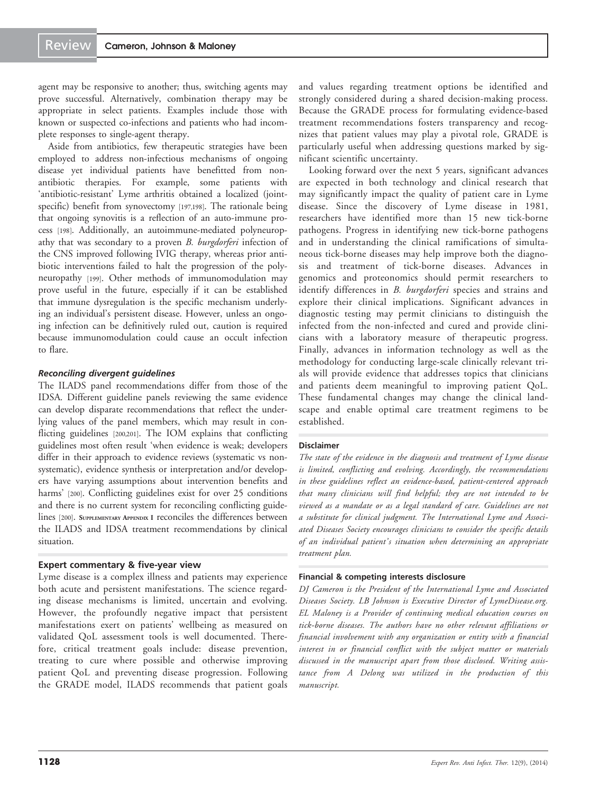agent may be responsive to another; thus, switching agents may prove successful. Alternatively, combination therapy may be appropriate in select patients. Examples include those with known or suspected co-infections and patients who had incomplete responses to single-agent therapy.

Aside from antibiotics, few therapeutic strategies have been employed to address non-infectious mechanisms of ongoing disease yet individual patients have benefitted from nonantibiotic therapies. For example, some patients with 'antibiotic-resistant' Lyme arthritis obtained a localized (jointspecific) benefit from synovectomy [\[197,198](#page-32-0)]. The rationale being that ongoing synovitis is a reflection of an auto-immune process [[198\]](#page-32-0). Additionally, an autoimmune-mediated polyneuropathy that was secondary to a proven  $B$ . burgdorferi infection of the CNS improved following IVIG therapy, whereas prior antibiotic interventions failed to halt the progression of the polyneuropathy [\[199](#page-32-0)]. Other methods of immunomodulation may prove useful in the future, especially if it can be established that immune dysregulation is the specific mechanism underlying an individual's persistent disease. However, unless an ongoing infection can be definitively ruled out, caution is required because immunomodulation could cause an occult infection to flare.

#### Reconciling divergent guidelines

The ILADS panel recommendations differ from those of the IDSA. Different guideline panels reviewing the same evidence can develop disparate recommendations that reflect the underlying values of the panel members, which may result in conflicting guidelines [\[200](#page-32-0),[201\]](#page-32-0). The IOM explains that conflicting guidelines most often result 'when evidence is weak; developers differ in their approach to evidence reviews (systematic vs nonsystematic), evidence synthesis or interpretation and/or developers have varying assumptions about intervention benefits and harms' [\[200](#page-32-0)]. Conflicting guidelines exist for over 25 conditions and there is no current system for reconciling conflicting guide-lines [\[200](#page-32-0)]. [SUPPLEMENTARY](http://informahealthcare.com/doi/suppl/10.1586/14787210.2014.940900/suppl_file/10.1586/14787210.2014.940900_suppl.doc) APPENDIX I reconciles the differences between the ILADS and IDSA treatment recommendations by clinical situation.

#### Expert commentary & five-year view

Lyme disease is a complex illness and patients may experience both acute and persistent manifestations. The science regarding disease mechanisms is limited, uncertain and evolving. However, the profoundly negative impact that persistent manifestations exert on patients' wellbeing as measured on validated QoL assessment tools is well documented. Therefore, critical treatment goals include: disease prevention, treating to cure where possible and otherwise improving patient QoL and preventing disease progression. Following the GRADE model, ILADS recommends that patient goals and values regarding treatment options be identified and strongly considered during a shared decision-making process. Because the GRADE process for formulating evidence-based treatment recommendations fosters transparency and recognizes that patient values may play a pivotal role, GRADE is particularly useful when addressing questions marked by significant scientific uncertainty.

Looking forward over the next 5 years, significant advances are expected in both technology and clinical research that may significantly impact the quality of patient care in Lyme disease. Since the discovery of Lyme disease in 1981, researchers have identified more than 15 new tick-borne pathogens. Progress in identifying new tick-borne pathogens and in understanding the clinical ramifications of simultaneous tick-borne diseases may help improve both the diagnosis and treatment of tick-borne diseases. Advances in genomics and proteonomics should permit researchers to identify differences in *B. burgdorferi* species and strains and explore their clinical implications. Significant advances in diagnostic testing may permit clinicians to distinguish the infected from the non-infected and cured and provide clinicians with a laboratory measure of therapeutic progress. Finally, advances in information technology as well as the methodology for conducting large-scale clinically relevant trials will provide evidence that addresses topics that clinicians and patients deem meaningful to improving patient QoL. These fundamental changes may change the clinical landscape and enable optimal care treatment regimens to be established.

#### Disclaimer

The state of the evidence in the diagnosis and treatment of Lyme disease is limited, conflicting and evolving. Accordingly, the recommendations in these guidelines reflect an evidence-based, patient-centered approach that many clinicians will find helpful; they are not intended to be viewed as a mandate or as a legal standard of care. Guidelines are not a substitute for clinical judgment. The International Lyme and Associated Diseases Society encourages clinicians to consider the specific details of an individual patient's situation when determining an appropriate treatment plan.

#### Financial & competing interests disclosure

DJ Cameron is the President of the International Lyme and Associated Diseases Society. LB Johnson is Executive Director of LymeDisease.org. EL Maloney is a Provider of continuing medical education courses on tick-borne diseases. The authors have no other relevant affiliations or financial involvement with any organization or entity with a financial interest in or financial conflict with the subject matter or materials discussed in the manuscript apart from those disclosed. Writing assistance from A Delong was utilized in the production of this manuscript.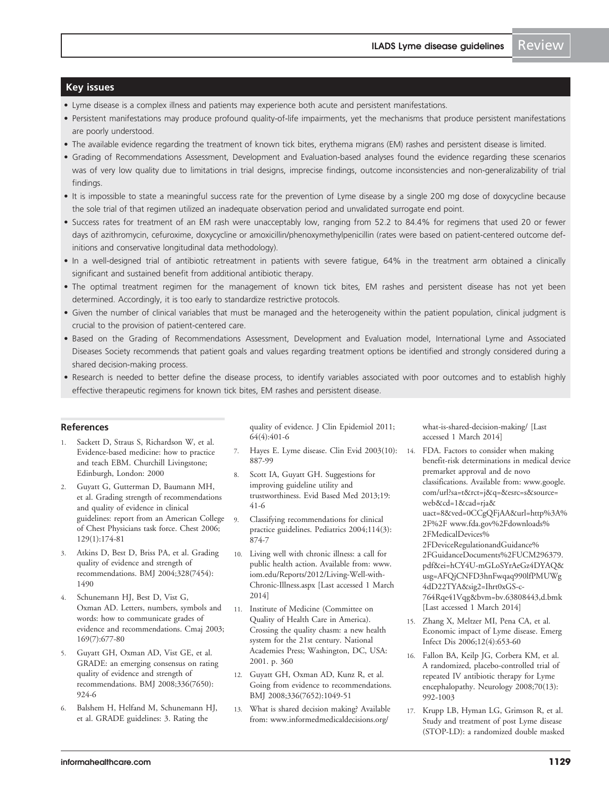#### <span id="page-27-0"></span>Key issues

- Lyme disease is a complex illness and patients may experience both acute and persistent manifestations.
- Persistent manifestations may produce profound quality-of-life impairments, yet the mechanisms that produce persistent manifestations are poorly understood.
- The available evidence regarding the treatment of known tick bites, erythema migrans (EM) rashes and persistent disease is limited.
- Grading of Recommendations Assessment, Development and Evaluation-based analyses found the evidence regarding these scenarios was of very low quality due to limitations in trial designs, imprecise findings, outcome inconsistencies and non-generalizability of trial findings.
- It is impossible to state a meaningful success rate for the prevention of Lyme disease by a single 200 mg dose of doxycycline because the sole trial of that regimen utilized an inadequate observation period and unvalidated surrogate end point.
- Success rates for treatment of an EM rash were unacceptably low, ranging from 52.2 to 84.4% for regimens that used 20 or fewer days of azithromycin, cefuroxime, doxycycline or amoxicillin/phenoxymethylpenicillin (rates were based on patient-centered outcome definitions and conservative longitudinal data methodology).
- In a well-designed trial of antibiotic retreatment in patients with severe fatigue, 64% in the treatment arm obtained a clinically significant and sustained benefit from additional antibiotic therapy.
- The optimal treatment regimen for the management of known tick bites, EM rashes and persistent disease has not yet been determined. Accordingly, it is too early to standardize restrictive protocols.
- Given the number of clinical variables that must be managed and the heterogeneity within the patient population, clinical judgment is crucial to the provision of patient-centered care.
- Based on the Grading of Recommendations Assessment, Development and Evaluation model, International Lyme and Associated Diseases Society recommends that patient goals and values regarding treatment options be identified and strongly considered during a shared decision-making process.
- Research is needed to better define the disease process, to identify variables associated with poor outcomes and to establish highly effective therapeutic regimens for known tick bites, EM rashes and persistent disease.

#### References

- 1. Sackett D, Straus S, Richardson W, et al. Evidence-based medicine: how to practice and teach EBM. Churchill Livingstone; Edinburgh, London: 2000
- 2. Guyatt G, Gutterman D, Baumann MH, et al. [Grading strength of recommendations](http://www.ncbi.nlm.nih.gov/pubmed/16424429?dopt=Abstract) [and quality of evidence in clinical](http://www.ncbi.nlm.nih.gov/pubmed/16424429?dopt=Abstract) [guidelines: report from an American College](http://www.ncbi.nlm.nih.gov/pubmed/16424429?dopt=Abstract) [of Chest Physicians task force](http://www.ncbi.nlm.nih.gov/pubmed/16424429?dopt=Abstract). Chest 2006; 129(1):174-81
- 3. Atkins D, Best D, Briss PA, et al. [Grading](http://www.ncbi.nlm.nih.gov/pubmed/15205295?dopt=Abstract) [quality of evidence and strength of](http://www.ncbi.nlm.nih.gov/pubmed/15205295?dopt=Abstract) [recommendations.](http://www.ncbi.nlm.nih.gov/pubmed/15205295?dopt=Abstract) BMJ 2004;328(7454): 1490
- 4. Schunemann HJ, Best D, Vist G, Oxman AD. [Letters, numbers, symbols and](http://www.ncbi.nlm.nih.gov/pubmed/14517128?dopt=Abstract) [words: how to communicate grades of](http://www.ncbi.nlm.nih.gov/pubmed/14517128?dopt=Abstract) [evidence and recommendations](http://www.ncbi.nlm.nih.gov/pubmed/14517128?dopt=Abstract). Cmaj 2003; 169(7):677-80
- 5. Guyatt GH, Oxman AD, Vist GE, et al. [GRADE: an emerging consensus on rating](http://www.ncbi.nlm.nih.gov/pubmed/18436948?dopt=Abstract) [quality of evidence and strength of](http://www.ncbi.nlm.nih.gov/pubmed/18436948?dopt=Abstract) [recommendations.](http://www.ncbi.nlm.nih.gov/pubmed/18436948?dopt=Abstract) BMJ 2008;336(7650): 924-6
- 6. Balshem H, Helfand M, Schunemann HJ, et al. [GRADE guidelines: 3. Rating the](http://www.ncbi.nlm.nih.gov/pubmed/21208779?dopt=Abstract)

[quality of evidence.](http://www.ncbi.nlm.nih.gov/pubmed/21208779?dopt=Abstract) J Clin Epidemiol 2011; 64(4):401-6

- 7. Hayes E. [Lyme disease](http://www.ncbi.nlm.nih.gov/pubmed/15555127?dopt=Abstract). Clin Evid 2003(10): 14. FDA. Factors to consider when making 887-99
- 8. Scott IA, Guyatt GH. Suggestions for improving guideline utility and trustworthiness. Evid Based Med 2013;19: 41-6
- 9. Classifying recommendations for clinical practice guidelines. Pediatrics 2004;114(3): 874-7
- 10. Living well with chronic illness: a call for public health action. Available from: [www.](www.iom.edu/Reports/2012/Living-Well-with-Chronic-Illness.aspx) [iom.edu/Reports/2012/Living-Well-with-](www.iom.edu/Reports/2012/Living-Well-with-Chronic-Illness.aspx)[Chronic-Illness.aspx](www.iom.edu/Reports/2012/Living-Well-with-Chronic-Illness.aspx) [Last accessed 1 March 2014]
- 11. Institute of Medicine (Committee on Quality of Health Care in America). Crossing the quality chasm: a new health system for the 21st century. National Academies Press; Washington, DC, USA: 2001. p. 360
- 12. Guyatt GH, Oxman AD, Kunz R, et al. [Going from evidence to recommendations.](http://www.ncbi.nlm.nih.gov/pubmed/18467413?dopt=Abstract) BMJ 2008;336(7652):1049-51
- What is shared decision making? Available from: [www.informedmedicaldecisions.org/](www.informedmedicaldecisions.org/what-is-shared-decision-making/)

[what-is-shared-decision-making/](www.informedmedicaldecisions.org/what-is-shared-decision-making/) [Last accessed 1 March 2014]

- benefit-risk determinations in medical device premarket approval and de novo classifications. Available from: [www.google.](www.google.com/url?sa=t&rct=j&q=&esrc=s&source=web&cd=1&cad=rja&uact=8&ved=0CCgQFjAA&url=http%3A%2F%2F) [com/url?sa=t&rct=j&q=&esrc=s&source=](www.google.com/url?sa=t&rct=j&q=&esrc=s&source=web&cd=1&cad=rja&uact=8&ved=0CCgQFjAA&url=http%3A%2F%2F) [web&cd=1&cad=rja&](www.google.com/url?sa=t&rct=j&q=&esrc=s&source=web&cd=1&cad=rja&uact=8&ved=0CCgQFjAA&url=http%3A%2F%2F) [uact=8&ved=0CCgQFjAA&url=http%3A%](www.google.com/url?sa=t&rct=j&q=&esrc=s&source=web&cd=1&cad=rja&uact=8&ved=0CCgQFjAA&url=http%3A%2F%2F) [2F%2F](www.google.com/url?sa=t&rct=j&q=&esrc=s&source=web&cd=1&cad=rja&uact=8&ved=0CCgQFjAA&url=http%3A%2F%2F) [www.fda.gov%2Fdownloads%](www.fda.gov%2Fdownloads%2FMedicalDevices%2FDeviceRegulationandGuidance%2FGuidanceDocuments%2FUCM296379.pdf&ei=hCY4U-mGLoSYrAeGz4DYAQ&usg=AFQjCNFD3hnFwqaq990lfPMUWg4dD22TYA&sig2=Ihrt0xGS-c-764Rqe41Vqg&bvm=bv.63808443,d.bmk) [2FMedicalDevices%](www.fda.gov%2Fdownloads%2FMedicalDevices%2FDeviceRegulationandGuidance%2FGuidanceDocuments%2FUCM296379.pdf&ei=hCY4U-mGLoSYrAeGz4DYAQ&usg=AFQjCNFD3hnFwqaq990lfPMUWg4dD22TYA&sig2=Ihrt0xGS-c-764Rqe41Vqg&bvm=bv.63808443,d.bmk) [2FDeviceRegulationandGuidance%](www.fda.gov%2Fdownloads%2FMedicalDevices%2FDeviceRegulationandGuidance%2FGuidanceDocuments%2FUCM296379.pdf&ei=hCY4U-mGLoSYrAeGz4DYAQ&usg=AFQjCNFD3hnFwqaq990lfPMUWg4dD22TYA&sig2=Ihrt0xGS-c-764Rqe41Vqg&bvm=bv.63808443,d.bmk) [2FGuidanceDocuments%2FUCM296379.](www.fda.gov%2Fdownloads%2FMedicalDevices%2FDeviceRegulationandGuidance%2FGuidanceDocuments%2FUCM296379.pdf&ei=hCY4U-mGLoSYrAeGz4DYAQ&usg=AFQjCNFD3hnFwqaq990lfPMUWg4dD22TYA&sig2=Ihrt0xGS-c-764Rqe41Vqg&bvm=bv.63808443,d.bmk) [pdf&ei=hCY4U-mGLoSYrAeGz4DYAQ&](www.fda.gov%2Fdownloads%2FMedicalDevices%2FDeviceRegulationandGuidance%2FGuidanceDocuments%2FUCM296379.pdf&ei=hCY4U-mGLoSYrAeGz4DYAQ&usg=AFQjCNFD3hnFwqaq990lfPMUWg4dD22TYA&sig2=Ihrt0xGS-c-764Rqe41Vqg&bvm=bv.63808443,d.bmk) [usg=AFQjCNFD3hnFwqaq990lfPMUWg](www.fda.gov%2Fdownloads%2FMedicalDevices%2FDeviceRegulationandGuidance%2FGuidanceDocuments%2FUCM296379.pdf&ei=hCY4U-mGLoSYrAeGz4DYAQ&usg=AFQjCNFD3hnFwqaq990lfPMUWg4dD22TYA&sig2=Ihrt0xGS-c-764Rqe41Vqg&bvm=bv.63808443,d.bmk) [4dD22TYA&sig2=Ihrt0xGS-c-](www.fda.gov%2Fdownloads%2FMedicalDevices%2FDeviceRegulationandGuidance%2FGuidanceDocuments%2FUCM296379.pdf&ei=hCY4U-mGLoSYrAeGz4DYAQ&usg=AFQjCNFD3hnFwqaq990lfPMUWg4dD22TYA&sig2=Ihrt0xGS-c-764Rqe41Vqg&bvm=bv.63808443,d.bmk)[764Rqe41Vqg&bvm=bv.63808443,d.bmk](www.fda.gov%2Fdownloads%2FMedicalDevices%2FDeviceRegulationandGuidance%2FGuidanceDocuments%2FUCM296379.pdf&ei=hCY4U-mGLoSYrAeGz4DYAQ&usg=AFQjCNFD3hnFwqaq990lfPMUWg4dD22TYA&sig2=Ihrt0xGS-c-764Rqe41Vqg&bvm=bv.63808443,d.bmk) [Last accessed 1 March 2014]
- 15. Zhang X, Meltzer MI, Pena CA, et al. [Economic impact of Lyme disease](http://www.ncbi.nlm.nih.gov/pubmed/16704815?dopt=Abstract). Emerg Infect Dis 2006;12(4):653-60
- 16. Fallon BA, Keilp JG, Corbera KM, et al. [A randomized, placebo-controlled trial of](http://www.ncbi.nlm.nih.gov/pubmed/17928580?dopt=Abstract) [repeated IV antibiotic therapy for Lyme](http://www.ncbi.nlm.nih.gov/pubmed/17928580?dopt=Abstract) [encephalopathy](http://www.ncbi.nlm.nih.gov/pubmed/17928580?dopt=Abstract). Neurology 2008;70(13): 992-1003
- 17. Krupp LB, Hyman LG, Grimson R, et al. [Study and treatment of post Lyme disease](http://www.ncbi.nlm.nih.gov/pubmed/12821734?dopt=Abstract) [\(STOP-LD\): a randomized double masked](http://www.ncbi.nlm.nih.gov/pubmed/12821734?dopt=Abstract)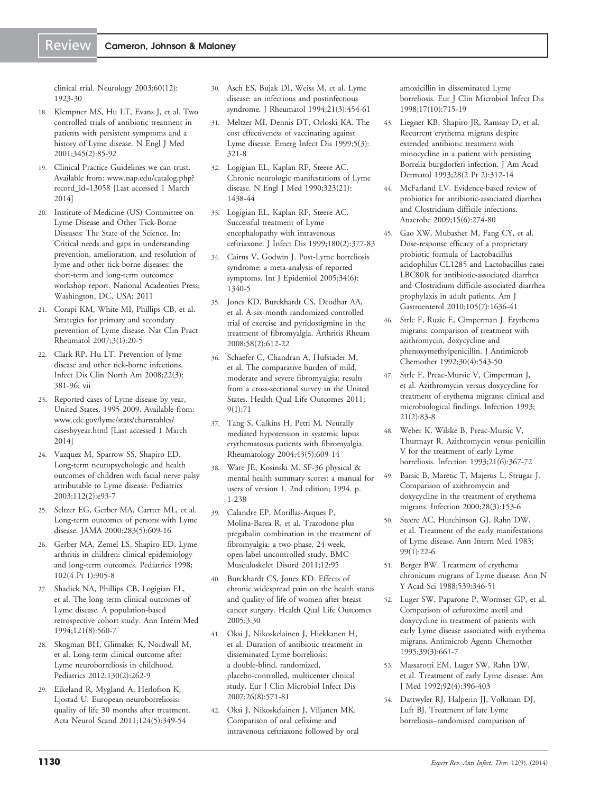## <span id="page-28-0"></span>Review Cameron, Johnson & Maloney

[clinical trial.](http://www.ncbi.nlm.nih.gov/pubmed/12821734?dopt=Abstract) Neurology 2003;60(12): 1923-30

- 18. Klempner MS, Hu LT, Evans J, et al. [Two](http://www.ncbi.nlm.nih.gov/pubmed/11450676?dopt=Abstract) [controlled trials of antibiotic treatment in](http://www.ncbi.nlm.nih.gov/pubmed/11450676?dopt=Abstract) [patients with persistent symptoms and a](http://www.ncbi.nlm.nih.gov/pubmed/11450676?dopt=Abstract) [history of Lyme disease](http://www.ncbi.nlm.nih.gov/pubmed/11450676?dopt=Abstract). N Engl J Med 2001;345(2):85-92
- 19. Clinical Practice Guidelines we can trust. Available from: [www.nap.edu/catalog.php?](www.nap.edu/catalog.php?record_id=13058) [record\\_id=13058](www.nap.edu/catalog.php?record_id=13058) [Last accessed 1 March 2014]
- 20. Institute of Medicine (US) Committee on Lyme Disease and Other Tick-Borne Diseases: The State of the Science. In: Critical needs and gaps in understanding prevention, amelioration, and resolution of lyme and other tick-borne diseases: the short-term and long-term outcomes: workshop report. National Academies Press; Washington, DC, USA: 2011
- 21. Corapi KM, White MI, Phillips CB, et al. [Strategies for primary and secondary](http://www.ncbi.nlm.nih.gov/pubmed/17203005?dopt=Abstract) [prevention of Lyme disease.](http://www.ncbi.nlm.nih.gov/pubmed/17203005?dopt=Abstract) Nat Clin Pract Rheumatol 2007;3(1):20-5
- 22. Clark RP, Hu LT. Prevention of lyme disease and other tick-borne infections. Infect Dis Clin North Am 2008;22(3): 381-96; vii
- 23. Reported cases of Lyme disease by year, United States, 1995-2009. Available from: [www.cdc.gov/lyme/stats/chartstables/](www.cdc.gov/lyme/stats/chartstables/casesbyyear.html) [casesbyyear.html](www.cdc.gov/lyme/stats/chartstables/casesbyyear.html) [Last accessed 1 March 2014]
- 24. Vazquez M, Sparrow SS, Shapiro ED. Long-term neuropsychologic and health outcomes of children with facial nerve palsy attributable to Lyme disease. Pediatrics 2003;112(2):e93-7
- 25. Seltzer EG, Gerber MA, Cartter ML, et al. [Long-term outcomes of persons with Lyme](http://www.ncbi.nlm.nih.gov/pubmed/10665700?dopt=Abstract) [disease](http://www.ncbi.nlm.nih.gov/pubmed/10665700?dopt=Abstract). JAMA 2000;283(5):609-16
- 26. Gerber MA, Zemel LS, Shapiro ED. Lyme arthritis in children: clinical epidemiology and long-term outcomes. Pediatrics 1998; 102(4 Pt 1):905-8
- 27. Shadick NA, Phillips CB, Logigian EL, et al. [The long-term clinical outcomes of](http://www.ncbi.nlm.nih.gov/pubmed/8085687?dopt=Abstract) [Lyme disease. A population-based](http://www.ncbi.nlm.nih.gov/pubmed/8085687?dopt=Abstract) [retrospective cohort study.](http://www.ncbi.nlm.nih.gov/pubmed/8085687?dopt=Abstract) Ann Intern Med 1994;121(8):560-7
- 28. Skogman BH, Glimaker K, Nordwall M, et al. [Long-term clinical outcome after](http://www.ncbi.nlm.nih.gov/pubmed/22802606?dopt=Abstract) [Lyme neuroborreliosis in childhood](http://www.ncbi.nlm.nih.gov/pubmed/22802606?dopt=Abstract). Pediatrics 2012;130(2):262-9
- 29. Eikeland R, Mygland A, Herlofson K, Ljostad U. European neuroborreliosis: quality of life 30 months after treatment. Acta Neurol Scand 2011;124(5):349-54
- 30. Asch ES, Bujak DI, Weiss M, et al. [Lyme](http://www.ncbi.nlm.nih.gov/pubmed/8006888?dopt=Abstract) [disease: an infectious and postinfectious](http://www.ncbi.nlm.nih.gov/pubmed/8006888?dopt=Abstract) [syndrome](http://www.ncbi.nlm.nih.gov/pubmed/8006888?dopt=Abstract). J Rheumatol 1994;21(3):454-61
- 31. Meltzer MI, Dennis DT, Orloski KA. [The](http://www.ncbi.nlm.nih.gov/pubmed/10341168?dopt=Abstract) [cost effectiveness of vaccinating against](http://www.ncbi.nlm.nih.gov/pubmed/10341168?dopt=Abstract) [Lyme disease](http://www.ncbi.nlm.nih.gov/pubmed/10341168?dopt=Abstract). Emerg Infect Dis 1999;5(3): 321-8
- 32. Logigian EL, Kaplan RF, Steere AC. [Chronic neurologic manifestations of Lyme](http://www.ncbi.nlm.nih.gov/pubmed/2172819?dopt=Abstract) [disease](http://www.ncbi.nlm.nih.gov/pubmed/2172819?dopt=Abstract). N Engl J Med 1990;323(21): 1438-44
- 33. Logigian EL, Kaplan RF, Steere AC. [Successful treatment of Lyme](http://www.ncbi.nlm.nih.gov/pubmed/10395852?dopt=Abstract) [encephalopathy with intravenous](http://www.ncbi.nlm.nih.gov/pubmed/10395852?dopt=Abstract) [ceftriaxone](http://www.ncbi.nlm.nih.gov/pubmed/10395852?dopt=Abstract). J Infect Dis 1999;180(2):377-83
- 34. Cairns V, Godwin J. [Post-Lyme borreliosis](http://www.ncbi.nlm.nih.gov/pubmed/16040645?dopt=Abstract) [syndrome: a meta-analysis of reported](http://www.ncbi.nlm.nih.gov/pubmed/16040645?dopt=Abstract) [symptoms.](http://www.ncbi.nlm.nih.gov/pubmed/16040645?dopt=Abstract) Int J Epidemiol 2005;34(6): 1340-5
- 35. Jones KD, Burckhardt CS, Deodhar AA, et al. [A six-month randomized controlled](http://www.ncbi.nlm.nih.gov/pubmed/18240245?dopt=Abstract) [trial of exercise and pyridostigmine in the](http://www.ncbi.nlm.nih.gov/pubmed/18240245?dopt=Abstract) [treatment of fibromyalgia](http://www.ncbi.nlm.nih.gov/pubmed/18240245?dopt=Abstract). Arthritis Rheum 2008;58(2):612-22
- 36. Schaefer C, Chandran A, Hufstader M, et al. [The comparative burden of mild,](http://www.ncbi.nlm.nih.gov/pubmed/21859448?dopt=Abstract) [moderate and severe fibromyalgia: results](http://www.ncbi.nlm.nih.gov/pubmed/21859448?dopt=Abstract) [from a cross-sectional survey in the United](http://www.ncbi.nlm.nih.gov/pubmed/21859448?dopt=Abstract) [States.](http://www.ncbi.nlm.nih.gov/pubmed/21859448?dopt=Abstract) Health Qual Life Outcomes 2011; 9(1):71
- 37. Tang S, Calkins H, Petri M. [Neurally](http://www.ncbi.nlm.nih.gov/pubmed/14983104?dopt=Abstract) [mediated hypotension in systemic lupus](http://www.ncbi.nlm.nih.gov/pubmed/14983104?dopt=Abstract) [erythematosus patients with fibromyalgia](http://www.ncbi.nlm.nih.gov/pubmed/14983104?dopt=Abstract). Rheumatology 2004;43(5):609-14
- 38. Ware JE, Kosinski M. SF-36 physical & mental health summary scores: a manual for users of version 1. 2nd edition; 1994. p. 1-238
- 39. Calandre EP, Morillas-Arques P, Molina-Barea R, et al. Trazodone plus pregabalin combination in the treatment of fibromyalgia: a two-phase, 24-week, open-label uncontrolled study. BMC Musculoskelet Disord 2011;12:95
- 40. Burckhardt CS, Jones KD. Effects of chronic widespread pain on the health status and quality of life of women after breast cancer surgery. Health Qual Life Outcomes 2005;3:30
- 41. Oksi J, Nikoskelainen J, Hiekkanen H, et al. [Duration of antibiotic treatment in](http://www.ncbi.nlm.nih.gov/pubmed/17587070?dopt=Abstract) [disseminated Lyme borreliosis:](http://www.ncbi.nlm.nih.gov/pubmed/17587070?dopt=Abstract) [a double-blind, randomized,](http://www.ncbi.nlm.nih.gov/pubmed/17587070?dopt=Abstract) [placebo-controlled, multicenter clinical](http://www.ncbi.nlm.nih.gov/pubmed/17587070?dopt=Abstract) [study.](http://www.ncbi.nlm.nih.gov/pubmed/17587070?dopt=Abstract) Eur J Clin Microbiol Infect Dis 2007;26(8):571-81
- 42. Oksi J, Nikoskelainen J, Viljanen MK. [Comparison of oral cefixime and](http://www.ncbi.nlm.nih.gov/pubmed/9865985?dopt=Abstract) [intravenous ceftriaxone followed by oral](http://www.ncbi.nlm.nih.gov/pubmed/9865985?dopt=Abstract)

[amoxicillin in disseminated Lyme](http://www.ncbi.nlm.nih.gov/pubmed/9865985?dopt=Abstract) [borreliosis](http://www.ncbi.nlm.nih.gov/pubmed/9865985?dopt=Abstract). Eur J Clin Microbiol Infect Dis 1998;17(10):715-19

- 43. Liegner KB, Shapiro JR, Ramsay D, et al. Recurrent erythema migrans despite extended antibiotic treatment with minocycline in a patient with persisting Borrelia burgdorferi infection. J Am Acad Dermatol 1993;28(2 Pt 2):312-14
- 44. McFarland LV. [Evidence-based review of](http://www.ncbi.nlm.nih.gov/pubmed/19825425?dopt=Abstract) [probiotics for antibiotic-associated diarrhea](http://www.ncbi.nlm.nih.gov/pubmed/19825425?dopt=Abstract) [and Clostridium difficile infections](http://www.ncbi.nlm.nih.gov/pubmed/19825425?dopt=Abstract). Anaerobe 2009;15(6):274-80
- 45. Gao XW, Mubasher M, Fang CY, et al. [Dose-response efficacy of a proprietary](http://www.ncbi.nlm.nih.gov/pubmed/20145608?dopt=Abstract) [probiotic formula of Lactobacillus](http://www.ncbi.nlm.nih.gov/pubmed/20145608?dopt=Abstract) [acidophilus CL1285 and Lactobacillus casei](http://www.ncbi.nlm.nih.gov/pubmed/20145608?dopt=Abstract) [LBC80R for antibiotic-associated diarrhea](http://www.ncbi.nlm.nih.gov/pubmed/20145608?dopt=Abstract) [and Clostridium difficile-associated diarrhea](http://www.ncbi.nlm.nih.gov/pubmed/20145608?dopt=Abstract) [prophylaxis in adult patients](http://www.ncbi.nlm.nih.gov/pubmed/20145608?dopt=Abstract). Am J Gastroenterol 2010;105(7):1636-41
- 46. Strle F, Ruzic E, Cimperman J. [Erythema](http://www.ncbi.nlm.nih.gov/pubmed/1337070?dopt=Abstract) [migrans: comparison of treatment with](http://www.ncbi.nlm.nih.gov/pubmed/1337070?dopt=Abstract) [azithromycin, doxycycline and](http://www.ncbi.nlm.nih.gov/pubmed/1337070?dopt=Abstract) [phenoxymethylpenicillin.](http://www.ncbi.nlm.nih.gov/pubmed/1337070?dopt=Abstract) J Antimicrob Chemother 1992;30(4):543-50
- 47. Strle F, Preac-Mursic V, Cimperman J, et al. [Azithromycin versus doxycycline for](http://www.ncbi.nlm.nih.gov/pubmed/8387966?dopt=Abstract) [treatment of erythema migrans: clinical and](http://www.ncbi.nlm.nih.gov/pubmed/8387966?dopt=Abstract) [microbiological findings.](http://www.ncbi.nlm.nih.gov/pubmed/8387966?dopt=Abstract) Infection 1993; 21(2):83-8
- 48. Weber K, Wilske B, Preac-Mursic V, Thurmayr R. [Azithromycin versus penicillin](http://www.ncbi.nlm.nih.gov/pubmed/8132365?dopt=Abstract) [V for the treatment of early Lyme](http://www.ncbi.nlm.nih.gov/pubmed/8132365?dopt=Abstract) [borreliosis](http://www.ncbi.nlm.nih.gov/pubmed/8132365?dopt=Abstract). Infection 1993;21(6):367-72
- 49. Barsic B, Maretic T, Majerus L, Strugar J. [Comparison of azithromycin and](http://www.ncbi.nlm.nih.gov/pubmed/10879639?dopt=Abstract) [doxycycline in the treatment of erythema](http://www.ncbi.nlm.nih.gov/pubmed/10879639?dopt=Abstract) [migrans](http://www.ncbi.nlm.nih.gov/pubmed/10879639?dopt=Abstract). Infection 2000;28(3):153-6
- 50. Steere AC, Hutchinson GJ, Rahn DW, et al. [Treatment of the early manifestations](http://www.ncbi.nlm.nih.gov/pubmed/6407378?dopt=Abstract) [of Lyme disease.](http://www.ncbi.nlm.nih.gov/pubmed/6407378?dopt=Abstract) Ann Intern Med 1983; 99(1):22-6
- 51. Berger BW. [Treatment of erythema](http://www.ncbi.nlm.nih.gov/pubmed/3190102?dopt=Abstract) [chronicum migrans of Lyme disease](http://www.ncbi.nlm.nih.gov/pubmed/3190102?dopt=Abstract). Ann N Y Acad Sci 1988;539:346-51
- 52. Luger SW, Paparone P, Wormser GP, et al. [Comparison of cefuroxime axetil and](http://www.ncbi.nlm.nih.gov/pubmed/7793869?dopt=Abstract) [doxycycline in treatment of patients with](http://www.ncbi.nlm.nih.gov/pubmed/7793869?dopt=Abstract) [early Lyme disease associated with erythema](http://www.ncbi.nlm.nih.gov/pubmed/7793869?dopt=Abstract) [migrans](http://www.ncbi.nlm.nih.gov/pubmed/7793869?dopt=Abstract). Antimicrob Agents Chemother 1995;39(3):661-7
- 53. Massarotti EM, Luger SW, Rahn DW, et al. [Treatment of early Lyme disease.](http://www.ncbi.nlm.nih.gov/pubmed/1313637?dopt=Abstract) Am J Med 1992;92(4):396-403
- 54. Dattwyler RJ, Halperin JJ, Volkman DJ, Luft BJ. [Treatment of late Lyme](http://www.ncbi.nlm.nih.gov/pubmed/2897008?dopt=Abstract) [borreliosis–randomised comparison of](http://www.ncbi.nlm.nih.gov/pubmed/2897008?dopt=Abstract)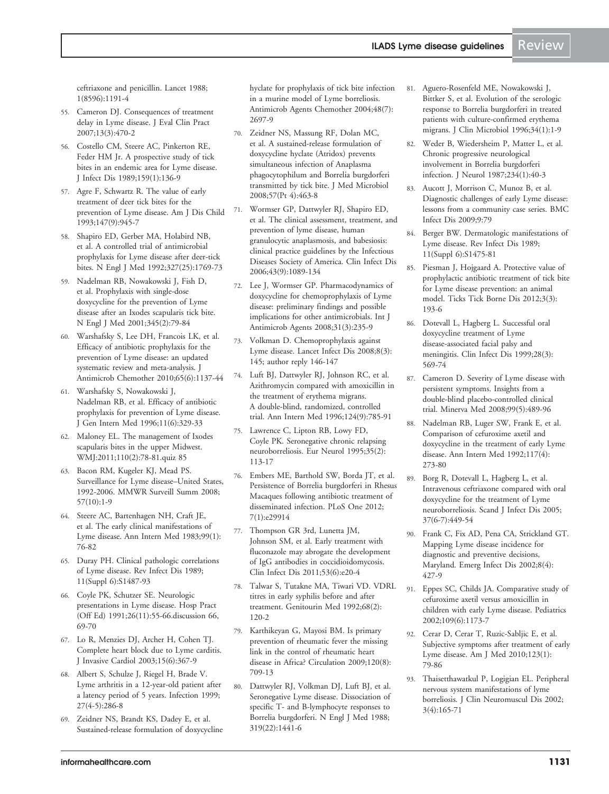ILADS Lyme disease guidelines Review

<span id="page-29-0"></span>[ceftriaxone and penicillin](http://www.ncbi.nlm.nih.gov/pubmed/2897008?dopt=Abstract). Lancet 1988; 1(8596):1191-4

- 55. Cameron DJ. [Consequences of treatment](http://www.ncbi.nlm.nih.gov/pubmed/17518818?dopt=Abstract) [delay in Lyme disease.](http://www.ncbi.nlm.nih.gov/pubmed/17518818?dopt=Abstract) J Eval Clin Pract 2007;13(3):470-2
- 56. Costello CM, Steere AC, Pinkerton RE, Feder HM Jr. [A prospective study of tick](http://www.ncbi.nlm.nih.gov/pubmed/2642519?dopt=Abstract) [bites in an endemic area for Lyme disease](http://www.ncbi.nlm.nih.gov/pubmed/2642519?dopt=Abstract). J Infect Dis 1989;159(1):136-9
- 57. Agre F, Schwartz R. [The value of early](http://www.ncbi.nlm.nih.gov/pubmed/8362808?dopt=Abstract) [treatment of deer tick bites for the](http://www.ncbi.nlm.nih.gov/pubmed/8362808?dopt=Abstract) [prevention of Lyme disease.](http://www.ncbi.nlm.nih.gov/pubmed/8362808?dopt=Abstract) Am J Dis Child 1993;147(9):945-7
- 58. Shapiro ED, Gerber MA, Holabird NB, et al. [A controlled trial of antimicrobial](http://www.ncbi.nlm.nih.gov/pubmed/1435930?dopt=Abstract) [prophylaxis for Lyme disease after deer-tick](http://www.ncbi.nlm.nih.gov/pubmed/1435930?dopt=Abstract) [bites.](http://www.ncbi.nlm.nih.gov/pubmed/1435930?dopt=Abstract) N Engl J Med 1992;327(25):1769-73
- 59. Nadelman RB, Nowakowski J, Fish D, et al. [Prophylaxis with single-dose](http://www.ncbi.nlm.nih.gov/pubmed/11450675?dopt=Abstract) [doxycycline for the prevention of Lyme](http://www.ncbi.nlm.nih.gov/pubmed/11450675?dopt=Abstract) [disease after an Ixodes scapularis tick bite.](http://www.ncbi.nlm.nih.gov/pubmed/11450675?dopt=Abstract) N Engl J Med 2001;345(2):79-84
- 60. Warshafsky S, Lee DH, Francois LK, et al. Efficacy of antibiotic prophylaxis for the prevention of Lyme disease: an updated systematic review and meta-analysis. J Antimicrob Chemother 2010;65(6):1137-44
- 61. Warshafsky S, Nowakowski J, Nadelman RB, et al. [Efficacy of antibiotic](http://www.ncbi.nlm.nih.gov/pubmed/8803738?dopt=Abstract) [prophylaxis for prevention of Lyme disease.](http://www.ncbi.nlm.nih.gov/pubmed/8803738?dopt=Abstract) J Gen Intern Med 1996;11(6):329-33
- 62. Maloney EL. The management of Ixodes scapularis bites in the upper Midwest. WMJ:2011;110(2):78-81.quiz 85
- 63. Bacon RM, Kugeler KJ, Mead PS. Surveillance for Lyme disease–United States, 1992-2006. MMWR Surveill Summ 2008; 57(10):1-9
- 64. Steere AC, Bartenhagen NH, Craft JE, et al. [The early clinical manifestations of](http://www.ncbi.nlm.nih.gov/pubmed/6859726?dopt=Abstract) [Lyme disease.](http://www.ncbi.nlm.nih.gov/pubmed/6859726?dopt=Abstract) Ann Intern Med 1983;99(1): 76-82
- 65. Duray PH. Clinical pathologic correlations of Lyme disease. Rev Infect Dis 1989; 11(Suppl 6):S1487-93
- 66. Coyle PK, Schutzer SE. Neurologic presentations in Lyme disease. Hosp Pract (Off Ed) 1991;26(11):55-66.discussion 66, 69-70
- 67. Lo R, Menzies DJ, Archer H, Cohen TJ. [Complete heart block due to Lyme carditis.](http://www.ncbi.nlm.nih.gov/pubmed/12777681?dopt=Abstract) J Invasive Cardiol 2003;15(6):367-9
- 68. Albert S, Schulze J, Riegel H, Brade V. Lyme arthritis in a 12-year-old patient after a latency period of 5 years. Infection 1999; 27(4-5):286-8
- 69. Zeidner NS, Brandt KS, Dadey E, et al. [Sustained-release formulation of doxycycline](http://www.ncbi.nlm.nih.gov/pubmed/15215128?dopt=Abstract)

[hyclate for prophylaxis of tick bite infection](http://www.ncbi.nlm.nih.gov/pubmed/15215128?dopt=Abstract) [in a murine model of Lyme borreliosis](http://www.ncbi.nlm.nih.gov/pubmed/15215128?dopt=Abstract). Antimicrob Agents Chemother 2004;48(7): 2697-9

- 70. Zeidner NS, Massung RF, Dolan MC, et al. A sustained-release formulation of doxycycline hyclate (Atridox) prevents simultaneous infection of Anaplasma phagocytophilum and Borrelia burgdorferi transmitted by tick bite. J Med Microbiol 2008;57(Pt 4):463-8
- 71. Wormser GP, Dattwyler RJ, Shapiro ED, et al. [The clinical assessment, treatment, and](http://www.ncbi.nlm.nih.gov/pubmed/17029130?dopt=Abstract) [prevention of lyme disease, human](http://www.ncbi.nlm.nih.gov/pubmed/17029130?dopt=Abstract) [granulocytic anaplasmosis, and babesiosis:](http://www.ncbi.nlm.nih.gov/pubmed/17029130?dopt=Abstract) [clinical practice guidelines by the Infectious](http://www.ncbi.nlm.nih.gov/pubmed/17029130?dopt=Abstract) [Diseases Society of America.](http://www.ncbi.nlm.nih.gov/pubmed/17029130?dopt=Abstract) Clin Infect Dis 2006;43(9):1089-134
- 72. Lee J, Wormser GP. Pharmacodynamics of doxycycline for chemoprophylaxis of Lyme disease: preliminary findings and possible implications for other antimicrobials. Int J Antimicrob Agents 2008;31(3):235-9
- 73. Volkman D. Chemoprophylaxis against Lyme disease. Lancet Infect Dis 2008;8(3): 145; author reply 146-147
- 74. Luft BJ, Dattwyler RJ, Johnson RC, et al. [Azithromycin compared with amoxicillin in](http://www.ncbi.nlm.nih.gov/pubmed/8610947?dopt=Abstract) [the treatment of erythema migrans.](http://www.ncbi.nlm.nih.gov/pubmed/8610947?dopt=Abstract) [A double-blind, randomized, controlled](http://www.ncbi.nlm.nih.gov/pubmed/8610947?dopt=Abstract) [trial.](http://www.ncbi.nlm.nih.gov/pubmed/8610947?dopt=Abstract) Ann Intern Med 1996;124(9):785-91
- 75. Lawrence C, Lipton RB, Lowy FD, Coyle PK. [Seronegative chronic relapsing](http://www.ncbi.nlm.nih.gov/pubmed/7796837?dopt=Abstract) [neuroborreliosis.](http://www.ncbi.nlm.nih.gov/pubmed/7796837?dopt=Abstract) Eur Neurol 1995;35(2): 113-17
- 76. Embers ME, Barthold SW, Borda JT, et al. Persistence of Borrelia burgdorferi in Rhesus Macaques following antibiotic treatment of disseminated infection. PLoS One 2012; 7(1):e29914
- 77. Thompson GR 3rd, Lunetta JM, Johnson SM, et al. Early treatment with fluconazole may abrogate the development of IgG antibodies in coccidioidomycosis. Clin Infect Dis 2011;53(6):e20-4
- 78. Talwar S, Tutakne MA, Tiwari VD. [VDRL](http://www.ncbi.nlm.nih.gov/pubmed/1582655?dopt=Abstract) [titres in early syphilis before and after](http://www.ncbi.nlm.nih.gov/pubmed/1582655?dopt=Abstract) [treatment](http://www.ncbi.nlm.nih.gov/pubmed/1582655?dopt=Abstract). Genitourin Med 1992;68(2): 120-2
- 79. Karthikeyan G, Mayosi BM. [Is primary](http://www.ncbi.nlm.nih.gov/pubmed/19667233?dopt=Abstract) [prevention of rheumatic fever the missing](http://www.ncbi.nlm.nih.gov/pubmed/19667233?dopt=Abstract) [link in the control of rheumatic heart](http://www.ncbi.nlm.nih.gov/pubmed/19667233?dopt=Abstract) [disease in Africa?](http://www.ncbi.nlm.nih.gov/pubmed/19667233?dopt=Abstract) Circulation 2009;120(8): 709-13
- 80. Dattwyler RJ, Volkman DJ, Luft BJ, et al. [Seronegative Lyme disease. Dissociation of](http://www.ncbi.nlm.nih.gov/pubmed/3054554?dopt=Abstract) [specific T- and B-lymphocyte responses to](http://www.ncbi.nlm.nih.gov/pubmed/3054554?dopt=Abstract) [Borrelia burgdorferi](http://www.ncbi.nlm.nih.gov/pubmed/3054554?dopt=Abstract). N Engl J Med 1988; 319(22):1441-6
- 81. Aguero-Rosenfeld ME, Nowakowski J, Bittker S, et al. [Evolution of the serologic](http://www.ncbi.nlm.nih.gov/pubmed/8748261?dopt=Abstract) [response to Borrelia burgdorferi in treated](http://www.ncbi.nlm.nih.gov/pubmed/8748261?dopt=Abstract) [patients with culture-confirmed erythema](http://www.ncbi.nlm.nih.gov/pubmed/8748261?dopt=Abstract) [migrans.](http://www.ncbi.nlm.nih.gov/pubmed/8748261?dopt=Abstract) J Clin Microbiol 1996;34(1):1-9
- 82. Weder B, Wiedersheim P, Matter L, et al. [Chronic progressive neurological](http://www.ncbi.nlm.nih.gov/pubmed/3819785?dopt=Abstract) [involvement in Borrelia burgdorferi](http://www.ncbi.nlm.nih.gov/pubmed/3819785?dopt=Abstract) [infection.](http://www.ncbi.nlm.nih.gov/pubmed/3819785?dopt=Abstract) J Neurol 1987;234(1):40-3
- 83. Aucott J, Morrison C, Munoz B, et al. Diagnostic challenges of early Lyme disease: lessons from a community case series. BMC Infect Dis 2009;9:79
- 84. Berger BW. Dermatologic manifestations of Lyme disease. Rev Infect Dis 1989; 11(Suppl 6):S1475-81
- 85. Piesman J, Hojgaard A. Protective value of prophylactic antibiotic treatment of tick bite for Lyme disease prevention: an animal model. Ticks Tick Borne Dis 2012;3(3): 193-6
- 86. Dotevall L, Hagberg L. [Successful oral](http://www.ncbi.nlm.nih.gov/pubmed/10194080?dopt=Abstract) [doxycycline treatment of Lyme](http://www.ncbi.nlm.nih.gov/pubmed/10194080?dopt=Abstract) [disease-associated facial palsy and](http://www.ncbi.nlm.nih.gov/pubmed/10194080?dopt=Abstract) [meningitis](http://www.ncbi.nlm.nih.gov/pubmed/10194080?dopt=Abstract). Clin Infect Dis 1999;28(3): 569-74
- 87. Cameron D. [Severity of Lyme disease with](http://www.ncbi.nlm.nih.gov/pubmed/18971914?dopt=Abstract) [persistent symptoms. Insights from a](http://www.ncbi.nlm.nih.gov/pubmed/18971914?dopt=Abstract) [double-blind placebo-controlled clinical](http://www.ncbi.nlm.nih.gov/pubmed/18971914?dopt=Abstract) [trial.](http://www.ncbi.nlm.nih.gov/pubmed/18971914?dopt=Abstract) Minerva Med 2008;99(5):489-96
- 88. Nadelman RB, Luger SW, Frank E, et al. [Comparison of cefuroxime axetil and](http://www.ncbi.nlm.nih.gov/pubmed/1637021?dopt=Abstract) [doxycycline in the treatment of early Lyme](http://www.ncbi.nlm.nih.gov/pubmed/1637021?dopt=Abstract) [disease.](http://www.ncbi.nlm.nih.gov/pubmed/1637021?dopt=Abstract) Ann Intern Med 1992;117(4): 273-80
- 89. Borg R, Dotevall L, Hagberg L, et al. Intravenous ceftriaxone compared with oral doxycycline for the treatment of Lyme neuroborreliosis. Scand J Infect Dis 2005; 37(6-7):449-54
- 90. Frank C, Fix AD, Pena CA, Strickland GT. [Mapping Lyme disease incidence for](http://www.ncbi.nlm.nih.gov/pubmed/11971779?dopt=Abstract) [diagnostic and preventive decisions,](http://www.ncbi.nlm.nih.gov/pubmed/11971779?dopt=Abstract) [Maryland.](http://www.ncbi.nlm.nih.gov/pubmed/11971779?dopt=Abstract) Emerg Infect Dis 2002;8(4): 427-9
- 91. Eppes SC, Childs JA. [Comparative study of](http://www.ncbi.nlm.nih.gov/pubmed/12042561?dopt=Abstract) [cefuroxime axetil versus amoxicillin in](http://www.ncbi.nlm.nih.gov/pubmed/12042561?dopt=Abstract) [children with early Lyme disease](http://www.ncbi.nlm.nih.gov/pubmed/12042561?dopt=Abstract). Pediatrics 2002;109(6):1173-7
- 92. Cerar D, Cerar T, Ruzic-Sabljic E, et al. [Subjective symptoms after treatment of early](http://www.ncbi.nlm.nih.gov/pubmed/20102996?dopt=Abstract) [Lyme disease.](http://www.ncbi.nlm.nih.gov/pubmed/20102996?dopt=Abstract) Am J Med 2010;123(1): 79-86
- 93. Thaisetthawatkul P, Logigian EL. [Peripheral](http://www.ncbi.nlm.nih.gov/pubmed/19078675?dopt=Abstract) [nervous system manifestations of lyme](http://www.ncbi.nlm.nih.gov/pubmed/19078675?dopt=Abstract) [borreliosis.](http://www.ncbi.nlm.nih.gov/pubmed/19078675?dopt=Abstract) J Clin Neuromuscul Dis 2002; 3(4):165-71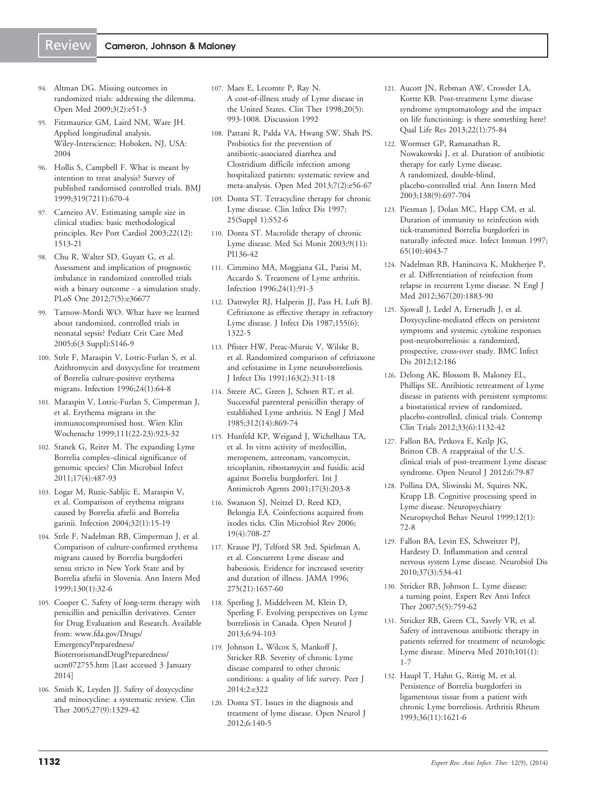## <span id="page-30-0"></span>Review Cameron, Johnson & Maloney

- 94. Altman DG. Missing outcomes in randomized trials: addressing the dilemma. Open Med 2009;3(2):e51-3
- 95. Fitzmaurice GM, Laird NM, Ware JH. Applied longitudinal analysis. Wiley-Interscience; Hoboken, NJ, USA: 2004
- 96. Hollis S, Campbell F. [What is meant by](http://www.ncbi.nlm.nih.gov/pubmed/10480822?dopt=Abstract) [intention to treat analysis? Survey of](http://www.ncbi.nlm.nih.gov/pubmed/10480822?dopt=Abstract) [published randomised controlled trials.](http://www.ncbi.nlm.nih.gov/pubmed/10480822?dopt=Abstract) BMJ 1999;319(7211):670-4
- 97. Carneiro AV. [Estimating sample size in](http://www.ncbi.nlm.nih.gov/pubmed/15008067?dopt=Abstract) [clinical studies: basic methodological](http://www.ncbi.nlm.nih.gov/pubmed/15008067?dopt=Abstract) [principles.](http://www.ncbi.nlm.nih.gov/pubmed/15008067?dopt=Abstract) Rev Port Cardiol 2003;22(12): 1513-21
- 98. Chu R, Walter SD, Guyatt G, et al. Assessment and implication of prognostic imbalance in randomized controlled trials with a binary outcome - a simulation study. PLoS One 2012;7(5):e36677
- 99. Tarnow-Mordi WO. What have we learned about randomized, controlled trials in neonatal sepsis? Pediatr Crit Care Med 2005;6(3 Suppl):S146-9
- 100. Strle F, Maraspin V, Lotric-Furlan S, et al. [Azithromycin and doxycycline for treatment](http://www.ncbi.nlm.nih.gov/pubmed/8852473?dopt=Abstract) [of Borrelia culture-positive erythema](http://www.ncbi.nlm.nih.gov/pubmed/8852473?dopt=Abstract) [migrans](http://www.ncbi.nlm.nih.gov/pubmed/8852473?dopt=Abstract). Infection 1996;24(1):64-8
- 101. Maraspin V, Lotric-Furlan S, Cimperman J, et al. Erythema migrans in the immunocompromised host. Wien Klin Wochenschr 1999;111(22-23):923-32
- 102. Stanek G, Reiter M. [The expanding Lyme](http://www.ncbi.nlm.nih.gov/pubmed/21414082?dopt=Abstract) [Borrelia complex–clinical significance of](http://www.ncbi.nlm.nih.gov/pubmed/21414082?dopt=Abstract) [genomic species?](http://www.ncbi.nlm.nih.gov/pubmed/21414082?dopt=Abstract) Clin Microbiol Infect 2011;17(4):487-93
- 103. Logar M, Ruzic-Sabljic E, Maraspin V, et al. [Comparison of erythema migrans](http://www.ncbi.nlm.nih.gov/pubmed/15007737?dopt=Abstract) [caused by Borrelia afzelii and Borrelia](http://www.ncbi.nlm.nih.gov/pubmed/15007737?dopt=Abstract) [garinii.](http://www.ncbi.nlm.nih.gov/pubmed/15007737?dopt=Abstract) Infection 2004;32(1):15-19
- 104. Strle F, Nadelman RB, Cimperman J, et al. [Comparison of culture-confirmed erythema](http://www.ncbi.nlm.nih.gov/pubmed/9890847?dopt=Abstract) [migrans caused by Borrelia burgdorferi](http://www.ncbi.nlm.nih.gov/pubmed/9890847?dopt=Abstract) [sensu stricto in New York State and by](http://www.ncbi.nlm.nih.gov/pubmed/9890847?dopt=Abstract) [Borrelia afzelii in Slovenia](http://www.ncbi.nlm.nih.gov/pubmed/9890847?dopt=Abstract). Ann Intern Med 1999;130(1):32-6
- 105. Cooper C. Safety of long-term therapy with penicillin and penicillin derivatives. Center for Drug Evaluation and Research. Available from: [www.fda.gov/Drugs/](www.fda.gov/Drugs/EmergencyPreparedness/BioterrorismandDrugPreparedness/ucm072755.htm) [EmergencyPreparedness/](www.fda.gov/Drugs/EmergencyPreparedness/BioterrorismandDrugPreparedness/ucm072755.htm) [BioterrorismandDrugPreparedness/](www.fda.gov/Drugs/EmergencyPreparedness/BioterrorismandDrugPreparedness/ucm072755.htm) [ucm072755.htm](www.fda.gov/Drugs/EmergencyPreparedness/BioterrorismandDrugPreparedness/ucm072755.htm) [Last accessed 3 January 2014]
- 106. Smith K, Leyden JJ. [Safety of doxycycline](http://www.ncbi.nlm.nih.gov/pubmed/16291409?dopt=Abstract) [and minocycline: a systematic review.](http://www.ncbi.nlm.nih.gov/pubmed/16291409?dopt=Abstract) Clin Ther 2005;27(9):1329-42
- 107. Maes E, Lecomte P, Ray N. A cost-of-illness study of Lyme disease in the United States. Clin Ther 1998;20(5): 993-1008. Discussion 1992
- 108. Pattani R, Palda VA, Hwang SW, Shah PS. Probiotics for the prevention of antibiotic-associated diarrhea and Clostridium difficile infection among hospitalized patients: systematic review and meta-analysis. Open Med 2013;7(2):e56-67
- 109. Donta ST. Tetracycline therapy for chronic Lyme disease. Clin Infect Dis 1997; 25(Suppl 1):S52-6
- 110. Donta ST. Macrolide therapy of chronic Lyme disease. Med Sci Monit 2003;9(11): PI136-42
- 111. Cimmino MA, Moggiana GL, Parisi M, Accardo S. [Treatment of Lyme arthritis](http://www.ncbi.nlm.nih.gov/pubmed/8852480?dopt=Abstract). Infection 1996;24(1):91-3
- 112. Dattwyler RJ, Halperin JJ, Pass H, Luft BJ. [Ceftriaxone as effective therapy in refractory](http://www.ncbi.nlm.nih.gov/pubmed/3572042?dopt=Abstract) [Lyme disease](http://www.ncbi.nlm.nih.gov/pubmed/3572042?dopt=Abstract). J Infect Dis 1987;155(6): 1322-5
- 113. Pfister HW, Preac-Mursic V, Wilske B, et al. [Randomized comparison of ceftriaxone](http://www.ncbi.nlm.nih.gov/pubmed/1988514?dopt=Abstract) [and cefotaxime in Lyme neuroborreliosis.](http://www.ncbi.nlm.nih.gov/pubmed/1988514?dopt=Abstract) J Infect Dis 1991;163(2):311-18
- 114. Steere AC, Green J, Schoen RT, et al. [Successful parenteral penicillin therapy of](http://www.ncbi.nlm.nih.gov/pubmed/3883177?dopt=Abstract) [established Lyme arthritis](http://www.ncbi.nlm.nih.gov/pubmed/3883177?dopt=Abstract). N Engl J Med 1985;312(14):869-74
- 115. Hunfeld KP, Weigand J, Wichelhaus TA, et al. [In vitro activity of mezlocillin,](http://www.ncbi.nlm.nih.gov/pubmed/11282265?dopt=Abstract) [meropenem, aztreonam, vancomycin,](http://www.ncbi.nlm.nih.gov/pubmed/11282265?dopt=Abstract) [teicoplanin, ribostamycin and fusidic acid](http://www.ncbi.nlm.nih.gov/pubmed/11282265?dopt=Abstract) [against Borrelia burgdorferi.](http://www.ncbi.nlm.nih.gov/pubmed/11282265?dopt=Abstract) Int J Antimicrob Agents 2001;17(3):203-8
- 116. Swanson SJ, Neitzel D, Reed KD, Belongia EA. [Coinfections acquired from](http://www.ncbi.nlm.nih.gov/pubmed/17041141?dopt=Abstract) [ixodes ticks.](http://www.ncbi.nlm.nih.gov/pubmed/17041141?dopt=Abstract) Clin Microbiol Rev 2006; 19(4):708-27
- 117. Krause PJ, Telford SR 3rd, Spielman A, et al. [Concurrent Lyme disease and](http://www.ncbi.nlm.nih.gov/pubmed/8637139?dopt=Abstract) [babesiosis. Evidence for increased severity](http://www.ncbi.nlm.nih.gov/pubmed/8637139?dopt=Abstract) [and duration of illness](http://www.ncbi.nlm.nih.gov/pubmed/8637139?dopt=Abstract). JAMA 1996; 275(21):1657-60
- 118. Sperling J, Middelveen M, Klein D, Sperling F. Evolving perspectives on Lyme borreliosis in Canada. Open Neurol J 2013;6:94-103
- 119. Johnson L, Wilcox S, Mankoff J, Stricker RB. Severity of chronic Lyme disease compared to other chronic conditions: a quality of life survey. Peer J 2014;2:e322
- 120. Donta ST. [Issues in the diagnosis and](http://www.ncbi.nlm.nih.gov/pubmed/23248715?dopt=Abstract) [treatment of lyme disease](http://www.ncbi.nlm.nih.gov/pubmed/23248715?dopt=Abstract). Open Neurol J 2012;6:140-5
- 121. Aucott JN, Rebman AW, Crowder LA, Kortte KB. [Post-treatment Lyme disease](http://www.ncbi.nlm.nih.gov/pubmed/22294245?dopt=Abstract) [syndrome symptomatology and the impact](http://www.ncbi.nlm.nih.gov/pubmed/22294245?dopt=Abstract) [on life functioning: is there something here?](http://www.ncbi.nlm.nih.gov/pubmed/22294245?dopt=Abstract) Qual Life Res 2013;22(1):75-84
- 122. Wormser GP, Ramanathan R, Nowakowski J, et al. [Duration of antibiotic](http://www.ncbi.nlm.nih.gov/pubmed/12729423?dopt=Abstract) [therapy for early Lyme disease.](http://www.ncbi.nlm.nih.gov/pubmed/12729423?dopt=Abstract) [A randomized, double-blind,](http://www.ncbi.nlm.nih.gov/pubmed/12729423?dopt=Abstract) [placebo-controlled trial](http://www.ncbi.nlm.nih.gov/pubmed/12729423?dopt=Abstract). Ann Intern Med 2003;138(9):697-704
- 123. Piesman J, Dolan MC, Happ CM, et al. [Duration of immunity to reinfection with](http://www.ncbi.nlm.nih.gov/pubmed/9317005?dopt=Abstract) [tick-transmitted Borrelia burgdorferi in](http://www.ncbi.nlm.nih.gov/pubmed/9317005?dopt=Abstract) [naturally infected mice.](http://www.ncbi.nlm.nih.gov/pubmed/9317005?dopt=Abstract) Infect Immun 1997; 65(10):4043-7
- 124. Nadelman RB, Hanincova K, Mukherjee P, et al. [Differentiation of reinfection from](http://www.ncbi.nlm.nih.gov/pubmed/23150958?dopt=Abstract) [relapse in recurrent Lyme disease](http://www.ncbi.nlm.nih.gov/pubmed/23150958?dopt=Abstract). N Engl J Med 2012;367(20):1883-90
- 125. Sjowall J, Ledel A, Ernerudh J, et al. Doxycycline-mediated effects on persistent symptoms and systemic cytokine responses post-neuroborreliosis: a randomized, prospective, cross-over study. BMC Infect Dis 2012;12:186
- 126. Delong AK, Blossom B, Maloney EL, Phillips SE. [Antibiotic retreatment of Lyme](http://www.ncbi.nlm.nih.gov/pubmed/22922244?dopt=Abstract) [disease in patients with persistent symptoms:](http://www.ncbi.nlm.nih.gov/pubmed/22922244?dopt=Abstract) [a biostatistical review of randomized,](http://www.ncbi.nlm.nih.gov/pubmed/22922244?dopt=Abstract) [placebo-controlled, clinical trials.](http://www.ncbi.nlm.nih.gov/pubmed/22922244?dopt=Abstract) Contemp Clin Trials 2012;33(6):1132-42
- 127. Fallon BA, Petkova E, Keilp JG, Britton CB. [A reappraisal of the U.S.](http://www.ncbi.nlm.nih.gov/pubmed/23091568?dopt=Abstract) [clinical trials of post-treatment Lyme disease](http://www.ncbi.nlm.nih.gov/pubmed/23091568?dopt=Abstract) [syndrome](http://www.ncbi.nlm.nih.gov/pubmed/23091568?dopt=Abstract). Open Neurol J 2012;6:79-87
- 128. Pollina DA, Sliwinski M, Squires NK, Krupp LB. [Cognitive processing speed in](http://www.ncbi.nlm.nih.gov/pubmed/10082336?dopt=Abstract) [Lyme disease](http://www.ncbi.nlm.nih.gov/pubmed/10082336?dopt=Abstract). Neuropsychiatry Neuropsychol Behav Neurol 1999;12(1): 72-8
- 129. Fallon BA, Levin ES, Schweitzer PJ, Hardesty D. [Inflammation and central](http://www.ncbi.nlm.nih.gov/pubmed/19944760?dopt=Abstract) [nervous system Lyme disease](http://www.ncbi.nlm.nih.gov/pubmed/19944760?dopt=Abstract). Neurobiol Dis 2010;37(3):534-41
- 130. Stricker RB, Johnson L. [Lyme disease:](http://www.ncbi.nlm.nih.gov/pubmed/17914908?dopt=Abstract) [a turning point](http://www.ncbi.nlm.nih.gov/pubmed/17914908?dopt=Abstract). Expert Rev Anti Infect Ther 2007;5(5):759-62
- 131. Stricker RB, Green CL, Savely VR, et al. [Safety of intravenous antibiotic therapy in](http://www.ncbi.nlm.nih.gov/pubmed/20228716?dopt=Abstract) [patients referred for treatment of neurologic](http://www.ncbi.nlm.nih.gov/pubmed/20228716?dopt=Abstract) [Lyme disease](http://www.ncbi.nlm.nih.gov/pubmed/20228716?dopt=Abstract). Minerva Med 2010;101(1): 1-7
- 132. Haupl T, Hahn G, Rittig M, et al. [Persistence of Borrelia burgdorferi in](http://www.ncbi.nlm.nih.gov/pubmed/8240439?dopt=Abstract) [ligamentous tissue from a patient with](http://www.ncbi.nlm.nih.gov/pubmed/8240439?dopt=Abstract) [chronic Lyme borreliosis](http://www.ncbi.nlm.nih.gov/pubmed/8240439?dopt=Abstract). Arthritis Rheum 1993;36(11):1621-6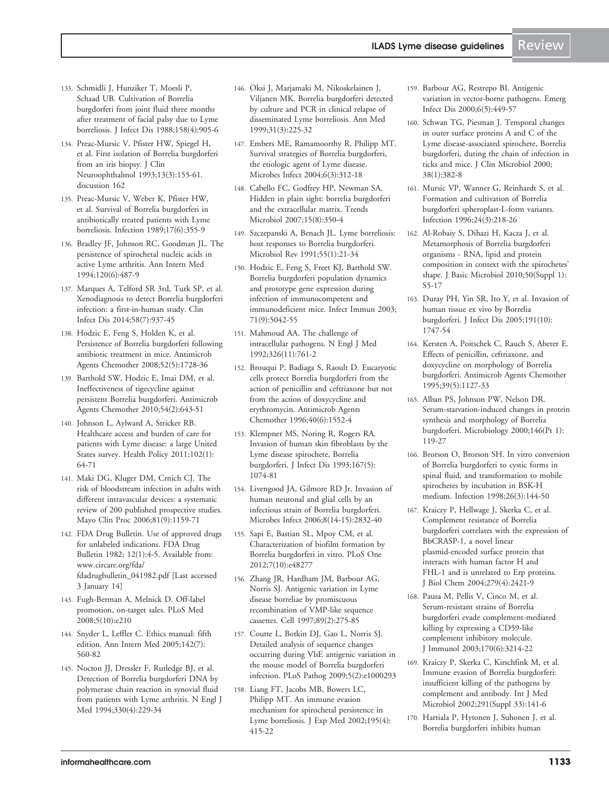- <span id="page-31-0"></span>133. Schmidli J, Hunziker T, Moesli P, Schaad UB. [Cultivation of Borrelia](http://www.ncbi.nlm.nih.gov/pubmed/3171237?dopt=Abstract) [burgdorferi from joint fluid three months](http://www.ncbi.nlm.nih.gov/pubmed/3171237?dopt=Abstract) [after treatment of facial palsy due to Lyme](http://www.ncbi.nlm.nih.gov/pubmed/3171237?dopt=Abstract) [borreliosis.](http://www.ncbi.nlm.nih.gov/pubmed/3171237?dopt=Abstract) J Infect Dis 1988;158(4):905-6
- 134. Preac-Mursic V, Pfister HW, Spiegel H, et al. First isolation of Borrelia burgdorferi from an iris biopsy. J Clin Neuroophthalmol 1993;13(3):155-61. discussion 162
- 135. Preac-Mursic V, Weber K, Pfister HW, et al. [Survival of Borrelia burgdorferi in](http://www.ncbi.nlm.nih.gov/pubmed/2613324?dopt=Abstract) [antibiotically treated patients with Lyme](http://www.ncbi.nlm.nih.gov/pubmed/2613324?dopt=Abstract) [borreliosis.](http://www.ncbi.nlm.nih.gov/pubmed/2613324?dopt=Abstract) Infection 1989;17(6):355-9
- 136. Bradley JF, Johnson RC, Goodman JL. [The](http://www.ncbi.nlm.nih.gov/pubmed/8093136?dopt=Abstract) [persistence of spirochetal nucleic acids in](http://www.ncbi.nlm.nih.gov/pubmed/8093136?dopt=Abstract) [active Lyme arthritis](http://www.ncbi.nlm.nih.gov/pubmed/8093136?dopt=Abstract). Ann Intern Med 1994;120(6):487-9
- 137. Marques A, Telford SR 3rd, Turk SP, et al. Xenodiagnosis to detect Borrelia burgdorferi infection: a first-in-human study. Clin Infect Dis 2014;58(7):937-45
- 138. Hodzic E, Feng S, Holden K, et al. [Persistence of Borrelia burgdorferi following](http://www.ncbi.nlm.nih.gov/pubmed/18316520?dopt=Abstract) [antibiotic treatment in mice](http://www.ncbi.nlm.nih.gov/pubmed/18316520?dopt=Abstract). Antimicrob Agents Chemother 2008;52(5):1728-36
- 139. Barthold SW, Hodzic E, Imai DM, et al. [Ineffectiveness of tigecycline against](http://www.ncbi.nlm.nih.gov/pubmed/19995919?dopt=Abstract) [persistent Borrelia burgdorferi](http://www.ncbi.nlm.nih.gov/pubmed/19995919?dopt=Abstract). Antimicrob Agents Chemother 2010;54(2):643-51
- 140. Johnson L, Aylward A, Stricker RB. [Healthcare access and burden of care for](http://www.ncbi.nlm.nih.gov/pubmed/21676482?dopt=Abstract) [patients with Lyme disease: a large United](http://www.ncbi.nlm.nih.gov/pubmed/21676482?dopt=Abstract) [States survey](http://www.ncbi.nlm.nih.gov/pubmed/21676482?dopt=Abstract). Health Policy 2011;102(1): 64-71
- 141. Maki DG, Kluger DM, Crnich CJ. [The](http://www.ncbi.nlm.nih.gov/pubmed/16970212?dopt=Abstract) [risk of bloodstream infection in adults with](http://www.ncbi.nlm.nih.gov/pubmed/16970212?dopt=Abstract) [different intravascular devices: a systematic](http://www.ncbi.nlm.nih.gov/pubmed/16970212?dopt=Abstract) [review of 200 published prospective studies](http://www.ncbi.nlm.nih.gov/pubmed/16970212?dopt=Abstract). Mayo Clin Proc 2006;81(9):1159-71
- 142. FDA Drug Bulletin. Use of approved drugs for unlabeled indications. FDA Drug Bulletin 1982; 12(1):4-5. Available from: [www.circare.org/fda/](www.circare.org/fda/fdadrugbulletin_041982.pdf) [fdadrugbulletin\\_041982.pdf](www.circare.org/fda/fdadrugbulletin_041982.pdf) [Last accessed 3 January 14]
- 143. Fugh-Berman A, Melnick D. Off-label promotion, on-target sales. PLoS Med 2008;5(10):e210
- 144. Snyder L, Leffler C. [Ethics manual: fifth](http://www.ncbi.nlm.nih.gov/pubmed/15809467?dopt=Abstract) [edition.](http://www.ncbi.nlm.nih.gov/pubmed/15809467?dopt=Abstract) Ann Intern Med 2005;142(7): 560-82
- 145. Nocton JJ, Dressler F, Rutledge BJ, et al. [Detection of Borrelia burgdorferi DNA by](http://www.ncbi.nlm.nih.gov/pubmed/8272083?dopt=Abstract) [polymerase chain reaction in synovial fluid](http://www.ncbi.nlm.nih.gov/pubmed/8272083?dopt=Abstract) [from patients with Lyme arthritis](http://www.ncbi.nlm.nih.gov/pubmed/8272083?dopt=Abstract). N Engl J Med 1994;330(4):229-34
- 146. Oksi J, Marjamaki M, Nikoskelainen J, Viljanen MK. [Borrelia burgdorferi detected](http://www.ncbi.nlm.nih.gov/pubmed/10442678?dopt=Abstract) [by culture and PCR in clinical relapse of](http://www.ncbi.nlm.nih.gov/pubmed/10442678?dopt=Abstract) [disseminated Lyme borreliosis.](http://www.ncbi.nlm.nih.gov/pubmed/10442678?dopt=Abstract) Ann Med 1999;31(3):225-32
- 147. Embers ME, Ramamoorthy R, Philipp MT. [Survival strategies of Borrelia burgdorferi,](http://www.ncbi.nlm.nih.gov/pubmed/15065567?dopt=Abstract) [the etiologic agent of Lyme disease](http://www.ncbi.nlm.nih.gov/pubmed/15065567?dopt=Abstract). Microbes Infect 2004;6(3):312-18
- 148. Cabello FC, Godfrey HP, Newman SA. [Hidden in plain sight: borrelia burgdorferi](http://www.ncbi.nlm.nih.gov/pubmed/17600717?dopt=Abstract) [and the extracellular matrix](http://www.ncbi.nlm.nih.gov/pubmed/17600717?dopt=Abstract). Trends Microbiol 2007;15(8):350-4
- 149. Szczepanski A, Benach JL. [Lyme borreliosis:](http://www.ncbi.nlm.nih.gov/pubmed/2030671?dopt=Abstract) [host responses to Borrelia burgdorferi.](http://www.ncbi.nlm.nih.gov/pubmed/2030671?dopt=Abstract) Microbiol Rev 1991;55(1):21-34
- 150. Hodzic E, Feng S, Freet KJ, Barthold SW. [Borrelia burgdorferi population dynamics](http://www.ncbi.nlm.nih.gov/pubmed/12933847?dopt=Abstract) [and prototype gene expression during](http://www.ncbi.nlm.nih.gov/pubmed/12933847?dopt=Abstract) [infection of immunocompetent and](http://www.ncbi.nlm.nih.gov/pubmed/12933847?dopt=Abstract) [immunodeficient mice](http://www.ncbi.nlm.nih.gov/pubmed/12933847?dopt=Abstract). Infect Immun 2003; 71(9):5042-55
- 151. Mahmoud AA. [The challenge of](http://www.ncbi.nlm.nih.gov/pubmed/1738382?dopt=Abstract) [intracellular pathogens.](http://www.ncbi.nlm.nih.gov/pubmed/1738382?dopt=Abstract) N Engl J Med 1992;326(11):761-2
- 152. Brouqui P, Badiaga S, Raoult D. [Eucaryotic](http://www.ncbi.nlm.nih.gov/pubmed/8726038?dopt=Abstract) [cells protect Borrelia burgdorferi from the](http://www.ncbi.nlm.nih.gov/pubmed/8726038?dopt=Abstract) [action of penicillin and ceftriaxone but not](http://www.ncbi.nlm.nih.gov/pubmed/8726038?dopt=Abstract) [from the action of doxycycline and](http://www.ncbi.nlm.nih.gov/pubmed/8726038?dopt=Abstract) [erythromycin](http://www.ncbi.nlm.nih.gov/pubmed/8726038?dopt=Abstract). Antimicrob Agents Chemother 1996;40(6):1552-4
- 153. Klempner MS, Noring R, Rogers RA. [Invasion of human skin fibroblasts by the](http://www.ncbi.nlm.nih.gov/pubmed/8486939?dopt=Abstract) [Lyme disease spirochete, Borrelia](http://www.ncbi.nlm.nih.gov/pubmed/8486939?dopt=Abstract) [burgdorferi.](http://www.ncbi.nlm.nih.gov/pubmed/8486939?dopt=Abstract) J Infect Dis 1993;167(5): 1074-81
- 154. Livengood JA, Gilmore RD Jr. Invasion of human neuronal and glial cells by an infectious strain of Borrelia burgdorferi. Microbes Infect 2006;8(14-15):2832-40
- 155. Sapi E, Bastian SL, Mpoy CM, et al. Characterization of biofilm formation by Borrelia burgdorferi in vitro. PLoS One 2012;7(10):e48277
- 156. Zhang JR, Hardham JM, Barbour AG, Norris SJ. [Antigenic variation in Lyme](http://www.ncbi.nlm.nih.gov/pubmed/9108482?dopt=Abstract) [disease borreliae by promiscuous](http://www.ncbi.nlm.nih.gov/pubmed/9108482?dopt=Abstract) [recombination of VMP-like sequence](http://www.ncbi.nlm.nih.gov/pubmed/9108482?dopt=Abstract) [cassettes](http://www.ncbi.nlm.nih.gov/pubmed/9108482?dopt=Abstract). Cell 1997;89(2):275-85
- 157. Coutte L, Botkin DJ, Gao L, Norris SJ. Detailed analysis of sequence changes occurring during VlsE antigenic variation in the mouse model of Borrelia burgdorferi infection. PLoS Pathog 2009;5(2):e1000293
- 158. Liang FT, Jacobs MB, Bowers LC, Philipp MT. [An immune evasion](http://www.ncbi.nlm.nih.gov/pubmed/11854355?dopt=Abstract) [mechanism for spirochetal persistence in](http://www.ncbi.nlm.nih.gov/pubmed/11854355?dopt=Abstract) [Lyme borreliosis.](http://www.ncbi.nlm.nih.gov/pubmed/11854355?dopt=Abstract) J Exp Med 2002;195(4): 415-22
- 159. Barbour AG, Restrepo BI. [Antigenic](http://www.ncbi.nlm.nih.gov/pubmed/10998374?dopt=Abstract) [variation in vector-borne pathogens.](http://www.ncbi.nlm.nih.gov/pubmed/10998374?dopt=Abstract) Emerg Infect Dis 2000;6(5):449-57
- 160. Schwan TG, Piesman J. [Temporal changes](http://www.ncbi.nlm.nih.gov/pubmed/10618120?dopt=Abstract) [in outer surface proteins A and C of the](http://www.ncbi.nlm.nih.gov/pubmed/10618120?dopt=Abstract) [Lyme disease-associated spirochete, Borrelia](http://www.ncbi.nlm.nih.gov/pubmed/10618120?dopt=Abstract) [burgdorferi, during the chain of infection in](http://www.ncbi.nlm.nih.gov/pubmed/10618120?dopt=Abstract) [ticks and mice.](http://www.ncbi.nlm.nih.gov/pubmed/10618120?dopt=Abstract) J Clin Microbiol 2000; 38(1):382-8
- 161. Mursic VP, Wanner G, Reinhardt S, et al. [Formation and cultivation of Borrelia](http://www.ncbi.nlm.nih.gov/pubmed/8811359?dopt=Abstract) [burgdorferi spheroplast-L-form variants.](http://www.ncbi.nlm.nih.gov/pubmed/8811359?dopt=Abstract) Infection 1996;24(3):218-26
- 162. Al-Robaiy S, Dihazi H, Kacza J, et al. Metamorphosis of Borrelia burgdorferi organisms - RNA, lipid and protein composition in context with the spirochetes' shape. J Basic Microbiol 2010;50(Suppl 1): S5-17
- 163. Duray PH, Yin SR, Ito Y, et al. [Invasion of](http://www.ncbi.nlm.nih.gov/pubmed/15838803?dopt=Abstract) [human tissue ex vivo by Borrelia](http://www.ncbi.nlm.nih.gov/pubmed/15838803?dopt=Abstract) [burgdorferi.](http://www.ncbi.nlm.nih.gov/pubmed/15838803?dopt=Abstract) J Infect Dis 2005;191(10): 1747-54
- 164. Kersten A, Poitschek C, Rauch S, Aberer E. [Effects of penicillin, ceftriaxone, and](http://www.ncbi.nlm.nih.gov/pubmed/7625800?dopt=Abstract) [doxycycline on morphology of Borrelia](http://www.ncbi.nlm.nih.gov/pubmed/7625800?dopt=Abstract) [burgdorferi.](http://www.ncbi.nlm.nih.gov/pubmed/7625800?dopt=Abstract) Antimicrob Agents Chemother 1995;39(5):1127-33
- 165. Alban PS, Johnson PW, Nelson DR. Serum-starvation-induced changes in protein synthesis and morphology of Borrelia burgdorferi. Microbiology 2000;146(Pt 1): 119-27
- 166. Brorson O, Brorson SH. [In vitro conversion](http://www.ncbi.nlm.nih.gov/pubmed/9646104?dopt=Abstract) [of Borrelia burgdorferi to cystic forms in](http://www.ncbi.nlm.nih.gov/pubmed/9646104?dopt=Abstract) [spinal fluid, and transformation to mobile](http://www.ncbi.nlm.nih.gov/pubmed/9646104?dopt=Abstract) [spirochetes by incubation in BSK-H](http://www.ncbi.nlm.nih.gov/pubmed/9646104?dopt=Abstract) [medium](http://www.ncbi.nlm.nih.gov/pubmed/9646104?dopt=Abstract). Infection 1998;26(3):144-50
- 167. Kraiczy P, Hellwage J, Skerka C, et al. [Complement resistance of Borrelia](http://www.ncbi.nlm.nih.gov/pubmed/14607842?dopt=Abstract) [burgdorferi correlates with the expression of](http://www.ncbi.nlm.nih.gov/pubmed/14607842?dopt=Abstract) [BbCRASP-1, a novel linear](http://www.ncbi.nlm.nih.gov/pubmed/14607842?dopt=Abstract) [plasmid-encoded surface protein that](http://www.ncbi.nlm.nih.gov/pubmed/14607842?dopt=Abstract) [interacts with human factor H and](http://www.ncbi.nlm.nih.gov/pubmed/14607842?dopt=Abstract) [FHL-1 and is unrelated to Erp proteins.](http://www.ncbi.nlm.nih.gov/pubmed/14607842?dopt=Abstract) J Biol Chem 2004;279(4):2421-9
- 168. Pausa M, Pellis V, Cinco M, et al. [Serum-resistant strains of Borrelia](http://www.ncbi.nlm.nih.gov/pubmed/12626580?dopt=Abstract) [burgdorferi evade complement-mediated](http://www.ncbi.nlm.nih.gov/pubmed/12626580?dopt=Abstract) [killing by expressing a CD59-like](http://www.ncbi.nlm.nih.gov/pubmed/12626580?dopt=Abstract) [complement inhibitory molecule.](http://www.ncbi.nlm.nih.gov/pubmed/12626580?dopt=Abstract) J Immunol 2003;170(6):3214-22
- 169. Kraiczy P, Skerka C, Kirschfink M, et al. Immune evasion of Borrelia burgdorferi: insufficient killing of the pathogens by complement and antibody. Int J Med Microbiol 2002;291(Suppl 33):141-6
- 170. Hartiala P, Hytonen J, Suhonen J, et al. [Borrelia burgdorferi inhibits human](http://www.ncbi.nlm.nih.gov/pubmed/18068388?dopt=Abstract)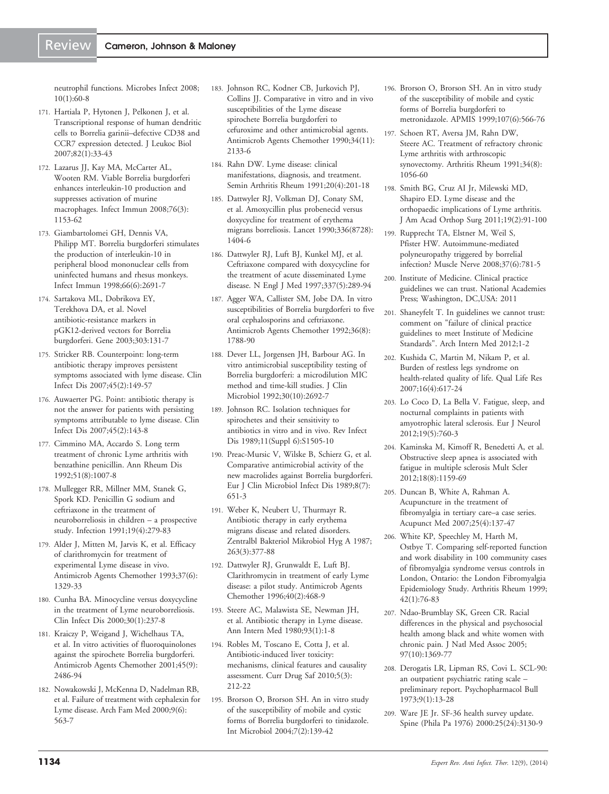## <span id="page-32-0"></span>Review Cameron, Johnson & Maloney

[neutrophil functions](http://www.ncbi.nlm.nih.gov/pubmed/18068388?dopt=Abstract). Microbes Infect 2008; 10(1):60-8

- 171. Hartiala P, Hytonen J, Pelkonen J, et al. [Transcriptional response of human dendritic](http://www.ncbi.nlm.nih.gov/pubmed/17440035?dopt=Abstract) [cells to Borrelia garinii–defective CD38 and](http://www.ncbi.nlm.nih.gov/pubmed/17440035?dopt=Abstract) [CCR7 expression detected](http://www.ncbi.nlm.nih.gov/pubmed/17440035?dopt=Abstract). J Leukoc Biol 2007;82(1):33-43
- 172. Lazarus JJ, Kay MA, McCarter AL, Wooten RM. [Viable Borrelia burgdorferi](http://www.ncbi.nlm.nih.gov/pubmed/18086805?dopt=Abstract) [enhances interleukin-10 production and](http://www.ncbi.nlm.nih.gov/pubmed/18086805?dopt=Abstract) [suppresses activation of murine](http://www.ncbi.nlm.nih.gov/pubmed/18086805?dopt=Abstract) [macrophages](http://www.ncbi.nlm.nih.gov/pubmed/18086805?dopt=Abstract). Infect Immun 2008;76(3): 1153-62
- 173. Giambartolomei GH, Dennis VA, Philipp MT. [Borrelia burgdorferi stimulates](http://www.ncbi.nlm.nih.gov/pubmed/9596735?dopt=Abstract) [the production of interleukin-10 in](http://www.ncbi.nlm.nih.gov/pubmed/9596735?dopt=Abstract) [peripheral blood mononuclear cells from](http://www.ncbi.nlm.nih.gov/pubmed/9596735?dopt=Abstract) [uninfected humans and rhesus monkeys](http://www.ncbi.nlm.nih.gov/pubmed/9596735?dopt=Abstract). Infect Immun 1998;66(6):2691-7
- 174. Sartakova ML, Dobrikova EY, Terekhova DA, et al. [Novel](http://www.ncbi.nlm.nih.gov/pubmed/12559574?dopt=Abstract) [antibiotic-resistance markers in](http://www.ncbi.nlm.nih.gov/pubmed/12559574?dopt=Abstract) [pGK12-derived vectors for Borrelia](http://www.ncbi.nlm.nih.gov/pubmed/12559574?dopt=Abstract) [burgdorferi](http://www.ncbi.nlm.nih.gov/pubmed/12559574?dopt=Abstract). Gene 2003;303:131-7
- 175. Stricker RB. [Counterpoint: long-term](http://www.ncbi.nlm.nih.gov/pubmed/17578772?dopt=Abstract) [antibiotic therapy improves persistent](http://www.ncbi.nlm.nih.gov/pubmed/17578772?dopt=Abstract) [symptoms associated with lyme disease](http://www.ncbi.nlm.nih.gov/pubmed/17578772?dopt=Abstract). Clin Infect Dis 2007;45(2):149-57
- 176. Auwaerter PG. [Point: antibiotic therapy is](http://www.ncbi.nlm.nih.gov/pubmed/17578771?dopt=Abstract) [not the answer for patients with persisting](http://www.ncbi.nlm.nih.gov/pubmed/17578771?dopt=Abstract) [symptoms attributable to lyme disease](http://www.ncbi.nlm.nih.gov/pubmed/17578771?dopt=Abstract). Clin Infect Dis 2007;45(2):143-8
- 177. Cimmino MA, Accardo S. [Long term](http://www.ncbi.nlm.nih.gov/pubmed/1417107?dopt=Abstract) [treatment of chronic Lyme arthritis with](http://www.ncbi.nlm.nih.gov/pubmed/1417107?dopt=Abstract) [benzathine penicillin](http://www.ncbi.nlm.nih.gov/pubmed/1417107?dopt=Abstract). Ann Rheum Dis 1992;51(8):1007-8
- 178. Mullegger RR, Millner MM, Stanek G, Spork KD. [Penicillin G sodium and](http://www.ncbi.nlm.nih.gov/pubmed/1917046?dopt=Abstract) [ceftriaxone in the treatment of](http://www.ncbi.nlm.nih.gov/pubmed/1917046?dopt=Abstract) [neuroborreliosis in children – a prospective](http://www.ncbi.nlm.nih.gov/pubmed/1917046?dopt=Abstract) [study.](http://www.ncbi.nlm.nih.gov/pubmed/1917046?dopt=Abstract) Infection 1991;19(4):279-83
- 179. Alder J, Mitten M, Jarvis K, et al. [Efficacy](http://www.ncbi.nlm.nih.gov/pubmed/8328782?dopt=Abstract) [of clarithromycin for treatment of](http://www.ncbi.nlm.nih.gov/pubmed/8328782?dopt=Abstract) [experimental Lyme disease in vivo](http://www.ncbi.nlm.nih.gov/pubmed/8328782?dopt=Abstract). Antimicrob Agents Chemother 1993;37(6): 1329-33
- 180. Cunha BA. [Minocycline versus doxycycline](http://www.ncbi.nlm.nih.gov/pubmed/10619782?dopt=Abstract) [in the treatment of Lyme neuroborreliosis.](http://www.ncbi.nlm.nih.gov/pubmed/10619782?dopt=Abstract) Clin Infect Dis 2000;30(1):237-8
- 181. Kraiczy P, Weigand J, Wichelhaus TA, et al. [In vitro activities of fluoroquinolones](http://www.ncbi.nlm.nih.gov/pubmed/11502519?dopt=Abstract) [against the spirochete Borrelia burgdorferi.](http://www.ncbi.nlm.nih.gov/pubmed/11502519?dopt=Abstract) Antimicrob Agents Chemother 2001;45(9): 2486-94
- 182. Nowakowski J, McKenna D, Nadelman RB, et al. [Failure of treatment with cephalexin for](http://www.ncbi.nlm.nih.gov/pubmed/10862221?dopt=Abstract) [Lyme disease](http://www.ncbi.nlm.nih.gov/pubmed/10862221?dopt=Abstract). Arch Fam Med 2000;9(6): 563-7
- 183. Johnson RC, Kodner CB, Jurkovich PJ, Collins JJ. [Comparative in vitro and in vivo](http://www.ncbi.nlm.nih.gov/pubmed/2073103?dopt=Abstract) [susceptibilities of the Lyme disease](http://www.ncbi.nlm.nih.gov/pubmed/2073103?dopt=Abstract) [spirochete Borrelia burgdorferi to](http://www.ncbi.nlm.nih.gov/pubmed/2073103?dopt=Abstract) [cefuroxime and other antimicrobial agents.](http://www.ncbi.nlm.nih.gov/pubmed/2073103?dopt=Abstract) Antimicrob Agents Chemother 1990;34(11): 2133-6
- 184. Rahn DW. [Lyme disease: clinical](http://www.ncbi.nlm.nih.gov/pubmed/2042054?dopt=Abstract) [manifestations, diagnosis, and treatment](http://www.ncbi.nlm.nih.gov/pubmed/2042054?dopt=Abstract). Semin Arthritis Rheum 1991;20(4):201-18
- 185. Dattwyler RJ, Volkman DJ, Conaty SM, et al. [Amoxycillin plus probenecid versus](http://www.ncbi.nlm.nih.gov/pubmed/1978873?dopt=Abstract) [doxycycline for treatment of erythema](http://www.ncbi.nlm.nih.gov/pubmed/1978873?dopt=Abstract) [migrans borreliosis.](http://www.ncbi.nlm.nih.gov/pubmed/1978873?dopt=Abstract) Lancet 1990;336(8728): 1404-6
- 186. Dattwyler RJ, Luft BJ, Kunkel MJ, et al. [Ceftriaxone compared with doxycycline for](http://www.ncbi.nlm.nih.gov/pubmed/9233865?dopt=Abstract) [the treatment of acute disseminated Lyme](http://www.ncbi.nlm.nih.gov/pubmed/9233865?dopt=Abstract) [disease](http://www.ncbi.nlm.nih.gov/pubmed/9233865?dopt=Abstract). N Engl J Med 1997;337(5):289-94
- 187. Agger WA, Callister SM, Jobe DA. [In vitro](http://www.ncbi.nlm.nih.gov/pubmed/1416868?dopt=Abstract) [susceptibilities of Borrelia burgdorferi to five](http://www.ncbi.nlm.nih.gov/pubmed/1416868?dopt=Abstract) [oral cephalosporins and ceftriaxone.](http://www.ncbi.nlm.nih.gov/pubmed/1416868?dopt=Abstract) Antimicrob Agents Chemother 1992;36(8): 1788-90
- 188. Dever LL, Jorgensen JH, Barbour AG. [In](http://www.ncbi.nlm.nih.gov/pubmed/1400969?dopt=Abstract) [vitro antimicrobial susceptibility testing of](http://www.ncbi.nlm.nih.gov/pubmed/1400969?dopt=Abstract) [Borrelia burgdorferi: a microdilution MIC](http://www.ncbi.nlm.nih.gov/pubmed/1400969?dopt=Abstract) [method and time-kill studies](http://www.ncbi.nlm.nih.gov/pubmed/1400969?dopt=Abstract). J Clin Microbiol 1992;30(10):2692-7
- 189. Johnson RC. Isolation techniques for spirochetes and their sensitivity to antibiotics in vitro and in vivo. Rev Infect Dis 1989;11(Suppl 6):S1505-10
- 190. Preac-Mursic V, Wilske B, Schierz G, et al. [Comparative antimicrobial activity of the](http://www.ncbi.nlm.nih.gov/pubmed/2550233?dopt=Abstract) [new macrolides against Borrelia burgdorferi](http://www.ncbi.nlm.nih.gov/pubmed/2550233?dopt=Abstract). Eur J Clin Microbiol Infect Dis 1989;8(7): 651-3
- 191. Weber K, Neubert U, Thurmayr R. [Antibiotic therapy in early erythema](http://www.ncbi.nlm.nih.gov/pubmed/3591091?dopt=Abstract) [migrans disease and related disorders.](http://www.ncbi.nlm.nih.gov/pubmed/3591091?dopt=Abstract) Zentralbl Bakteriol Mikrobiol Hyg A 1987; 263(3):377-88
- 192. Dattwyler RJ, Grunwaldt E, Luft BJ. [Clarithromycin in treatment of early Lyme](http://www.ncbi.nlm.nih.gov/pubmed/8834900?dopt=Abstract) [disease: a pilot study](http://www.ncbi.nlm.nih.gov/pubmed/8834900?dopt=Abstract). Antimicrob Agents Chemother 1996;40(2):468-9
- 193. Steere AC, Malawista SE, Newman JH, et al. [Antibiotic therapy in Lyme disease](http://www.ncbi.nlm.nih.gov/pubmed/6967272?dopt=Abstract). Ann Intern Med 1980;93(1):1-8
- 194. Robles M, Toscano E, Cotta J, et al. [Antibiotic-induced liver toxicity:](http://www.ncbi.nlm.nih.gov/pubmed/20210729?dopt=Abstract) [mechanisms, clinical features and causality](http://www.ncbi.nlm.nih.gov/pubmed/20210729?dopt=Abstract) [assessment.](http://www.ncbi.nlm.nih.gov/pubmed/20210729?dopt=Abstract) Curr Drug Saf 2010;5(3): 212-22
- 195. Brorson O, Brorson SH. [An in vitro study](http://www.ncbi.nlm.nih.gov/pubmed/15248163?dopt=Abstract) [of the susceptibility of mobile and cystic](http://www.ncbi.nlm.nih.gov/pubmed/15248163?dopt=Abstract) [forms of Borrelia burgdorferi to tinidazole](http://www.ncbi.nlm.nih.gov/pubmed/15248163?dopt=Abstract). Int Microbiol 2004;7(2):139-42
- 196. Brorson O, Brorson SH. [An in vitro study](http://www.ncbi.nlm.nih.gov/pubmed/10379684?dopt=Abstract) [of the susceptibility of mobile and cystic](http://www.ncbi.nlm.nih.gov/pubmed/10379684?dopt=Abstract) [forms of Borrelia burgdorferi to](http://www.ncbi.nlm.nih.gov/pubmed/10379684?dopt=Abstract) [metronidazole](http://www.ncbi.nlm.nih.gov/pubmed/10379684?dopt=Abstract). APMIS 1999;107(6):566-76
- 197. Schoen RT, Aversa JM, Rahn DW, Steere AC. [Treatment of refractory chronic](http://www.ncbi.nlm.nih.gov/pubmed/1859481?dopt=Abstract) [Lyme arthritis with arthroscopic](http://www.ncbi.nlm.nih.gov/pubmed/1859481?dopt=Abstract) [synovectomy](http://www.ncbi.nlm.nih.gov/pubmed/1859481?dopt=Abstract). Arthritis Rheum 1991;34(8): 1056-60
- 198. Smith BG, Cruz AI Jr, Milewski MD, Shapiro ED. [Lyme disease and the](http://www.ncbi.nlm.nih.gov/pubmed/21292932?dopt=Abstract) [orthopaedic implications of Lyme arthritis.](http://www.ncbi.nlm.nih.gov/pubmed/21292932?dopt=Abstract) J Am Acad Orthop Surg 2011;19(2):91-100
- 199. Rupprecht TA, Elstner M, Weil S, Pfister HW. [Autoimmune-mediated](http://www.ncbi.nlm.nih.gov/pubmed/18288714?dopt=Abstract) [polyneuropathy triggered by borrelial](http://www.ncbi.nlm.nih.gov/pubmed/18288714?dopt=Abstract) [infection?](http://www.ncbi.nlm.nih.gov/pubmed/18288714?dopt=Abstract) Muscle Nerve 2008;37(6):781-5
- 200. Institute of Medicine. Clinical practice guidelines we can trust. National Academies Press; Washington, DC,USA: 2011
- 201. Shaneyfelt T. In guidelines we cannot trust: comment on "failure of clinical practice guidelines to meet Institute of Medicine Standards". Arch Intern Med 2012;1-2
- 202. Kushida C, Martin M, Nikam P, et al. [Burden of restless legs syndrome on](http://www.ncbi.nlm.nih.gov/pubmed/17268935?dopt=Abstract) [health-related quality of life.](http://www.ncbi.nlm.nih.gov/pubmed/17268935?dopt=Abstract) Qual Life Res 2007;16(4):617-24
- 203. Lo Coco D, La Bella V. Fatigue, sleep, and nocturnal complaints in patients with amyotrophic lateral sclerosis. Eur J Neurol 2012;19(5):760-3
- 204. Kaminska M, Kimoff R, Benedetti A, et al. Obstructive sleep apnea is associated with fatigue in multiple sclerosis Mult Scler 2012;18(8):1159-69
- 205. Duncan B, White A, Rahman A. [Acupuncture in the treatment of](http://www.ncbi.nlm.nih.gov/pubmed/18160924?dopt=Abstract) [fibromyalgia in tertiary care–a case series.](http://www.ncbi.nlm.nih.gov/pubmed/18160924?dopt=Abstract) Acupunct Med 2007;25(4):137-47
- 206. White KP, Speechley M, Harth M, Ostbye T. [Comparing self-reported function](http://www.ncbi.nlm.nih.gov/pubmed/9920017?dopt=Abstract) [and work disability in 100 community cases](http://www.ncbi.nlm.nih.gov/pubmed/9920017?dopt=Abstract) [of fibromyalgia syndrome versus controls in](http://www.ncbi.nlm.nih.gov/pubmed/9920017?dopt=Abstract) [London, Ontario: the London Fibromyalgia](http://www.ncbi.nlm.nih.gov/pubmed/9920017?dopt=Abstract) [Epidemiology Study](http://www.ncbi.nlm.nih.gov/pubmed/9920017?dopt=Abstract). Arthritis Rheum 1999; 42(1):76-83
- 207. Ndao-Brumblay SK, Green CR. [Racial](http://www.ncbi.nlm.nih.gov/pubmed/16353658?dopt=Abstract) [differences in the physical and psychosocial](http://www.ncbi.nlm.nih.gov/pubmed/16353658?dopt=Abstract) [health among black and white women with](http://www.ncbi.nlm.nih.gov/pubmed/16353658?dopt=Abstract) [chronic pain.](http://www.ncbi.nlm.nih.gov/pubmed/16353658?dopt=Abstract) J Natl Med Assoc 2005; 97(10):1369-77
- 208. Derogatis LR, Lipman RS, Covi L. [SCL-90:](http://www.ncbi.nlm.nih.gov/pubmed/4682398?dopt=Abstract) [an outpatient psychiatric rating scale –](http://www.ncbi.nlm.nih.gov/pubmed/4682398?dopt=Abstract) [preliminary report](http://www.ncbi.nlm.nih.gov/pubmed/4682398?dopt=Abstract). Psychopharmacol Bull 1973;9(1):13-28
- 209. Ware JE Jr. SF-36 health survey update. Spine (Phila Pa 1976) 2000:25(24):3130-9